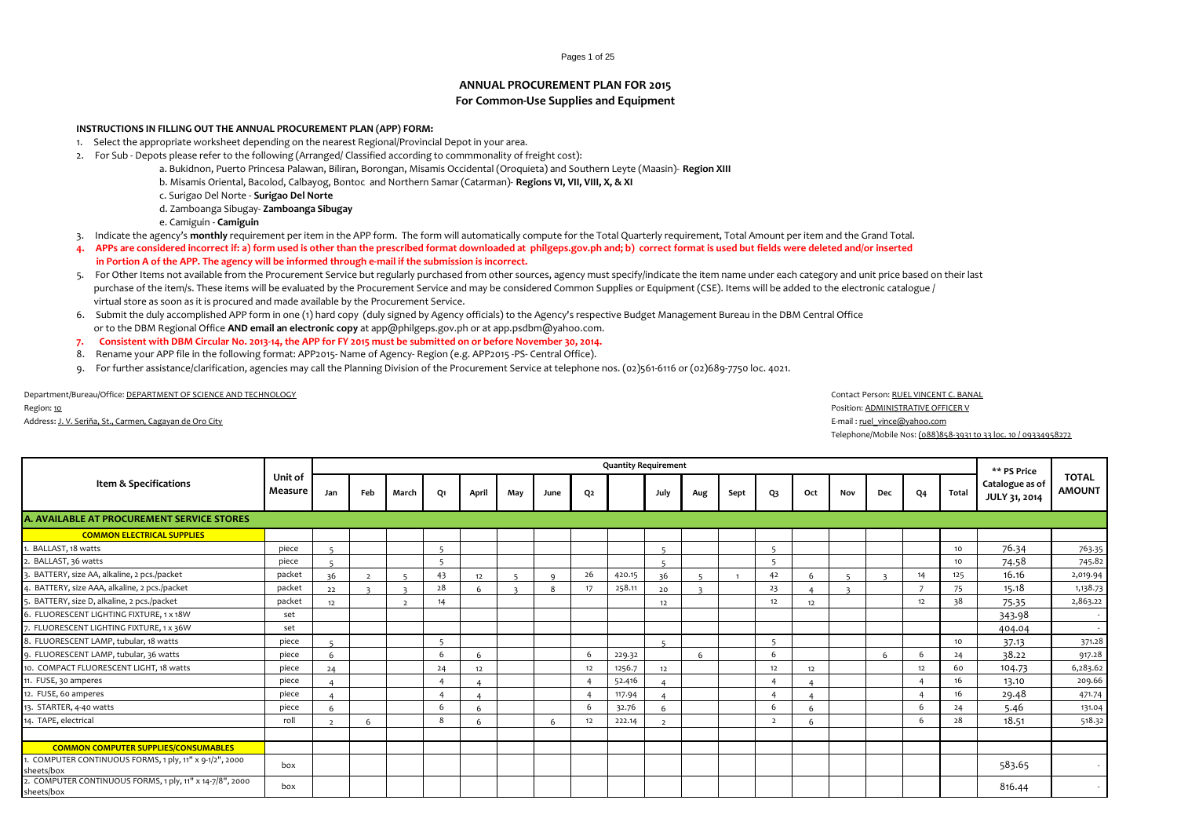#### Pages 1 of 25

# **ANNUAL PROCUREMENT PLAN FOR 2015 For Common-Use Supplies and Equipment**

#### **INSTRUCTIONS IN FILLING OUT THE ANNUAL PROCUREMENT PLAN (APP) FORM:**

- 1. Select the appropriate worksheet depending on the nearest Regional/Provincial Depot in your area.
- 2. For Sub Depots please refer to the following (Arranged/ Classified according to commmonality of freight cost):
	- a. Bukidnon, Puerto Princesa Palawan, Biliran, Borongan, Misamis Occidental (Oroquieta) and Southern Leyte (Maasin)- **Region XIII**
	- b. Misamis Oriental, Bacolod, Calbayog, Bontoc and Northern Samar (Catarman)- **Regions VI, VII, VIII, X, & XI**
	- c. Surigao Del Norte **Surigao Del Norte**
	- d. Zamboanga Sibugay- **Zamboanga Sibugay**
	- e. Camiguin **Camiguin**
- 3. Indicate the agency's **monthly** requirement per item in the APP form. The form will automatically compute for the Total Quarterly requirement, Total Amount per item and the Grand Total.
- **4. APPs are considered incorrect if: a) form used is other than the prescribed format downloaded at philgeps.gov.ph and; b) correct format is used but fields were deleted and/or inserted in Portion A of the APP. The agency will be informed through e-mail if the submission is incorrect.**
- 5. For Other Items not available from the Procurement Service but regularly purchased from other sources, agency must specify/indicate the item name under each category and unit price based on their last purchase of the item/s. These items will be evaluated by the Procurement Service and may be considered Common Supplies or Equipment (CSE). Items will be added to the electronic catalogue / virtual store as soon as it is procured and made available by the Procurement Service.
- 6. Submit the duly accomplished APP form in one (1) hard copy (duly signed by Agency officials) to the Agency's respective Budget Management Bureau in the DBM Central Office or to the DBM Regional Office **AND email an electronic copy** at app@philgeps.gov.ph or at app.psdbm@yahoo.com.
- **7. Consistent with DBM Circular No. 2013-14, the APP for FY 2015 must be submitted on or before November 30, 2014.**
- 8. Rename your APP file in the following format: APP2015- Name of Agency- Region (e.g. APP2015 -PS- Central Office).
- 9. For further assistance/clarification, agencies may call the Planning Division of the Procurement Service at telephone nos. (02)561-6116 or (02)689-7750 loc. 4021.

Department/Bureau/Office: DEPARTMENT OF SCIENCE AND TECHNOLOGY Contact Person: RUEL VINCENT C. BANAL

#### Address: J. V. Seriña, St., Carmen, Cagayan de Oro City **E-mail : ruel** vince@yahoo.com **E-mail : ruel\_vince@yahoo.com**

Region: <u>10</u> Position: <u>ADMINISTRATIVE OFFICER V</u><br>Position: <u>ADMINISTRATIVE OFFICER V</u>

Telephone/Mobile Nos: (088)858-3931 to 33 loc. 10 / 09334958272

|                                                                     |                    |     |     |                          |                          |       |     |          |    | <b>Quantity Requirement</b> |      |     |      |                |           |     |     |    |       | ** PS Price                      |                               |
|---------------------------------------------------------------------|--------------------|-----|-----|--------------------------|--------------------------|-------|-----|----------|----|-----------------------------|------|-----|------|----------------|-----------|-----|-----|----|-------|----------------------------------|-------------------------------|
| Item & Specifications                                               | Unit of<br>Measure | Jan | Feb | March                    | Q1                       | April | May | June     | Q2 |                             | July | Aug | Sept | Q <sub>3</sub> | Oct       | Nov | Dec | Q4 | Total | Catalogue as of<br>JULY 31, 2014 | <b>TOTAL</b><br><b>AMOUNT</b> |
| A. AVAILABLE AT PROCUREMENT SERVICE STORES                          |                    |     |     |                          |                          |       |     |          |    |                             |      |     |      |                |           |     |     |    |       |                                  |                               |
| <b>COMMON ELECTRICAL SUPPLIES</b>                                   |                    |     |     |                          |                          |       |     |          |    |                             |      |     |      |                |           |     |     |    |       |                                  |                               |
| BALLAST, 18 watts                                                   | piece              |     |     |                          | 5                        |       |     |          |    |                             |      |     |      | 5              |           |     |     |    | 10    | 76.34                            | 763.35                        |
| BALLAST, 36 watts                                                   | piece              |     |     |                          |                          |       |     |          |    |                             |      |     |      |                |           |     |     |    | 10    | 74.58                            | 745.82                        |
| BATTERY, size AA, alkaline, 2 pcs./packet                           | packet             | 36  |     |                          | 43                       | 12    |     | $\Omega$ | 26 | 420.15                      | 36   |     |      | 42             | 6         |     |     | 14 | 125   | 16.16                            | 2,019.94                      |
| BATTERY, size AAA, alkaline, 2 pcs./packet                          | packet             | 22  |     |                          | 28                       |       |     |          | 17 | 258.11                      | 20   |     |      | 23             |           |     |     |    | 75    | 15.18                            | 1,138.73                      |
| BATTERY, size D, alkaline, 2 pcs./packet                            | packet             | 12  |     | $\overline{\phantom{a}}$ |                          |       |     |          |    |                             | 12   |     |      | 12             | 12        |     |     | 12 | 38    | 75.35                            | 2,863.22                      |
| 5. FLUORESCENT LIGHTING FIXTURE, 1 x 18W                            | set                |     |     |                          |                          |       |     |          |    |                             |      |     |      |                |           |     |     |    |       | 343.98                           |                               |
| 7. FLUORESCENT LIGHTING FIXTURE, 1 x 36W                            | set                |     |     |                          |                          |       |     |          |    |                             |      |     |      |                |           |     |     |    |       | 404.04                           |                               |
| 8. FLUORESCENT LAMP, tubular, 18 watts                              | piece              |     |     |                          | $\overline{\phantom{a}}$ |       |     |          |    |                             |      |     |      | $\mathbf{c}$   |           |     |     |    | 10    | 37.13                            | 371.28                        |
| 9. FLUORESCENT LAMP, tubular, 36 watts                              | piece              | 6   |     |                          | 6                        |       |     |          | 6  | 229.32                      |      |     |      | <b>6</b>       |           |     |     |    | 24    | 38.22                            | 917.28                        |
| 10. COMPACT FLUORESCENT LIGHT, 18 watts                             | piece              | 24  |     |                          | 24                       | 12    |     |          | 12 | 1256.7                      | 12   |     |      | 12             | 12        |     |     | 12 | 60    | 104.73                           | 6,283.62                      |
| 11. FUSE, 30 amperes                                                | piece              |     |     |                          |                          |       |     |          |    | 52.416                      |      |     |      |                |           |     |     |    | 16    | 13.10                            | 209.66                        |
| 12. FUSE, 60 amperes                                                | piece              |     |     |                          |                          |       |     |          |    | 117.94                      |      |     |      |                | $\lambda$ |     |     |    | 16    | 29.48                            | 471.74                        |
| 13. STARTER, 4-40 watts                                             | piece              | 6   |     |                          | 6                        |       |     |          | 6  | 32.76                       | 6    |     |      | -6             | 6         |     |     | 6  | 24    | 5.46                             | 131.04                        |
| 14. TAPE, electrical                                                | roll               |     |     |                          | 8                        |       |     | 6        | 12 | 222.14                      |      |     |      |                | 6         |     |     | 6  | 28    | 18.51                            | 518.32                        |
|                                                                     |                    |     |     |                          |                          |       |     |          |    |                             |      |     |      |                |           |     |     |    |       |                                  |                               |
| <b>COMMON COMPUTER SUPPLIES/CONSUMABLES</b>                         |                    |     |     |                          |                          |       |     |          |    |                             |      |     |      |                |           |     |     |    |       |                                  |                               |
| COMPUTER CONTINUOUS FORMS, 1 ply, 11" x 9-1/2", 2000<br>sheets/box  | box                |     |     |                          |                          |       |     |          |    |                             |      |     |      |                |           |     |     |    |       | 583.65                           |                               |
| COMPUTER CONTINUOUS FORMS, 1 ply, 11" x 14-7/8", 2000<br>sheets/box | box                |     |     |                          |                          |       |     |          |    |                             |      |     |      |                |           |     |     |    |       | 816.44                           |                               |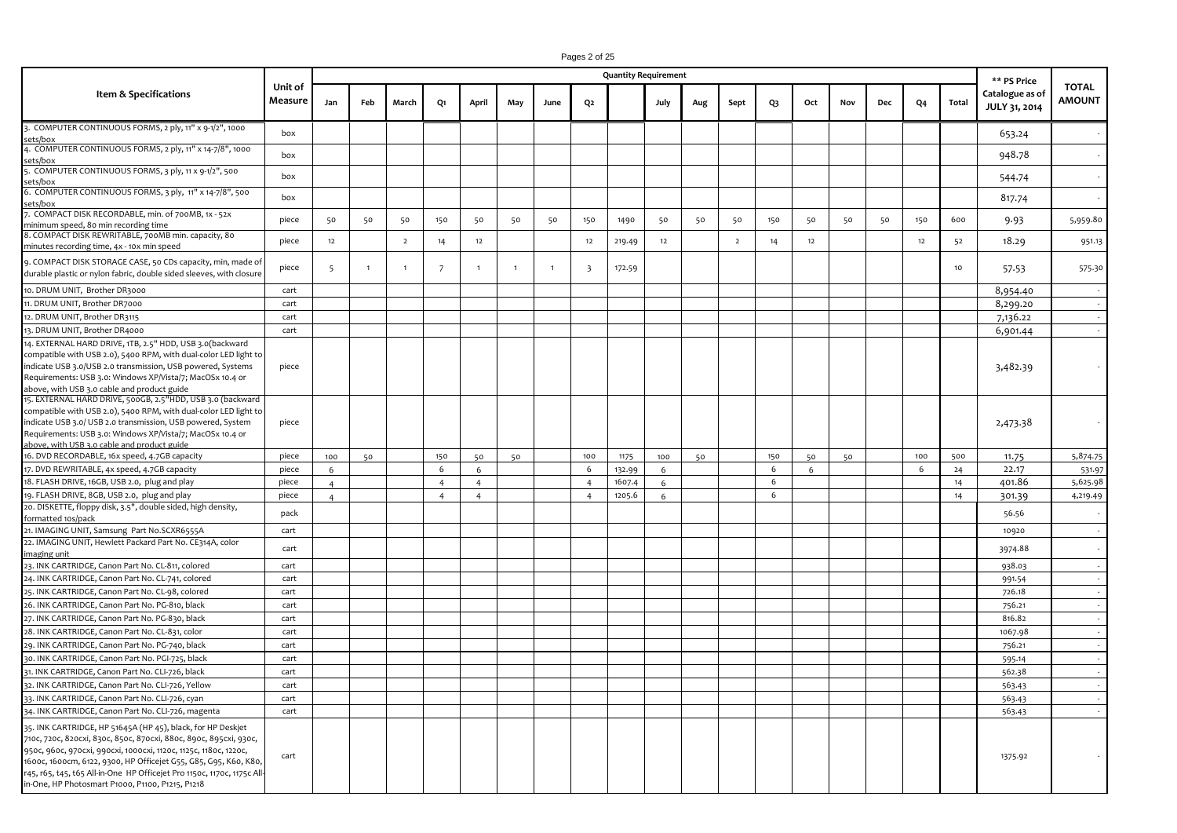# Pages 2 of 25

|                                                                                                                                                                                                                                                                                                                                                                                                         |                    |                |              |                |                |                |                |                |                         | <b>Quantity Requirement</b> |      |     |                |     |     |     |     |                |       | ** PS Price                      |                               |
|---------------------------------------------------------------------------------------------------------------------------------------------------------------------------------------------------------------------------------------------------------------------------------------------------------------------------------------------------------------------------------------------------------|--------------------|----------------|--------------|----------------|----------------|----------------|----------------|----------------|-------------------------|-----------------------------|------|-----|----------------|-----|-----|-----|-----|----------------|-------|----------------------------------|-------------------------------|
| Item & Specifications                                                                                                                                                                                                                                                                                                                                                                                   | Unit of<br>Measure | Jan            | Feb          | March          | Q1             | April          | May            | June           | Q <sub>2</sub>          |                             | July | Aug | Sept           | Q3  | Oct | Nov | Dec | Q <sub>4</sub> | Total | Catalogue as of<br>JULY 31, 2014 | <b>TOTAL</b><br><b>AMOUNT</b> |
| 3. COMPUTER CONTINUOUS FORMS, 2 ply, 11" x 9-1/2", 1000<br>sets/box                                                                                                                                                                                                                                                                                                                                     | box                |                |              |                |                |                |                |                |                         |                             |      |     |                |     |     |     |     |                |       | 653.24                           |                               |
| 4. COMPUTER CONTINUOUS FORMS, 2 ply, 11" x 14-7/8", 1000<br>sets/box                                                                                                                                                                                                                                                                                                                                    | box                |                |              |                |                |                |                |                |                         |                             |      |     |                |     |     |     |     |                |       | 948.78                           |                               |
| 6. COMPUTER CONTINUOUS FORMS, 3 ply, 11 x 9-1/2", 500<br>:ets/box                                                                                                                                                                                                                                                                                                                                       | box                |                |              |                |                |                |                |                |                         |                             |      |     |                |     |     |     |     |                |       | 544.74                           |                               |
| 6. COMPUTER CONTINUOUS FORMS, 3 ply, 11" x 14-7/8", 500<br>sets/box                                                                                                                                                                                                                                                                                                                                     | box                |                |              |                |                |                |                |                |                         |                             |      |     |                |     |     |     |     |                |       | 817.74                           |                               |
| 7. COMPACT DISK RECORDABLE, min. of 700MB, 1x - 52x<br>minimum speed, 80 min recording time                                                                                                                                                                                                                                                                                                             | piece              | 50             | 50           | 50             | 150            | 50             | 50             | 50             | 150                     | 1490                        | 50   | 50  | 50             | 150 | 50  | 50  | 50  | 150            | 600   | 9.93                             | 5,959.80                      |
| 8. COMPACT DISK REWRITABLE, 700MB min. capacity, 80<br>minutes recording time, 4x - 10x min speed                                                                                                                                                                                                                                                                                                       | piece              | 12             |              | $\overline{2}$ | 14             | 12             |                |                | 12                      | 219.49                      | 12   |     | $\overline{2}$ | 14  | 12  |     |     | 12             | 52    | 18.29                            | 951.13                        |
| 9. COMPACT DISK STORAGE CASE, 50 CDs capacity, min, made of<br>durable plastic or nylon fabric, double sided sleeves, with closure                                                                                                                                                                                                                                                                      | piece              | $\overline{5}$ | $\mathbf{1}$ | $\overline{1}$ | $\overline{7}$ | $\mathbf{1}$   | $\overline{1}$ | $\overline{1}$ | $\overline{\mathbf{3}}$ | 172.59                      |      |     |                |     |     |     |     |                | 10    | 57.53                            | 575.30                        |
| 10. DRUM UNIT, Brother DR3000                                                                                                                                                                                                                                                                                                                                                                           | cart               |                |              |                |                |                |                |                |                         |                             |      |     |                |     |     |     |     |                |       | 8,954.40                         |                               |
| 11. DRUM UNIT, Brother DR7000                                                                                                                                                                                                                                                                                                                                                                           | cart               |                |              |                |                |                |                |                |                         |                             |      |     |                |     |     |     |     |                |       | 8,299.20                         |                               |
| 12. DRUM UNIT, Brother DR3115                                                                                                                                                                                                                                                                                                                                                                           | cart               |                |              |                |                |                |                |                |                         |                             |      |     |                |     |     |     |     |                |       | 7,136.22                         |                               |
| 13. DRUM UNIT, Brother DR4000                                                                                                                                                                                                                                                                                                                                                                           | cart               |                |              |                |                |                |                |                |                         |                             |      |     |                |     |     |     |     |                |       | 6,901.44                         |                               |
| 14. EXTERNAL HARD DRIVE, 1TB, 2.5" HDD, USB 3.0(backward<br>compatible with USB 2.0), 5400 RPM, with dual-color LED light to<br>indicate USB 3.0/USB 2.0 transmission, USB powered, Systems<br>Requirements: USB 3.0: Windows XP/Vista/7; MacOSx 10.4 or<br>above, with USB 3.0 cable and product guide                                                                                                 | piece              |                |              |                |                |                |                |                |                         |                             |      |     |                |     |     |     |     |                |       | 3,482.39                         |                               |
| 15. EXTERNAL HARD DRIVE, 500GB, 2.5"HDD, USB 3.0 (backward<br>compatible with USB 2.0), 5400 RPM, with dual-color LED light to<br>indicate USB 3.0/ USB 2.0 transmission, USB powered, System<br>Requirements: USB 3.0: Windows XP/Vista/7; MacOSx 10.4 or<br>above, with USB 3.0 cable and product guide                                                                                               | piece              |                |              |                |                |                |                |                |                         |                             |      |     |                |     |     |     |     |                |       | 2,473.38                         |                               |
| 16. DVD RECORDABLE, 16x speed, 4.7GB capacity                                                                                                                                                                                                                                                                                                                                                           | piece              | 100            | 50           |                | 150            | 50             | 50             |                | 100                     | 1175                        | 100  | 50  |                | 150 | 50  | 50  |     | 100            | 500   | 11.75                            | 5,874.75                      |
| 17. DVD REWRITABLE, 4x speed, 4.7GB capacity                                                                                                                                                                                                                                                                                                                                                            | piece              | 6              |              |                | 6              | 6              |                |                | 6                       | 132.99                      | 6    |     |                | 6   | 6   |     |     | 6              | 24    | 22.17                            | 531.97                        |
| 18. FLASH DRIVE, 16GB, USB 2.0, plug and play                                                                                                                                                                                                                                                                                                                                                           | piece              | $\overline{a}$ |              |                | $\overline{4}$ | $\overline{4}$ |                |                | $\overline{4}$          | 1607.4                      | 6    |     |                | 6   |     |     |     |                | 14    | 401.86                           | 5,625.98                      |
| 19. FLASH DRIVE, 8GB, USB 2.0, plug and play                                                                                                                                                                                                                                                                                                                                                            | piece              | $\Delta$       |              |                | $\overline{4}$ | $\overline{4}$ |                |                | $\overline{4}$          | 1205.6                      | 6    |     |                | 6   |     |     |     |                | 14    | 301.39                           | 4,219.49                      |
| 20. DISKETTE, floppy disk, 3.5", double sided, high density,<br>formatted 10s/pack                                                                                                                                                                                                                                                                                                                      | pack               |                |              |                |                |                |                |                |                         |                             |      |     |                |     |     |     |     |                |       | 56.56                            |                               |
| 21. IMAGING UNIT, Samsung Part No.SCXR6555A                                                                                                                                                                                                                                                                                                                                                             | cart               |                |              |                |                |                |                |                |                         |                             |      |     |                |     |     |     |     |                |       | 10920                            | $\overline{\phantom{a}}$      |
| 22. IMAGING UNIT, Hewlett Packard Part No. CE314A, color<br>imaging unit                                                                                                                                                                                                                                                                                                                                | cart               |                |              |                |                |                |                |                |                         |                             |      |     |                |     |     |     |     |                |       | 3974.88                          |                               |
| 23. INK CARTRIDGE, Canon Part No. CL-811, colored                                                                                                                                                                                                                                                                                                                                                       | cart               |                |              |                |                |                |                |                |                         |                             |      |     |                |     |     |     |     |                |       | 938.03                           |                               |
| 24. INK CARTRIDGE, Canon Part No. CL-741, colored                                                                                                                                                                                                                                                                                                                                                       | cart               |                |              |                |                |                |                |                |                         |                             |      |     |                |     |     |     |     |                |       | 991.54                           | $\sim$                        |
| 25. INK CARTRIDGE, Canon Part No. CL-98, colored                                                                                                                                                                                                                                                                                                                                                        | cart               |                |              |                |                |                |                |                |                         |                             |      |     |                |     |     |     |     |                |       | 726.18                           |                               |
| 26. INK CARTRIDGE, Canon Part No. PG-810, black                                                                                                                                                                                                                                                                                                                                                         | cart               |                |              |                |                |                |                |                |                         |                             |      |     |                |     |     |     |     |                |       | 756.21                           | $\sim$                        |
| 27. INK CARTRIDGE, Canon Part No. PG-830, black                                                                                                                                                                                                                                                                                                                                                         | cart               |                |              |                |                |                |                |                |                         |                             |      |     |                |     |     |     |     |                |       | 816.82                           |                               |
| 28. INK CARTRIDGE, Canon Part No. CL-831, color                                                                                                                                                                                                                                                                                                                                                         | cart               |                |              |                |                |                |                |                |                         |                             |      |     |                |     |     |     |     |                |       | 1067.98                          | $\sim$                        |
| 29. INK CARTRIDGE, Canon Part No. PG-740, black                                                                                                                                                                                                                                                                                                                                                         | cart               |                |              |                |                |                |                |                |                         |                             |      |     |                |     |     |     |     |                |       | 756.21                           | $\sim$                        |
| 30. INK CARTRIDGE, Canon Part No. PGI-725, black                                                                                                                                                                                                                                                                                                                                                        | cart               |                |              |                |                |                |                |                |                         |                             |      |     |                |     |     |     |     |                |       | 595.14                           |                               |
| 31. INK CARTRIDGE, Canon Part No. CLI-726, black                                                                                                                                                                                                                                                                                                                                                        | cart               |                |              |                |                |                |                |                |                         |                             |      |     |                |     |     |     |     |                |       | 562.38                           | $\sim$                        |
| 32. INK CARTRIDGE, Canon Part No. CLI-726, Yellow                                                                                                                                                                                                                                                                                                                                                       | cart               |                |              |                |                |                |                |                |                         |                             |      |     |                |     |     |     |     |                |       | 563.43                           | $\sim$                        |
| 33. INK CARTRIDGE, Canon Part No. CLI-726, cyan                                                                                                                                                                                                                                                                                                                                                         | cart               |                |              |                |                |                |                |                |                         |                             |      |     |                |     |     |     |     |                |       | 563.43                           |                               |
| 34. INK CARTRIDGE, Canon Part No. CLI-726, magenta                                                                                                                                                                                                                                                                                                                                                      |                    |                |              |                |                |                |                |                |                         |                             |      |     |                |     |     |     |     |                |       |                                  |                               |
| 35. INK CARTRIDGE, HP 51645A (HP 45), black, for HP Deskjet<br>710с, 720с, 820схі, 830с, 850с, 870схі, 880с, 890с, 895схі, 930с,<br>950с, 960с, 970схі, 990схі, 1000схі, 1120с, 1125с, 1180с, 1220с,<br>1600c, 1600cm, 6122, 9300, HP Officejet G55, G85, G95, K60, K80,<br>r45, r65, t45, t65 All-in-One HP Officejet Pro 1150c, 1170c, 1175c All-<br>in-One, HP Photosmart P1000, P1100, P1215, P1218 | cart<br>cart       |                |              |                |                |                |                |                |                         |                             |      |     |                |     |     |     |     |                |       | 563.43<br>1375.92                |                               |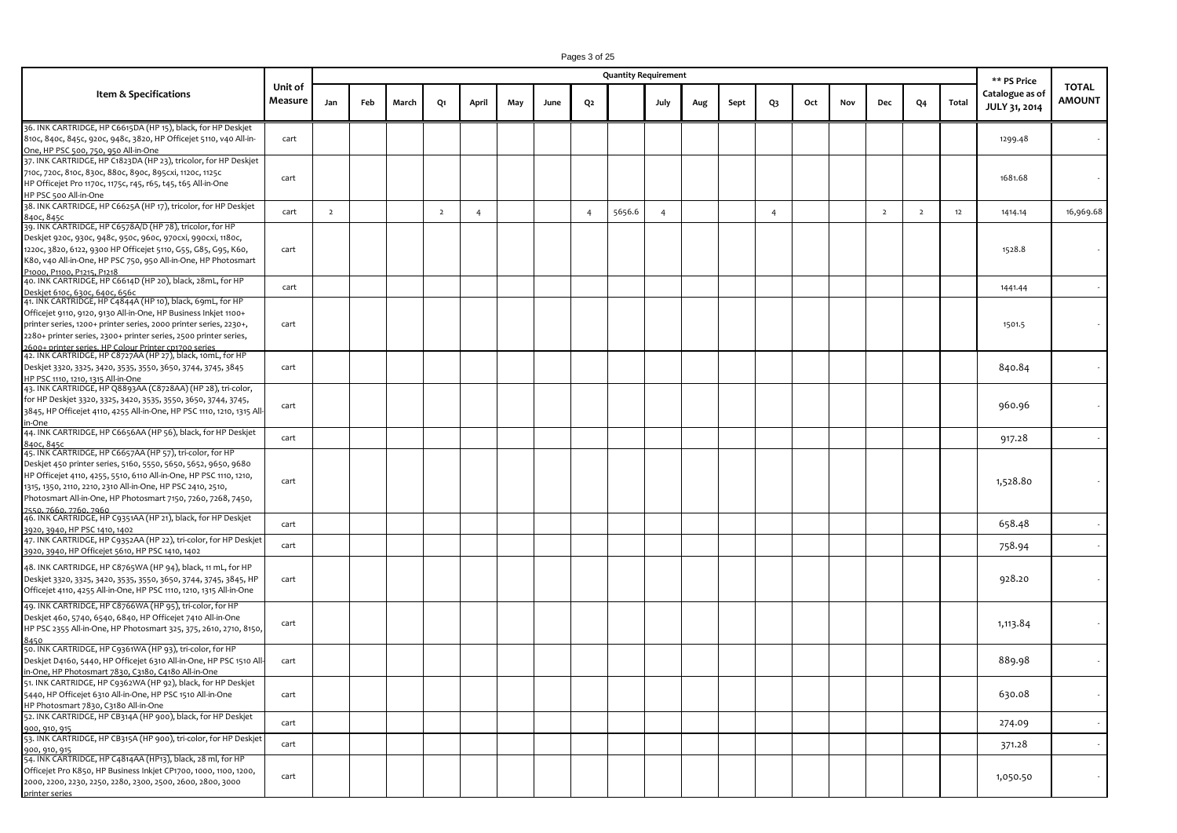|                                                                                                                                                                                                                                                                                                                                                           |                    |                |     |       |                |                |     |      |                | <b>Quantity Requirement</b> |                |     |      |                |     |     |                |                |       | ** PS Price                      |                               |
|-----------------------------------------------------------------------------------------------------------------------------------------------------------------------------------------------------------------------------------------------------------------------------------------------------------------------------------------------------------|--------------------|----------------|-----|-------|----------------|----------------|-----|------|----------------|-----------------------------|----------------|-----|------|----------------|-----|-----|----------------|----------------|-------|----------------------------------|-------------------------------|
| <b>Item &amp; Specifications</b>                                                                                                                                                                                                                                                                                                                          | Unit of<br>Measure | Jan            | Feb | March | Q1             | April          | May | June | Q2             |                             | July           | Aug | Sept | Q3             | Oct | Nov | Dec            | Q4             | Total | Catalogue as of<br>JULY 31, 2014 | <b>TOTAL</b><br><b>AMOUNT</b> |
| 36. INK CARTRIDGE, HP C6615DA (HP 15), black, for HP Deskjet<br>810c, 840c, 845c, 920c, 948c, 3820, HP Officejet 5110, v40 All-in-<br>One, HP PSC 500, 750, 950 All-in-One                                                                                                                                                                                | cart               |                |     |       |                |                |     |      |                |                             |                |     |      |                |     |     |                |                |       | 1299.48                          |                               |
| 37. INK CARTRIDGE, HP C1823DA (HP 23), tricolor, for HP Deskjet<br>710с, 720с, 810с, 830с, 880с, 890с, 895схі, 1120с, 1125с<br>HP Officejet Pro 1170c, 1175c, r45, r65, t45, t65 All-in-One<br>HP PSC 500 All-in-One                                                                                                                                      | cart               |                |     |       |                |                |     |      |                |                             |                |     |      |                |     |     |                |                |       | 1681.68                          |                               |
| 38. INK CARTRIDGE, HP C6625A (HP 17), tricolor, for HP Deskjet<br>84ос, 845с                                                                                                                                                                                                                                                                              | cart               | $\overline{2}$ |     |       | $\overline{2}$ | $\overline{4}$ |     |      | $\overline{4}$ | 5656.6                      | $\overline{4}$ |     |      | $\overline{4}$ |     |     | $\overline{2}$ | $\overline{2}$ | 12    | 1414.14                          | 16,969.68                     |
| 39. INK CARTRIDGE, HP C6578A/D (HP 78), tricolor, for HP<br>Deskjet 920c, 930c, 948c, 950c, 960c, 970cxi, 990cxi, 1180c,<br>1220c, 3820, 6122, 9300 HP Officejet 5110, G55, G85, G95, K60,<br>K8o, v4o All-in-One, HP PSC 75o, 95o All-in-One, HP Photosmart<br>P1000, P1100, P1215, P1218                                                                | cart               |                |     |       |                |                |     |      |                |                             |                |     |      |                |     |     |                |                |       | 1528.8                           |                               |
| 40. INK CARTRIDGE, HP C6614D (HP 20), black, 28mL, for HP<br><u>Deskjet 610c, 630c, 640c, 656c</u>                                                                                                                                                                                                                                                        | cart               |                |     |       |                |                |     |      |                |                             |                |     |      |                |     |     |                |                |       | 1441.44                          |                               |
| 41. INK CARTRIDGE, HP C4844A (HP 10), black, 69mL, for HP<br>Officejet 9110, 9120, 9130 All-in-One, HP Business Inkjet 1100+<br>printer series, 1200+ printer series, 2000 printer series, 2230+,<br>2280+ printer series, 2300+ printer series, 2500 printer series,                                                                                     | cart               |                |     |       |                |                |     |      |                |                             |                |     |      |                |     |     |                |                |       | 1501.5                           |                               |
| 2600+ printer series. HP Colour Printer cp1700 series<br>42. INK CARTRIDGE, HP C8727AA (HP 27), black, 10mL, for HP<br>Deskjet 3320, 3325, 3420, 3535, 3550, 3650, 3744, 3745, 3845<br>HP PSC 1110, 1210, 1315 All-in-One                                                                                                                                 | cart               |                |     |       |                |                |     |      |                |                             |                |     |      |                |     |     |                |                |       | 840.84                           |                               |
| 43. INK CARTRIDGE, HP Q8893AA (C8728AA) (HP 28), tri-color,<br>for HP Deskjet 3320, 3325, 3420, 3535, 3550, 3650, 3744, 3745,<br>3845, HP Officejet 4110, 4255 All-in-One, HP PSC 1110, 1210, 1315 All-<br>in-One                                                                                                                                         | cart               |                |     |       |                |                |     |      |                |                             |                |     |      |                |     |     |                |                |       | 960.96                           |                               |
| 44. INK CARTRIDGE, HP C6656AA (HP 56), black, for HP Deskjet<br>84ос, 845с                                                                                                                                                                                                                                                                                | cart               |                |     |       |                |                |     |      |                |                             |                |     |      |                |     |     |                |                |       | 917.28                           |                               |
| 45. INK CARTRIDGE, HP C6657AA (HP 57), tri-color, for HP<br>Deskjet 450 printer series, 5160, 5550, 5650, 5652, 9650, 9680<br>HP Officejet 4110, 4255, 5510, 6110 All-in-One, HP PSC 1110, 1210,<br>1315, 1350, 2110, 2210, 2310 All-in-One, HP PSC 2410, 2510,<br>Photosmart All-in-One, HP Photosmart 7150, 7260, 7268, 7450,<br>7550, 7660, 7760, 7960 | cart               |                |     |       |                |                |     |      |                |                             |                |     |      |                |     |     |                |                |       | 1,528.80                         |                               |
| 46. INK CARTRIDGE, HP C9351AA (HP 21), black, for HP Deskjet<br>3920, 3940, HP PSC 1410, 1402                                                                                                                                                                                                                                                             | cart               |                |     |       |                |                |     |      |                |                             |                |     |      |                |     |     |                |                |       | 658.48                           |                               |
| 47. INK CARTRIDGE, HP C9352AA (HP 22), tri-color, for HP Deskjet<br>3920, 3940, HP Officejet 5610, HP PSC 1410, 1402                                                                                                                                                                                                                                      | cart               |                |     |       |                |                |     |      |                |                             |                |     |      |                |     |     |                |                |       | 758.94                           |                               |
| 48. INK CARTRIDGE, HP C8765WA (HP 94), black, 11 mL, for HP<br>Deskjet 3320, 3325, 3420, 3535, 3550, 3650, 3744, 3745, 3845, HP<br>Officejet 4110, 4255 All-in-One, HP PSC 1110, 1210, 1315 All-in-One                                                                                                                                                    | cart               |                |     |       |                |                |     |      |                |                             |                |     |      |                |     |     |                |                |       | 928.20                           |                               |
| 49. INK CARTRIDGE, HP C8766WA (HP 95), tri-color, for HP<br>Deskjet 460, 5740, 6540, 6840, HP Officejet 7410 All-in-One<br>HP PSC 2355 All-in-One, HP Photosmart 325, 375, 2610, 2710, 8150,                                                                                                                                                              | cart               |                |     |       |                |                |     |      |                |                             |                |     |      |                |     |     |                |                |       | 1,113.84                         |                               |
| 50. INK CARTRIDGE, HP C9361WA (HP 93), tri-color, for HP<br>Deskjet D4160, 5440, HP Officejet 6310 All-in-One, HP PSC 1510 All-<br>in-One, HP Photosmart 7830, C3180, C4180 All-in-One                                                                                                                                                                    | cart               |                |     |       |                |                |     |      |                |                             |                |     |      |                |     |     |                |                |       | 889.98                           |                               |
| 51. INK CARTRIDGE, HP C9362WA (HP 92), black, for HP Deskjet<br>5440, HP Officejet 6310 All-in-One, HP PSC 1510 All-in-One<br>HP Photosmart 7830, C3180 All-in-One                                                                                                                                                                                        | cart               |                |     |       |                |                |     |      |                |                             |                |     |      |                |     |     |                |                |       | 630.08                           |                               |
| 52. INK CARTRIDGE, HP CB314A (HP 900), black, for HP Deskjet<br>900, 910, 915                                                                                                                                                                                                                                                                             | cart               |                |     |       |                |                |     |      |                |                             |                |     |      |                |     |     |                |                |       | 274.09                           |                               |
| 53. INK CARTRIDGE, HP CB315A (HP 900), tri-color, for HP Deskjet<br>900, 910, 915                                                                                                                                                                                                                                                                         | cart               |                |     |       |                |                |     |      |                |                             |                |     |      |                |     |     |                |                |       | 371.28                           |                               |
| 54. INK CARTRIDGE, HP C4814AA (HP13), black, 28 ml, for HP<br>Officejet Pro K850, HP Business Inkjet CP1700, 1000, 1100, 1200,<br>2000, 2200, 2230, 2250, 2280, 2300, 2500, 2600, 2800, 3000                                                                                                                                                              | cart               |                |     |       |                |                |     |      |                |                             |                |     |      |                |     |     |                |                |       | 1,050.50                         |                               |

printer series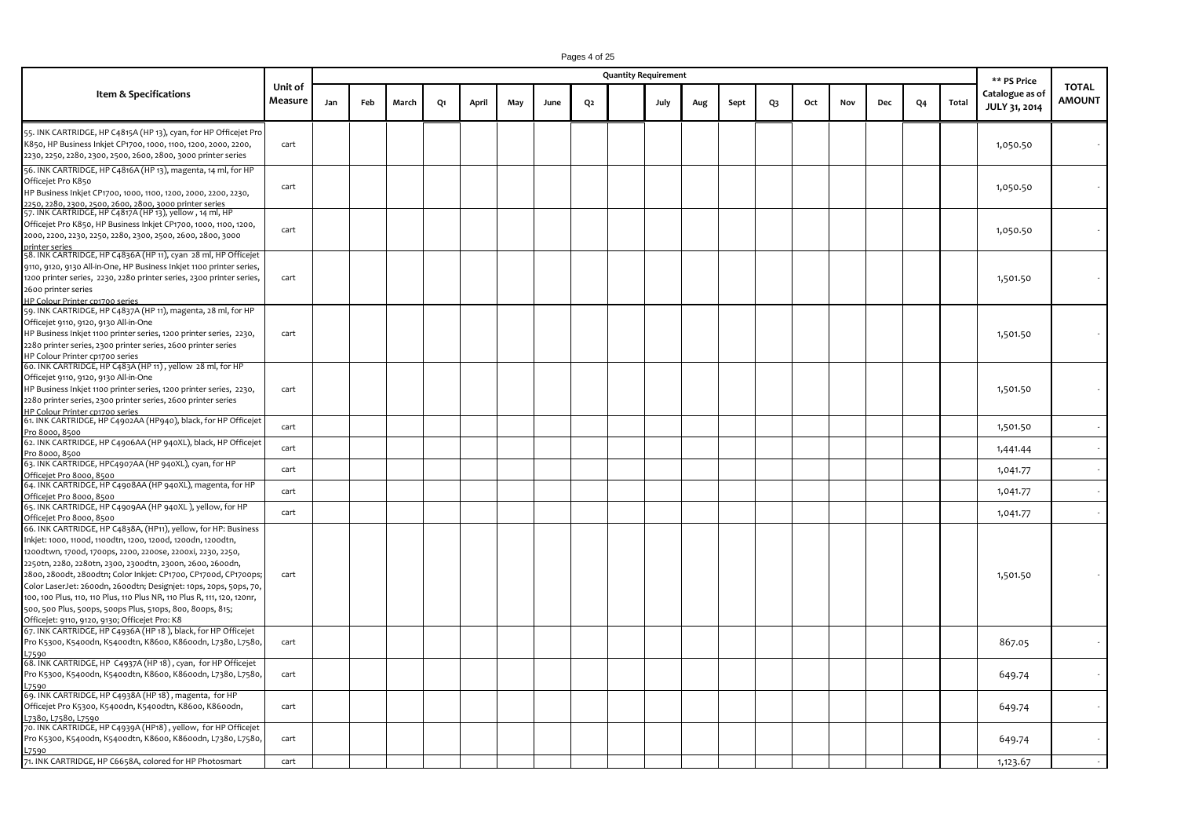|                                                                                                                                                                                                                                                                                                                                                                                                                                                                                                                                                                                            |                    |     |     |       |    |       |     |      |    | <b>Quantity Requirement</b> |      |     |      |    |     |     |     |                |       | ** PS Price                      |                               |
|--------------------------------------------------------------------------------------------------------------------------------------------------------------------------------------------------------------------------------------------------------------------------------------------------------------------------------------------------------------------------------------------------------------------------------------------------------------------------------------------------------------------------------------------------------------------------------------------|--------------------|-----|-----|-------|----|-------|-----|------|----|-----------------------------|------|-----|------|----|-----|-----|-----|----------------|-------|----------------------------------|-------------------------------|
| Item & Specifications                                                                                                                                                                                                                                                                                                                                                                                                                                                                                                                                                                      | Unit of<br>Measure | Jan | Feb | March | Q1 | April | May | June | Q2 |                             | July | Aug | Sept | Q3 | Oct | Nov | Dec | Q <sub>4</sub> | Total | Catalogue as of<br>JULY 31, 2014 | <b>TOTAL</b><br><b>AMOUNT</b> |
| 55. INK CARTRIDGE, HP C4815A (HP 13), cyan, for HP Officejet Pro<br>K850, HP Business Inkjet CP1700, 1000, 1100, 1200, 2000, 2200,<br>2230, 2250, 2280, 2300, 2500, 2600, 2800, 3000 printer series                                                                                                                                                                                                                                                                                                                                                                                        | cart               |     |     |       |    |       |     |      |    |                             |      |     |      |    |     |     |     |                |       | 1,050.50                         |                               |
| 56. INK CARTRIDGE, HP C4816A (HP 13), magenta, 14 ml, for HP<br>Officejet Pro K850<br>HP Business Inkjet CP1700, 1000, 1100, 1200, 2000, 2200, 2230,<br>2250, 2280, 2300, 2500, 2600, 2800, 3000 printer series                                                                                                                                                                                                                                                                                                                                                                            | cart               |     |     |       |    |       |     |      |    |                             |      |     |      |    |     |     |     |                |       | 1,050.50                         |                               |
| 57. INK CARTRIDGE, HP C4817A (HP 13), yellow, 14 ml, HP<br>Officejet Pro K850, HP Business Inkjet CP1700, 1000, 1100, 1200,<br>2000, 2200, 2230, 2250, 2280, 2300, 2500, 2600, 2800, 3000<br>printer series                                                                                                                                                                                                                                                                                                                                                                                | cart               |     |     |       |    |       |     |      |    |                             |      |     |      |    |     |     |     |                |       | 1,050.50                         |                               |
| 58. INK CARTRIDGE, HP C4836A (HP 11), cyan 28 ml, HP Officejet<br>9110, 9120, 9130 All-in-One, HP Business Inkjet 1100 printer series,<br>1200 printer series, 2230, 2280 printer series, 2300 printer series,<br>2600 printer series<br>HP Colour Printer cp1700 series                                                                                                                                                                                                                                                                                                                   | cart               |     |     |       |    |       |     |      |    |                             |      |     |      |    |     |     |     |                |       | 1,501.50                         |                               |
| 59. INK CARTRIDGE, HP C4837A (HP 11), magenta, 28 ml, for HP<br>Officejet 9110, 9120, 9130 All-in-One<br>HP Business Inkjet 1100 printer series, 1200 printer series, 2230,<br>2280 printer series, 2300 printer series, 2600 printer series<br>HP Colour Printer cp1700 series                                                                                                                                                                                                                                                                                                            | cart               |     |     |       |    |       |     |      |    |                             |      |     |      |    |     |     |     |                |       | 1,501.50                         |                               |
| 60. INK CARTRIDGE, HP C483A (HP 11), yellow 28 ml, for HP<br>Officejet 9110, 9120, 9130 All-in-One<br>HP Business Inkjet 1100 printer series, 1200 printer series, 2230,<br>2280 printer series, 2300 printer series, 2600 printer series<br>HP Colour Printer cp1700 series                                                                                                                                                                                                                                                                                                               | cart               |     |     |       |    |       |     |      |    |                             |      |     |      |    |     |     |     |                |       | 1,501.50                         |                               |
| 61. INK CARTRIDGE, HP C4902AA (HP940), black, for HP Officejet<br>Pro 8000, 8500                                                                                                                                                                                                                                                                                                                                                                                                                                                                                                           | cart               |     |     |       |    |       |     |      |    |                             |      |     |      |    |     |     |     |                |       | 1,501.50                         |                               |
| 62. INK CARTRIDGE, HP C4906AA (HP 940XL), black, HP Officejet<br>Pro 8000, 8500                                                                                                                                                                                                                                                                                                                                                                                                                                                                                                            | cart               |     |     |       |    |       |     |      |    |                             |      |     |      |    |     |     |     |                |       | 1,441.44                         |                               |
| 63. INK CARTRIDGE, HPC4907AA (HP 940XL), cyan, for HP<br>Officejet Pro 8000, 8500                                                                                                                                                                                                                                                                                                                                                                                                                                                                                                          | cart               |     |     |       |    |       |     |      |    |                             |      |     |      |    |     |     |     |                |       | 1,041.77                         |                               |
| 64. INK CARTRIDGE, HP C4908AA (HP 940XL), magenta, for HP<br>Officejet Pro 8000, 8500                                                                                                                                                                                                                                                                                                                                                                                                                                                                                                      | cart               |     |     |       |    |       |     |      |    |                             |      |     |      |    |     |     |     |                |       | 1,041.77                         |                               |
| 65. INK CARTRIDGE, HP C4909AA (HP 940XL), yellow, for HP<br>Officejet Pro 8000, 8500                                                                                                                                                                                                                                                                                                                                                                                                                                                                                                       | cart               |     |     |       |    |       |     |      |    |                             |      |     |      |    |     |     |     |                |       | 1,041.77                         |                               |
| 66. INK CARTRIDGE, HP C4838A, (HP11), yellow, for HP: Business<br>Inkjet: 1000, 1100d, 1100dtn, 1200, 1200d, 1200dn, 1200dtn,<br>1200dtwn, 1700d, 1700ps, 2200, 2200se, 2200xi, 2230, 2250,<br>2250tn, 2280, 2280tn, 2300, 2300dtn, 2300n, 2600, 2600dn,<br>2800, 2800dt, 2800dtn; Color Inkjet: CP1700, CP1700d, CP1700ps;<br>Color LaserJet: 2600dn, 2600dtn; Designjet: 10ps, 20ps, 50ps, 70,<br>100, 100 Plus, 110, 110 Plus, 110 Plus NR, 110 Plus R, 111, 120, 120nr,<br>500, 500 Plus, 500ps, 500ps Plus, 510ps, 800, 800ps, 815;<br>Officejet: 9110, 9120, 9130; Officejet Pro: K8 | cart               |     |     |       |    |       |     |      |    |                             |      |     |      |    |     |     |     |                |       | 1,501.50                         |                               |
| 67. INK CARTRIDGE, HP C4936A (HP 18), black, for HP Officejet<br>Pro K5300, K5400dn, K5400dtn, K8600, K8600dn, L7380, L7580,<br>L7590                                                                                                                                                                                                                                                                                                                                                                                                                                                      | cart               |     |     |       |    |       |     |      |    |                             |      |     |      |    |     |     |     |                |       | 867.05                           |                               |
| 68. INK CARTRIDGE, HP C4937A (HP 18), cyan, for HP Officejet<br>Pro K5300, K5400dn, K5400dtn, K8600, K8600dn, L7380, L7580,                                                                                                                                                                                                                                                                                                                                                                                                                                                                | cart               |     |     |       |    |       |     |      |    |                             |      |     |      |    |     |     |     |                |       | 649.74                           |                               |
| 69. INK CARTRIDGE, HP C4938A (HP 18), magenta, for HP<br>Officejet Pro K5300, K5400dn, K5400dtn, K8600, K8600dn,<br>L7380, L7580, L7590                                                                                                                                                                                                                                                                                                                                                                                                                                                    | cart               |     |     |       |    |       |     |      |    |                             |      |     |      |    |     |     |     |                |       | 649.74                           |                               |
| 70. INK CARTRIDGE, HP C4939A (HP18), yellow, for HP Officejet<br>Pro K5300, K5400dn, K5400dtn, K8600, K8600dn, L7380, L7580,<br>L7590                                                                                                                                                                                                                                                                                                                                                                                                                                                      | cart               |     |     |       |    |       |     |      |    |                             |      |     |      |    |     |     |     |                |       | 649.74                           |                               |
| 71. INK CARTRIDGE, HP C6658A, colored for HP Photosmart                                                                                                                                                                                                                                                                                                                                                                                                                                                                                                                                    | cart               |     |     |       |    |       |     |      |    |                             |      |     |      |    |     |     |     |                |       | 1,123.67                         |                               |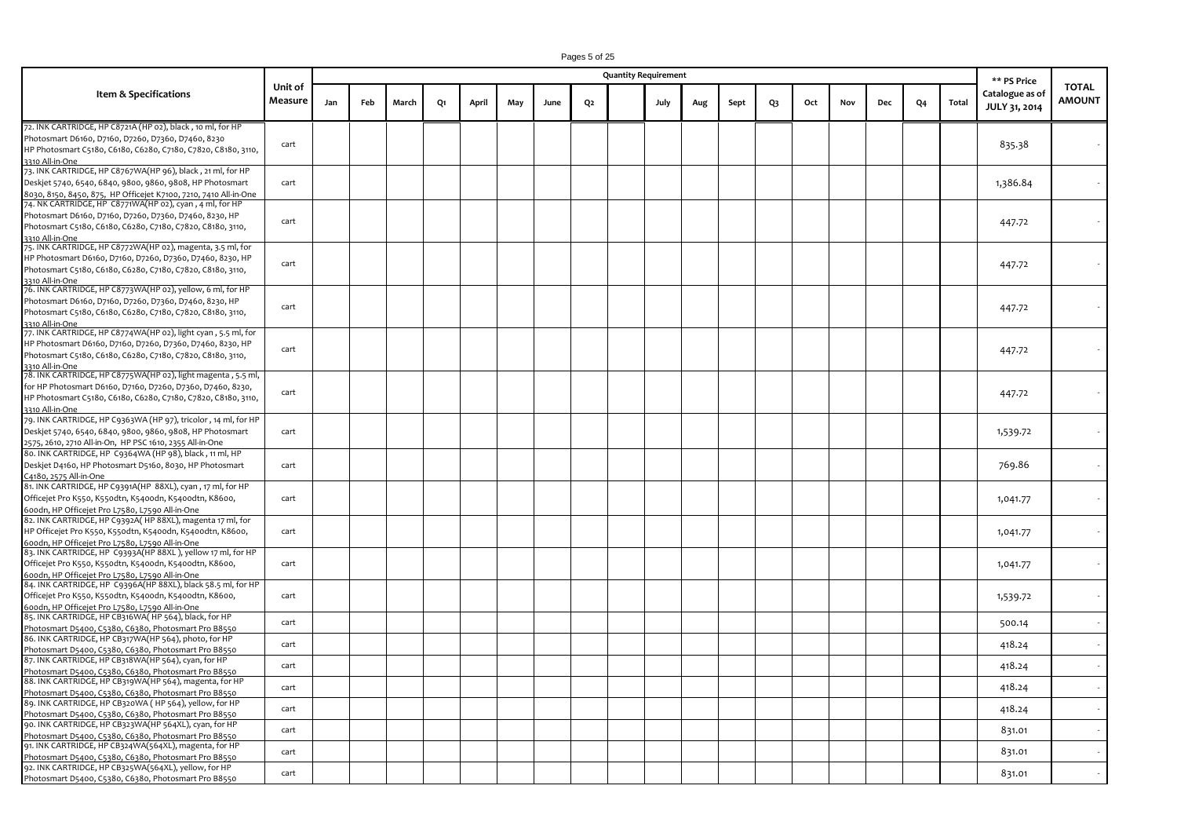|                                                                                                                                                                                                                                     |                    |     |     |       |    |       |     |      |                | <b>Quantity Requirement</b> |     |      |    |     |     |     |                |       | ** PS Price                      |                               |
|-------------------------------------------------------------------------------------------------------------------------------------------------------------------------------------------------------------------------------------|--------------------|-----|-----|-------|----|-------|-----|------|----------------|-----------------------------|-----|------|----|-----|-----|-----|----------------|-------|----------------------------------|-------------------------------|
| Item & Specifications                                                                                                                                                                                                               | Unit of<br>Measure | Jan | Feb | March | Q1 | April | May | June | Q <sub>2</sub> | July                        | Aug | Sept | Q3 | Oct | Nov | Dec | Q <sub>4</sub> | Total | Catalogue as of<br>JULY 31, 2014 | <b>TOTAL</b><br><b>AMOUNT</b> |
| 72. INK CARTRIDGE, HP C8721A (HP 02), black , 10 ml, for HP<br>Photosmart D6160, D7160, D7260, D7360, D7460, 8230<br>HP Photosmart C5180, C6180, C6280, C7180, C7820, C8180, 3110,<br>3310 All-in-One                               | cart               |     |     |       |    |       |     |      |                |                             |     |      |    |     |     |     |                |       | 835.38                           |                               |
| 73. INK CARTRIDGE, HP C8767WA(HP 96), black , 21 ml, for HP<br>Deskjet 5740, 6540, 6840, 9800, 9860, 9808, HP Photosmart<br>8030, 8150, 8450, 875,  HP Officejet K7100, 7210, 7410 All-in-One                                       | cart               |     |     |       |    |       |     |      |                |                             |     |      |    |     |     |     |                |       | 1,386.84                         |                               |
| 74. NK CARTRIDGE, HP C8771WA(HP 02), cyan , 4 ml, for HP<br>Photosmart D6160, D7160, D7260, D7360, D7460, 8230, HP<br>Photosmart C5180, C6180, C6280, C7180, C7820, C8180, 3110,<br>3310 All-in-One                                 | cart               |     |     |       |    |       |     |      |                |                             |     |      |    |     |     |     |                |       | 447.72                           |                               |
| 75. INK CARTRIDGE, HP C8772WA(HP 02), magenta, 3.5 ml, for<br>HP Photosmart D6160, D7160, D7260, D7360, D7460, 8230, HP<br>Photosmart C5180, C6180, C6280, C7180, C7820, C8180, 3110,<br>3310 All-in-One                            | cart               |     |     |       |    |       |     |      |                |                             |     |      |    |     |     |     |                |       | 447.72                           |                               |
| 76. INK CARTRIDGE, HP C8773WA(HP 02), yellow, 6 ml, for HP<br>Photosmart D6160, D7160, D7260, D7360, D7460, 8230, HP<br>Photosmart C5180, C6180, C6280, C7180, C7820, C8180, 3110,<br>3310 All-in-One                               | cart               |     |     |       |    |       |     |      |                |                             |     |      |    |     |     |     |                |       | 447.72                           |                               |
| 77. INK CARTRIDGE, HP C8774WA(HP 02), light cyan , 5.5 ml, for<br>HP Photosmart D6160, D7160, D7260, D7360, D7460, 8230, HP<br>Photosmart C5180, C6180, C6280, C7180, C7820, C8180, 3110,<br>3310 All-in-One                        | cart               |     |     |       |    |       |     |      |                |                             |     |      |    |     |     |     |                |       | 447.72                           |                               |
| 78. INK CARTRIDGE, HP C8775WA(HP 02), light magenta , 5.5 ml,<br>for HP Photosmart D6160, D7160, D7260, D7360, D7460, 8230,<br>HP Photosmart C5180, C6180, C6280, C7180, C7820, C8180, 3110,<br>3310 All-in-One                     | cart               |     |     |       |    |       |     |      |                |                             |     |      |    |     |     |     |                |       | 447.72                           |                               |
| 79. INK CARTRIDGE, HP C9363WA (HP 97), tricolor , 14 ml, for HP<br>Deskjet 5740, 6540, 6840, 9800, 9860, 9808, HP Photosmart<br>2575, 2610, 2710 All-in-On, HP PSC 1610, 2355 All-in-One                                            | cart               |     |     |       |    |       |     |      |                |                             |     |      |    |     |     |     |                |       | 1,539.72                         |                               |
| 80. INK CARTRIDGE, HP C9364WA (HP 98), black, 11 ml, HP<br>Deskjet D4160, HP Photosmart D5160, 8030, HP Photosmart<br>C4180, 2575 All-in-One                                                                                        | cart               |     |     |       |    |       |     |      |                |                             |     |      |    |     |     |     |                |       | 769.86                           |                               |
| 81. INK CARTRIDGE, HP C9391A(HP 88XL), cyan, 17 ml, for HP<br>Officejet Pro K550, K55odtn, K540odn, K540odtn, K8600,<br>600dn, HP Officejet Pro L7580, L7590 All-in-One                                                             | cart               |     |     |       |    |       |     |      |                |                             |     |      |    |     |     |     |                |       | 1,041.77                         |                               |
| 82. INK CARTRIDGE, HP C9392A(HP 88XL), magenta 17 ml, for<br>HP Officejet Pro K550, K55odtn, K540odn, K540odtn, K8600,<br>600dn, HP Officejet Pro L7580, L7590 All-in-One                                                           | cart               |     |     |       |    |       |     |      |                |                             |     |      |    |     |     |     |                |       | 1,041.77                         |                               |
| 83. INK CARTRIDGE, HP C9393A(HP 88XL ), yellow 17 ml, for HP<br>Officejet Pro K550, K55odtn, K540odn, K540odtn, K8600,<br>600dn, HP Officejet Pro L7580, L7590 All-in-One                                                           | cart               |     |     |       |    |       |     |      |                |                             |     |      |    |     |     |     |                |       | 1,041.77                         |                               |
| 84. INK CARTRIDGE, HP  C9396A(HP 88XL), black 58.5 ml, for HP<br>Officejet Pro K550, K55odtn, K540odn, K540odtn, K8600,<br>600dn, HP Officejet Pro L7580, L7590 All-in-One<br>85. INK CARTRIDGE, HP CB316WA( HP 564), black, for HP | cart               |     |     |       |    |       |     |      |                |                             |     |      |    |     |     |     |                |       | 1,539.72                         |                               |
| Photosmart D5400, C5380, C6380, Photosmart Pro B8550<br>86. INK CARTRIDGE, HP CB317WA(HP 564), photo, for HP                                                                                                                        | cart<br>cart       |     |     |       |    |       |     |      |                |                             |     |      |    |     |     |     |                |       | 500.14<br>418.24                 |                               |
| Photosmart D5400, C5380, C6380, Photosmart Pro B8550<br>87. INK CARTRIDGE, HP CB318WA(HP 564), cyan, for HP<br>Photosmart D5400, C5380, C6380, Photosmart Pro B8550                                                                 | cart               |     |     |       |    |       |     |      |                |                             |     |      |    |     |     |     |                |       | 418.24                           |                               |
| 88. INK CARTRIDGE, HP CB319WA(HP 564), magenta, for HP<br>Photosmart D5400, C5380, C6380, Photosmart Pro B8550<br>89. INK CARTRIDGE, HP CB320WA ( HP 564), yellow, for HP                                                           | cart<br>cart       |     |     |       |    |       |     |      |                |                             |     |      |    |     |     |     |                |       | 418.24<br>418.24                 |                               |
| Photosmart D5400, C5380, C6380, Photosmart Pro B8550<br>90. INK CARTRIDGE, HP CB323WA(HP 564XL), cyan, for HP<br>Photosmart D5400, C5380, C6380, Photosmart Pro B8550                                                               | cart               |     |     |       |    |       |     |      |                |                             |     |      |    |     |     |     |                |       | 831.01                           |                               |
| 91. INK CARTRIDGE, HP CB324WA(564XL), magenta, for HP<br>Photosmart D5400, C5380, C6380, Photosmart Pro B8550<br>92. INK CARTRIDGE, HP CB325WA(564XL), yellow, for HP<br>Photosmart D5400, C5380, C6380, Photosmart Pro B8550       | cart<br>cart       |     |     |       |    |       |     |      |                |                             |     |      |    |     |     |     |                |       | 831.01<br>831.01                 |                               |

Pages 5 of 25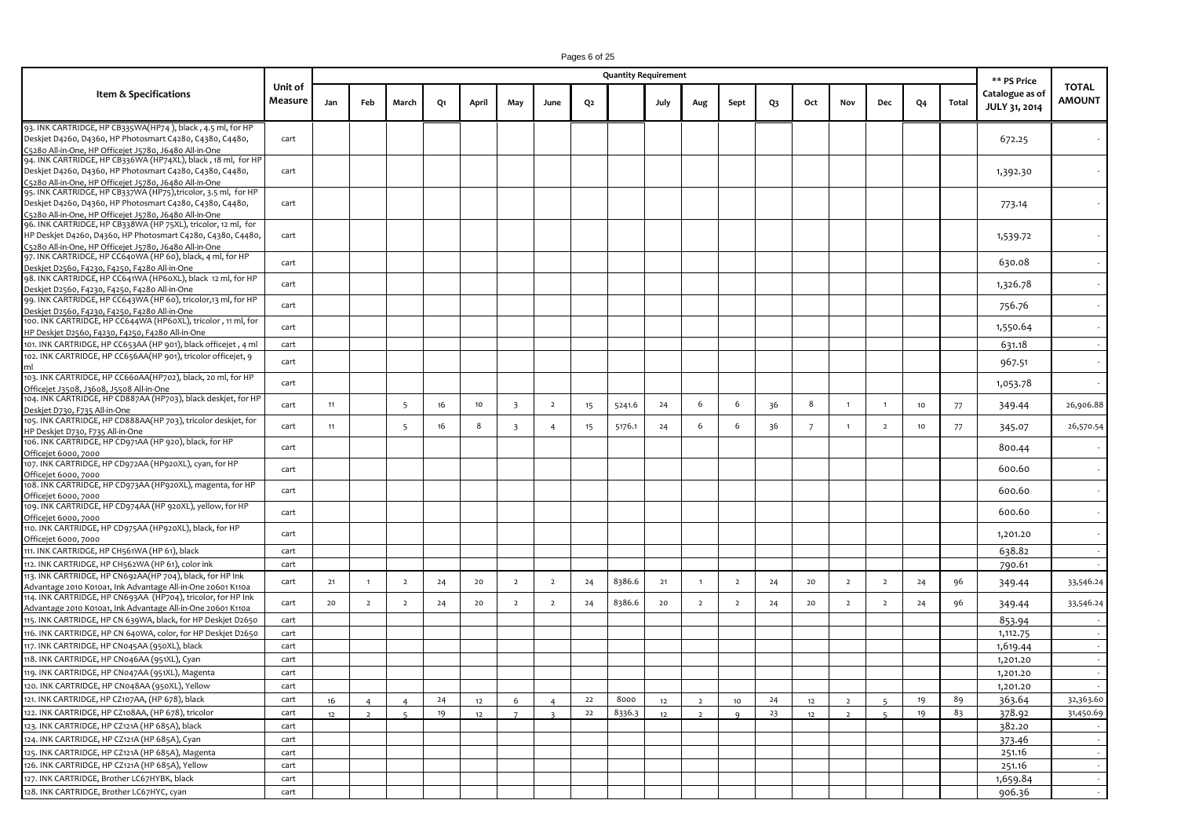|                                                                                                                                                                                        |                    |          |                                  |                                            |          |          |                         |                |                | <b>Quantity Requirement</b> |          |                                  |                      |          |                |                                  |                                |          |          | ** PS Price                             |                        |
|----------------------------------------------------------------------------------------------------------------------------------------------------------------------------------------|--------------------|----------|----------------------------------|--------------------------------------------|----------|----------|-------------------------|----------------|----------------|-----------------------------|----------|----------------------------------|----------------------|----------|----------------|----------------------------------|--------------------------------|----------|----------|-----------------------------------------|------------------------|
| Item & Specifications                                                                                                                                                                  | Unit of<br>Measure | Jan      | Feb                              | March                                      | Q1       | April    | May                     | June           | Q <sub>2</sub> |                             | July     | Aug                              | Sept                 | Q3       | Oct            | Nov                              | Dec                            | Q4       | Total    | Catalogue as of<br><b>JULY 31, 2014</b> | <b>TOTAL</b><br>AMOUNT |
| 93. INK CARTRIDGE, HP CB335WA(HP74), black, 4.5 ml, for HP<br>Deskjet D4260, D4360, HP Photosmart C4280, C4380, C4480,<br>C5280 All-in-One, HP Officejet J5780, J6480 All-in-One       | cart               |          |                                  |                                            |          |          |                         |                |                |                             |          |                                  |                      |          |                |                                  |                                |          |          | 672.25                                  |                        |
| 94. INK CARTRIDGE, HP CB336WA (HP74XL), black, 18 ml, for HP<br>Deskjet D4260, D4360, HP Photosmart C4280, C4380, C4480,<br>C5280 All-in-One, HP Officejet J5780, J6480 All-in-One     | cart               |          |                                  |                                            |          |          |                         |                |                |                             |          |                                  |                      |          |                |                                  |                                |          |          | 1,392.30                                |                        |
| 95. INK CARTRIDGE, HP CB337WA (HP75), tricolor, 3.5 ml, for HP<br>Deskjet D4260, D4360, HP Photosmart C4280, C4380, C4480,<br>C5280 All-in-One, HP Officejet J5780, J6480 All-in-One   | cart               |          |                                  |                                            |          |          |                         |                |                |                             |          |                                  |                      |          |                |                                  |                                |          |          | 773.14                                  |                        |
| 96. INK CARTRIDGE, HP CB338WA (HP 75XL), tricolor, 12 ml, for<br>HP Deskjet D4260, D4360, HP Photosmart C4280, C4380, C4480,<br>C5280 All-in-One, HP Officejet J5780, J6480 All-in-One | cart               |          |                                  |                                            |          |          |                         |                |                |                             |          |                                  |                      |          |                |                                  |                                |          |          | 1,539.72                                |                        |
| 97. INK CARTRIDGE, HP CC640WA (HP 60), black, 4 ml, for HP<br>Deskjet D2560, F4230, F4250, F4280 All-in-One                                                                            | cart               |          |                                  |                                            |          |          |                         |                |                |                             |          |                                  |                      |          |                |                                  |                                |          |          | 630.08                                  |                        |
| 98. INK CARTRIDGE, HP CC641WA (HP60XL), black 12 ml, for HP<br>Deskjet D2560, F4230, F4250, F4280 All-in-One<br>99. INK CARTRIDGE, HP CC643WA (HP 60), tricolor,13 ml, for HP          | cart               |          |                                  |                                            |          |          |                         |                |                |                             |          |                                  |                      |          |                |                                  |                                |          |          | 1,326.78                                |                        |
| Deskjet D2560, F4230, F4250, F4280 All-in-One<br>100. INK CARTRIDGE, HP CC644WA (HP60XL), tricolor, 11 ml, for<br>HP Deskjet D2560, F4230, F4250, F4280 All-in-One                     | cart<br>cart       |          |                                  |                                            |          |          |                         |                |                |                             |          |                                  |                      |          |                |                                  |                                |          |          | 756.76<br>1,550.64                      |                        |
| 101. INK CARTRIDGE, HP CC653AA (HP 901), black officejet, 4 ml<br>102. INK CARTRIDGE, HP CC656AA(HP 901), tricolor officejet, 9                                                        | cart<br>cart       |          |                                  |                                            |          |          |                         |                |                |                             |          |                                  |                      |          |                |                                  |                                |          |          | 631.18<br>967.51                        |                        |
| 103. INK CARTRIDGE, HP CC660AA(HP702), black, 20 ml, for HP<br>Officejet J3508, J3608, J5508 All-in-One                                                                                | cart               |          |                                  |                                            |          |          |                         |                |                |                             |          |                                  |                      |          |                |                                  |                                |          |          | 1,053.78                                |                        |
| 104. INK CARTRIDGE, HP CD887AA (HP703), black deskjet, for HP<br>Deskiet D730, F735 All-in-One<br>105. INK CARTRIDGE, HP CD888AA(HP 703), tricolor deskjet, for                        | cart               | 11       |                                  | -5                                         | 16       | 10       | $\overline{\mathbf{3}}$ | $\overline{2}$ | 15             | 5241.6                      | 24       | 6                                | 6                    | 36       | 8              | $\overline{1}$                   | $\overline{1}$                 | 10       | 77       | 349.44                                  | 26,906.88              |
| HP Deskjet D730, F735 All-in-One<br>106. INK CARTRIDGE, HP CD971AA (HP 920), black, for HP                                                                                             | cart<br>cart       | 11       |                                  | 5                                          | 16       | 8        | $\overline{\mathbf{3}}$ | $\overline{4}$ | 15             | 5176.1                      | 24       | 6                                | 6                    | 36       | $\overline{7}$ |                                  | $\overline{2}$                 | 10       | 77       | 345.07<br>800.44                        | 26,570.54              |
| Officejet 6000, 7000<br>107. INK CARTRIDGE, HP CD972AA (HP920XL), cyan, for HP<br>Officejet 6000, 7000                                                                                 | cart               |          |                                  |                                            |          |          |                         |                |                |                             |          |                                  |                      |          |                |                                  |                                |          |          | 600.60                                  |                        |
| 108. INK CARTRIDGE, HP CD973AA (HP920XL), magenta, for HP<br>Officejet 6000, 7000<br>109. INK CARTRIDGE, HP CD974AA (HP 920XL), yellow, for HP                                         | cart               |          |                                  |                                            |          |          |                         |                |                |                             |          |                                  |                      |          |                |                                  |                                |          |          | 600.60                                  |                        |
| Officejet 6000, 7000<br>110. INK CARTRIDGE, HP CD975AA (HP920XL), black, for HP                                                                                                        | cart<br>cart       |          |                                  |                                            |          |          |                         |                |                |                             |          |                                  |                      |          |                |                                  |                                |          |          | 600.60<br>1,201.20                      |                        |
| Officejet 6000, 7000<br>111. INK CARTRIDGE, HP CH561WA (HP 61), black                                                                                                                  | cart               |          |                                  |                                            |          |          |                         |                |                |                             |          |                                  |                      |          |                |                                  |                                |          |          | 638.82                                  |                        |
| 112. INK CARTRIDGE, HP CH562WA (HP 61), color ink<br>113. INK CARTRIDGE, HP CN692AA(HP 704), black, for HP Ink<br>Advantage 2010 K010a1, Ink Advantage All-in-One 20601 K110a          | cart<br>cart       | 21       |                                  | $\overline{2}$                             | 24       | 20       | $\overline{2}$          | $\overline{2}$ | 24             | 8386.6                      | 21       |                                  | $\overline{2}$       | 24       | 20             | $\overline{2}$                   | $\overline{2}$                 | 24       | 96       | 790.61<br>349.44                        | 33,546.24              |
| 114. INK CARTRIDGE, HP CN693AA (HP704), tricolor, for HP Ink<br>Advantage 2010 K010a1, Ink Advantage All-in-One 20601 K110a                                                            | cart               | 20       | $\overline{2}$                   | $\overline{2}$                             | 24       | 20       | $\overline{2}$          | $\overline{2}$ | 24             | 8386.6                      | 20       | $\overline{2}$                   | $\overline{2}$       | 24       | 20             | $\overline{2}$                   | $\overline{2}$                 | 24       | 96       | 349.44                                  | 33,546.24              |
| 115. INK CARTRIDGE, HP CN 639WA, black, for HP Deskjet D2650<br>116. INK CARTRIDGE, HP CN 640WA, color, for HP Deskjet D2650                                                           | cart<br>cart       |          |                                  |                                            |          |          |                         |                |                |                             |          |                                  |                      |          |                |                                  |                                |          |          | 853.94<br>1,112.75                      |                        |
| 117. INK CARTRIDGE, HP CN045AA (950XL), black<br>118. INK CARTRIDGE, HP CN046AA (951XL), Cyan                                                                                          | cart<br>cart       |          |                                  |                                            |          |          |                         |                |                |                             |          |                                  |                      |          |                |                                  |                                |          |          | 1,619.44<br>1,201.20                    |                        |
| 119. INK CARTRIDGE, HP CN047AA (951XL), Magenta<br>120. INK CARTRIDGE, HP CN048AA (950XL), Yellow                                                                                      | cart<br>cart       |          |                                  |                                            |          |          |                         |                |                |                             |          |                                  |                      |          |                |                                  |                                |          |          | 1,201.20<br>1,201.20                    |                        |
| 121. INK CARTRIDGE, HP CZ107AA, (HP 678), black<br>122. INK CARTRIDGE, HP CZ108AA, (HP 678), tricolor                                                                                  | cart<br>cart       | 16<br>12 | $\overline{4}$<br>$\overline{2}$ | $\overline{4}$<br>$\overline{\phantom{a}}$ | 24<br>19 | 12<br>12 | 6<br>$\overline{7}$     | $\overline{a}$ | 22<br>22       | 8000<br>8336.3              | 12<br>12 | $\overline{2}$<br>$\overline{z}$ | $10$<br>$\mathbf{q}$ | 24<br>23 | 12<br>12       | $\overline{2}$<br>$\overline{2}$ | -5<br>$\overline{\phantom{a}}$ | 19<br>19 | 89<br>83 | 363.64<br>378.92                        | 32,363.60<br>31,450.69 |
| 123. INK CARTRIDGE, HP CZ121A (HP 685A), black<br>124. INK CARTRIDGE, HP CZ121A (HP 685A), Cyan                                                                                        | cart<br>cart       |          |                                  |                                            |          |          |                         |                |                |                             |          |                                  |                      |          |                |                                  |                                |          |          | 382.20<br>373.46                        |                        |
| 125. INK CARTRIDGE, HP CZ121A (HP 685A), Magenta<br>126. INK CARTRIDGE, HP CZ121A (HP 685A), Yellow                                                                                    | cart<br>cart       |          |                                  |                                            |          |          |                         |                |                |                             |          |                                  |                      |          |                |                                  |                                |          |          | 251.16<br>251.16                        |                        |
| 127. INK CARTRIDGE, Brother LC67HYBK, black<br>128. INK CARTRIDGE, Brother LC67HYC, cyan                                                                                               | cart<br>cart       |          |                                  |                                            |          |          |                         |                |                |                             |          |                                  |                      |          |                |                                  |                                |          |          | 1,659.84<br>906.36                      |                        |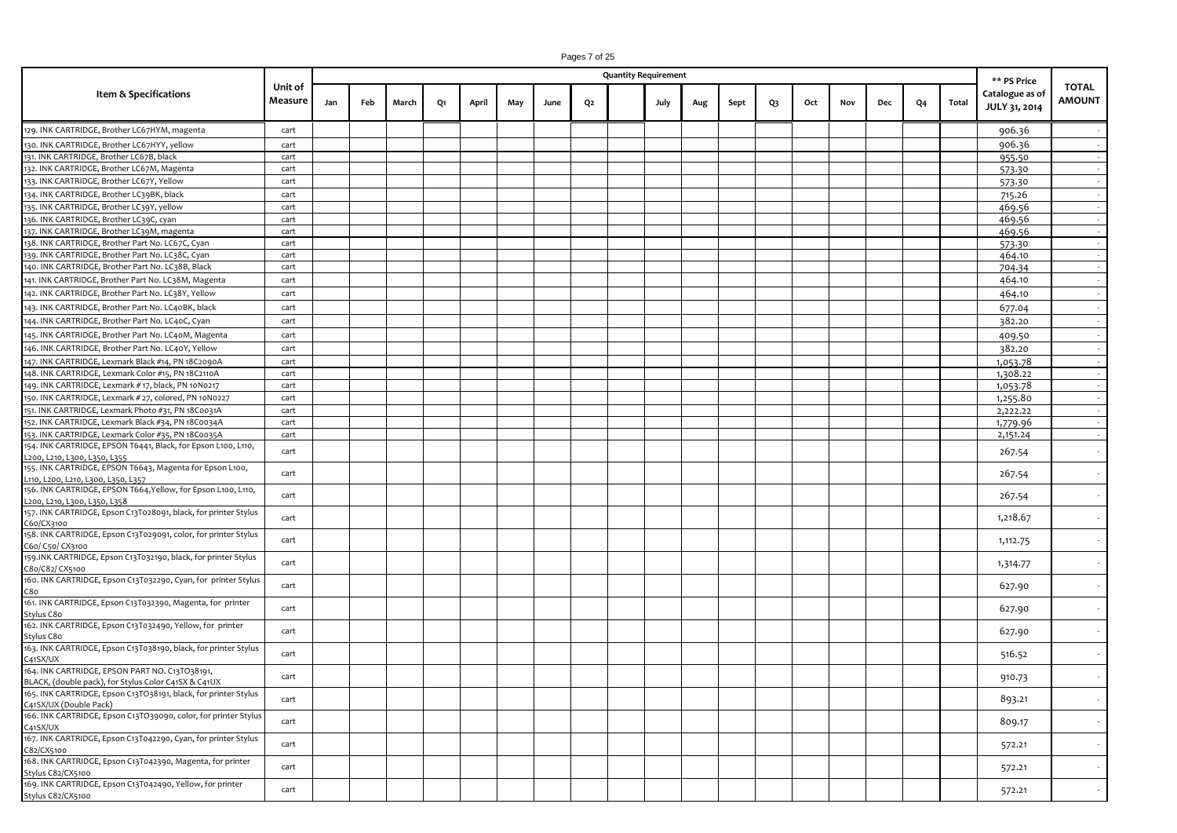|                                                                                   |                    |     |     |       |    |       |     |      |    | <b>Quantity Requirement</b> |     |      |                |     |     |     |    |       | ** PS Price                      |                               |
|-----------------------------------------------------------------------------------|--------------------|-----|-----|-------|----|-------|-----|------|----|-----------------------------|-----|------|----------------|-----|-----|-----|----|-------|----------------------------------|-------------------------------|
| Item & Specifications                                                             | Unit of<br>Measure | Jan | Feb | March | Q1 | April | May | June | Q2 | July                        | Aug | Sept | Q <sub>3</sub> | Oct | Nov | Dec | Q4 | Total | Catalogue as of<br>JULY 31, 2014 | <b>TOTAL</b><br><b>AMOUNT</b> |
| 129. INK CARTRIDGE, Brother LC67HYM, magenta                                      | cart               |     |     |       |    |       |     |      |    |                             |     |      |                |     |     |     |    |       | 906.36                           |                               |
| 130. INK CARTRIDGE, Brother LC67HYY, yellow                                       | cart               |     |     |       |    |       |     |      |    |                             |     |      |                |     |     |     |    |       | 906.36                           |                               |
| 131. INK CARTRIDGE, Brother LC67B, black                                          | cart               |     |     |       |    |       |     |      |    |                             |     |      |                |     |     |     |    |       | 955.50                           |                               |
| 132. INK CARTRIDGE, Brother LC67M, Magenta                                        | cart               |     |     |       |    |       |     |      |    |                             |     |      |                |     |     |     |    |       | 573.30                           |                               |
| 133. INK CARTRIDGE, Brother LC67Y, Yellow                                         | cart               |     |     |       |    |       |     |      |    |                             |     |      |                |     |     |     |    |       | 573.30                           |                               |
| 134. INK CARTRIDGE, Brother LC39BK, black                                         | cart               |     |     |       |    |       |     |      |    |                             |     |      |                |     |     |     |    |       | 715.26                           |                               |
| 135. INK CARTRIDGE, Brother LC39Y, yellow                                         | cart               |     |     |       |    |       |     |      |    |                             |     |      |                |     |     |     |    |       | 469.56                           |                               |
| 136. INK CARTRIDGE, Brother LC39C, cyan                                           | cart               |     |     |       |    |       |     |      |    |                             |     |      |                |     |     |     |    |       | 469.56                           |                               |
| 137. INK CARTRIDGE, Brother LC39M, magenta                                        | cart               |     |     |       |    |       |     |      |    |                             |     |      |                |     |     |     |    |       | 469.56                           |                               |
| 138. INK CARTRIDGE, Brother Part No. LC67C, Cyan                                  | cart               |     |     |       |    |       |     |      |    |                             |     |      |                |     |     |     |    |       | 573.30                           |                               |
| 139. INK CARTRIDGE, Brother Part No. LC38C, Cyan                                  | cart               |     |     |       |    |       |     |      |    |                             |     |      |                |     |     |     |    |       | 464.10                           |                               |
| 140. INK CARTRIDGE, Brother Part No. LC38B, Black                                 | cart               |     |     |       |    |       |     |      |    |                             |     |      |                |     |     |     |    |       | 704.34                           |                               |
| 141. INK CARTRIDGE, Brother Part No. LC38M, Magenta                               | cart               |     |     |       |    |       |     |      |    |                             |     |      |                |     |     |     |    |       | 464.10                           |                               |
|                                                                                   |                    |     |     |       |    |       |     |      |    |                             |     |      |                |     |     |     |    |       |                                  |                               |
| 142. INK CARTRIDGE, Brother Part No. LC38Y, Yellow                                | cart               |     |     |       |    |       |     |      |    |                             |     |      |                |     |     |     |    |       | 464.10                           |                               |
| 143. INK CARTRIDGE, Brother Part No. LC40BK, black                                | cart               |     |     |       |    |       |     |      |    |                             |     |      |                |     |     |     |    |       | 677.04                           |                               |
| 144. INK CARTRIDGE, Brother Part No. LC40C, Cyan                                  | cart               |     |     |       |    |       |     |      |    |                             |     |      |                |     |     |     |    |       | 382.20                           |                               |
| 145. INK CARTRIDGE, Brother Part No. LC40M, Magenta                               | cart               |     |     |       |    |       |     |      |    |                             |     |      |                |     |     |     |    |       | 409.50                           |                               |
| 146. INK CARTRIDGE, Brother Part No. LC40Y, Yellow                                | cart               |     |     |       |    |       |     |      |    |                             |     |      |                |     |     |     |    |       | 382.20                           |                               |
| 147. INK CARTRIDGE, Lexmark Black #14, PN 18C2090A                                | cart               |     |     |       |    |       |     |      |    |                             |     |      |                |     |     |     |    |       | 1,053.78                         |                               |
| 148. INK CARTRIDGE, Lexmark Color #15, PN 18C2110A                                | cart               |     |     |       |    |       |     |      |    |                             |     |      |                |     |     |     |    |       | 1,308.22                         |                               |
| 149. INK CARTRIDGE, Lexmark # 17, black, PN 10N0217                               | cart               |     |     |       |    |       |     |      |    |                             |     |      |                |     |     |     |    |       | 1,053.78                         |                               |
| 150. INK CARTRIDGE, Lexmark # 27, colored, PN 10N0227                             | cart               |     |     |       |    |       |     |      |    |                             |     |      |                |     |     |     |    |       | 1,255.80                         |                               |
| 151. INK CARTRIDGE, Lexmark Photo #31, PN 18C0031A                                | cart               |     |     |       |    |       |     |      |    |                             |     |      |                |     |     |     |    |       | 2,222.22                         |                               |
| 152. INK CARTRIDGE, Lexmark Black #34, PN 18C0034A                                | cart               |     |     |       |    |       |     |      |    |                             |     |      |                |     |     |     |    |       | 1,779.96                         |                               |
| 153. INK CARTRIDGE, Lexmark Color #35, PN 18C0035A                                | cart               |     |     |       |    |       |     |      |    |                             |     |      |                |     |     |     |    |       | 2,151.24                         |                               |
| 154. INK CARTRIDGE, EPSON T6441, Black, for Epson L100, L110,                     |                    |     |     |       |    |       |     |      |    |                             |     |      |                |     |     |     |    |       |                                  |                               |
| L200, L210, L300, L350, L355                                                      | cart               |     |     |       |    |       |     |      |    |                             |     |      |                |     |     |     |    |       | 267.54                           |                               |
| 155. INK CARTRIDGE, EPSON T6643, Magenta for Epson L100,                          |                    |     |     |       |    |       |     |      |    |                             |     |      |                |     |     |     |    |       |                                  |                               |
| L110, L200, L210, L300, L350, L357                                                | cart               |     |     |       |    |       |     |      |    |                             |     |      |                |     |     |     |    |       | 267.54                           |                               |
| 156. INK CARTRIDGE, EPSON T664, Yellow, for Epson L100, L110,                     | cart               |     |     |       |    |       |     |      |    |                             |     |      |                |     |     |     |    |       |                                  |                               |
| L200, L210, L300, L350, L358                                                      |                    |     |     |       |    |       |     |      |    |                             |     |      |                |     |     |     |    |       | 267.54                           |                               |
| 157. INK CARTRIDGE, Epson C13T028091, black, for printer Stylus                   | cart               |     |     |       |    |       |     |      |    |                             |     |      |                |     |     |     |    |       | 1,218.67                         |                               |
| C60/CX3100                                                                        |                    |     |     |       |    |       |     |      |    |                             |     |      |                |     |     |     |    |       |                                  |                               |
| 158. INK CARTRIDGE, Epson C13T029091, color, for printer Stylus                   | cart               |     |     |       |    |       |     |      |    |                             |     |      |                |     |     |     |    |       | 1,112.75                         |                               |
| C60/ C50/ CX3100                                                                  |                    |     |     |       |    |       |     |      |    |                             |     |      |                |     |     |     |    |       |                                  |                               |
| 159.INK CARTRIDGE, Epson C13T032190, black, for printer Stylus                    | cart               |     |     |       |    |       |     |      |    |                             |     |      |                |     |     |     |    |       | 1,314.77                         |                               |
| C80/C82/ CX5100<br>160. INK CARTRIDGE, Epson C13T032290, Cyan, for printer Stylus |                    |     |     |       |    |       |     |      |    |                             |     |      |                |     |     |     |    |       |                                  |                               |
| C80                                                                               | cart               |     |     |       |    |       |     |      |    |                             |     |      |                |     |     |     |    |       | 627.90                           |                               |
| 161. INK CARTRIDGE, Epson C13T032390, Magenta, for printer                        |                    |     |     |       |    |       |     |      |    |                             |     |      |                |     |     |     |    |       |                                  |                               |
| Stylus C80                                                                        | cart               |     |     |       |    |       |     |      |    |                             |     |      |                |     |     |     |    |       | 627.90                           |                               |
| 162. INK CARTRIDGE, Epson C13T032490, Yellow, for printer                         |                    |     |     |       |    |       |     |      |    |                             |     |      |                |     |     |     |    |       |                                  |                               |
| Stylus C80                                                                        | cart               |     |     |       |    |       |     |      |    |                             |     |      |                |     |     |     |    |       | 627.90                           |                               |
| 163. INK CARTRIDGE, Epson C13T038190, black, for printer Stylus                   |                    |     |     |       |    |       |     |      |    |                             |     |      |                |     |     |     |    |       |                                  |                               |
| C41SX/UX                                                                          | cart               |     |     |       |    |       |     |      |    |                             |     |      |                |     |     |     |    |       | 516.52                           |                               |
| 164. INK CARTRIDGE, EPSON PART NO. C13TO38191,                                    |                    |     |     |       |    |       |     |      |    |                             |     |      |                |     |     |     |    |       |                                  |                               |
| BLACK, (double pack), for Stylus Color C41SX & C41UX                              | cart               |     |     |       |    |       |     |      |    |                             |     |      |                |     |     |     |    |       | 910.73                           |                               |
| 165. INK CARTRIDGE, Epson C13TO38191, black, for printer Stylus                   | cart               |     |     |       |    |       |     |      |    |                             |     |      |                |     |     |     |    |       | 893.21                           |                               |
| C41SX/UX (Double Pack)                                                            |                    |     |     |       |    |       |     |      |    |                             |     |      |                |     |     |     |    |       |                                  |                               |
| 166. INK CARTRIDGE, Epson C13TO39090, color, for printer Stylus                   | cart               |     |     |       |    |       |     |      |    |                             |     |      |                |     |     |     |    |       | 809.17                           |                               |
| C41SX/UX                                                                          |                    |     |     |       |    |       |     |      |    |                             |     |      |                |     |     |     |    |       |                                  |                               |
| 167. INK CARTRIDGE, Epson C13T042290, Cyan, for printer Stylus                    | cart               |     |     |       |    |       |     |      |    |                             |     |      |                |     |     |     |    |       | 572.21                           |                               |
| C82/CX5100                                                                        |                    |     |     |       |    |       |     |      |    |                             |     |      |                |     |     |     |    |       |                                  |                               |
| 168. INK CARTRIDGE, Epson C13T042390, Magenta, for printer                        | cart               |     |     |       |    |       |     |      |    |                             |     |      |                |     |     |     |    |       | 572.21                           |                               |
| Stylus C82/CX5100<br>169. INK CARTRIDGE, Epson C13T042490, Yellow, for printer    |                    |     |     |       |    |       |     |      |    |                             |     |      |                |     |     |     |    |       |                                  |                               |
| Stylus C82/CX5100                                                                 | cart               |     |     |       |    |       |     |      |    |                             |     |      |                |     |     |     |    |       | 572.21                           |                               |
|                                                                                   |                    |     |     |       |    |       |     |      |    |                             |     |      |                |     |     |     |    |       |                                  |                               |

Pages 7 of 25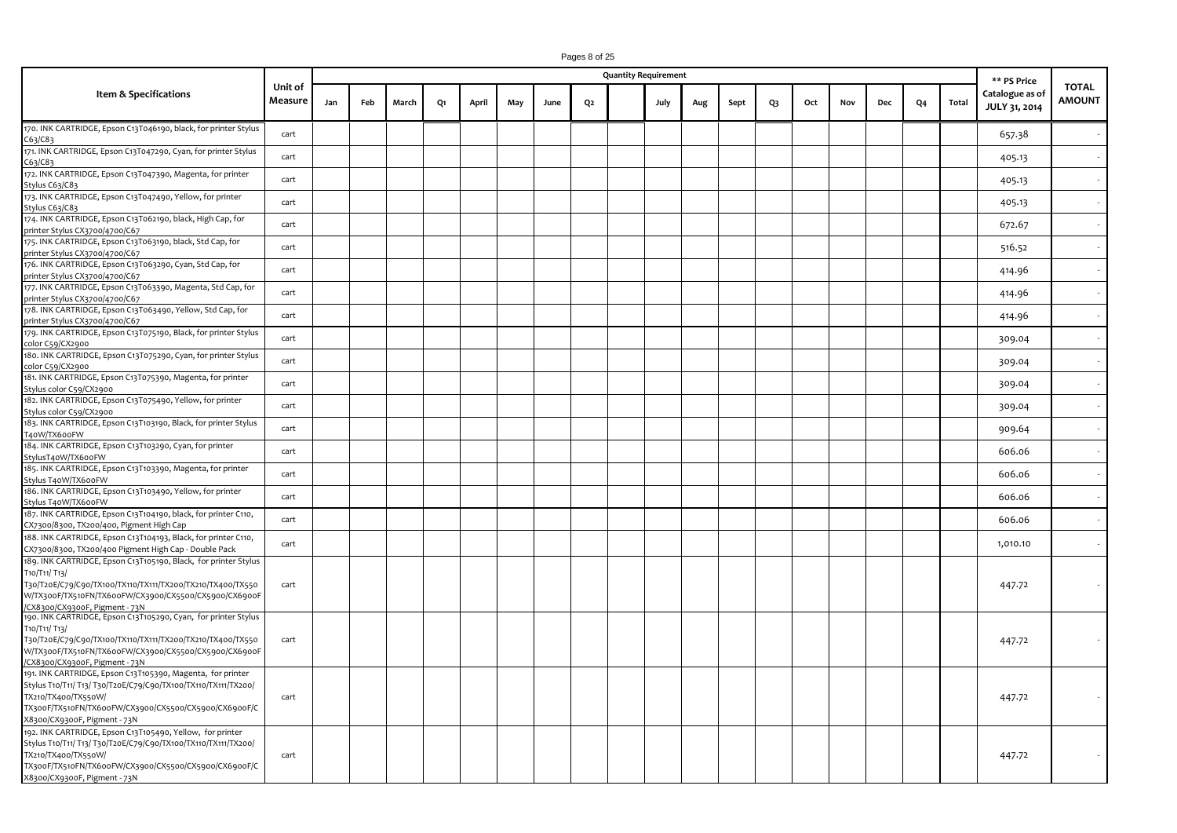|                                                                                                                                                                                                                                              |                    |     |     |       |    |       |     |      |                | <b>Quantity Requirement</b> |     |      |                |     |     |     |    |       | ** PS Price                      |                               |
|----------------------------------------------------------------------------------------------------------------------------------------------------------------------------------------------------------------------------------------------|--------------------|-----|-----|-------|----|-------|-----|------|----------------|-----------------------------|-----|------|----------------|-----|-----|-----|----|-------|----------------------------------|-------------------------------|
| Item & Specifications                                                                                                                                                                                                                        | Unit of<br>Measure | Jan | Feb | March | Q1 | April | May | June | Q <sub>2</sub> | July                        | Aug | Sept | Q <sub>3</sub> | Oct | Nov | Dec | Q4 | Total | Catalogue as of<br>JULY 31, 2014 | <b>TOTAL</b><br><b>AMOUNT</b> |
| 170. INK CARTRIDGE, Epson C13T046190, black, for printer Stylus<br>C63/C83                                                                                                                                                                   | cart               |     |     |       |    |       |     |      |                |                             |     |      |                |     |     |     |    |       | 657.38                           |                               |
| 171. INK CARTRIDGE, Epson C13T047290, Cyan, for printer Stylus<br>C63/C83                                                                                                                                                                    | cart               |     |     |       |    |       |     |      |                |                             |     |      |                |     |     |     |    |       | 405.13                           |                               |
| 172. INK CARTRIDGE, Epson C13T047390, Magenta, for printer<br>Stylus C63/C83                                                                                                                                                                 | cart               |     |     |       |    |       |     |      |                |                             |     |      |                |     |     |     |    |       | 405.13                           |                               |
| 173. INK CARTRIDGE, Epson C13T047490, Yellow, for printer<br>Stylus C63/C83                                                                                                                                                                  | cart               |     |     |       |    |       |     |      |                |                             |     |      |                |     |     |     |    |       | 405.13                           |                               |
| 174. INK CARTRIDGE, Epson C13T062190, black, High Cap, for<br>printer Stylus CX3700/4700/C67                                                                                                                                                 | cart               |     |     |       |    |       |     |      |                |                             |     |      |                |     |     |     |    |       | 672.67                           |                               |
| 175. INK CARTRIDGE, Epson C13T063190, black, Std Cap, for<br>printer Stylus CX3700/4700/C67                                                                                                                                                  | cart               |     |     |       |    |       |     |      |                |                             |     |      |                |     |     |     |    |       | 516.52                           |                               |
| 176. INK CARTRIDGE, Epson C13T063290, Cyan, Std Cap, for<br>printer Stylus CX3700/4700/C67                                                                                                                                                   | cart               |     |     |       |    |       |     |      |                |                             |     |      |                |     |     |     |    |       | 414.96                           |                               |
| 177. INK CARTRIDGE, Epson C13T063390, Magenta, Std Cap, for<br>printer Stylus CX3700/4700/C67                                                                                                                                                | cart               |     |     |       |    |       |     |      |                |                             |     |      |                |     |     |     |    |       | 414.96                           |                               |
| 178. INK CARTRIDGE, Epson C13T063490, Yellow, Std Cap, for<br>printer Stylus CX3700/4700/C67                                                                                                                                                 | cart               |     |     |       |    |       |     |      |                |                             |     |      |                |     |     |     |    |       | 414.96                           |                               |
| 179. INK CARTRIDGE, Epson C13T075190, Black, for printer Stylus<br>color C59/CX2900                                                                                                                                                          | cart               |     |     |       |    |       |     |      |                |                             |     |      |                |     |     |     |    |       | 309.04                           |                               |
| 180. INK CARTRIDGE, Epson C13T075290, Cyan, for printer Stylus<br>color C59/CX2900                                                                                                                                                           | cart               |     |     |       |    |       |     |      |                |                             |     |      |                |     |     |     |    |       | 309.04                           |                               |
| 181. INK CARTRIDGE, Epson C13T075390, Magenta, for printer<br>Stylus color C59/CX2900                                                                                                                                                        | cart               |     |     |       |    |       |     |      |                |                             |     |      |                |     |     |     |    |       | 309.04                           |                               |
| 182. INK CARTRIDGE, Epson C13T075490, Yellow, for printer<br>Stylus color C59/CX2900                                                                                                                                                         | cart               |     |     |       |    |       |     |      |                |                             |     |      |                |     |     |     |    |       | 309.04                           |                               |
| 183. INK CARTRIDGE, Epson C13T103190, Black, for printer Stylus<br>T40W/TX600FW                                                                                                                                                              | cart               |     |     |       |    |       |     |      |                |                             |     |      |                |     |     |     |    |       | 909.64                           |                               |
| 184. INK CARTRIDGE, Epson C13T103290, Cyan, for printer<br>StylusT40W/TX600FW                                                                                                                                                                | cart               |     |     |       |    |       |     |      |                |                             |     |      |                |     |     |     |    |       | 606.06                           |                               |
| 185. INK CARTRIDGE, Epson C13T103390, Magenta, for printer<br>Stylus T40W/TX600FW                                                                                                                                                            | cart               |     |     |       |    |       |     |      |                |                             |     |      |                |     |     |     |    |       | 606.06                           |                               |
| 186. INK CARTRIDGE, Epson C13T103490, Yellow, for printer<br>Stylus T40W/TX600FW                                                                                                                                                             | cart               |     |     |       |    |       |     |      |                |                             |     |      |                |     |     |     |    |       | 606.06                           |                               |
| 187. INK CARTRIDGE, Epson C13T104190, black, for printer C110,<br>CX7300/8300, TX200/400, Pigment High Cap                                                                                                                                   | cart               |     |     |       |    |       |     |      |                |                             |     |      |                |     |     |     |    |       | 606.06                           |                               |
| 188. INK CARTRIDGE, Epson C13T104193, Black, for printer C110,<br>CX7300/8300, TX200/400 Pigment High Cap - Double Pack                                                                                                                      | cart               |     |     |       |    |       |     |      |                |                             |     |      |                |     |     |     |    |       | 1,010.10                         |                               |
| 189. INK CARTRIDGE, Epson C13T105190, Black, for printer Stylus<br>T10/T11/T13/<br>T30/T20E/C79/C90/TX100/TX110/TX111/TX200/TX210/TX400/TX550<br>W/TX300F/TX510FN/TX600FW/CX3900/CX5500/CX5900/CX6900F<br>/CX8300/CX9300F, Pigment - 73N     | cart               |     |     |       |    |       |     |      |                |                             |     |      |                |     |     |     |    |       | 447.72                           |                               |
| 190. INK CARTRIDGE, Epson C13T105290, Cyan, for printer Stylus<br>T10/T11/T13/<br>T30/T20E/C79/C90/TX100/TX110/TX111/TX200/TX210/TX400/TX550<br>W/TX300F/TX510FN/TX600FW/CX3900/CX5500/CX5900/CX6900F<br>CX8300/CX9300F, Pigment - 73N       | cart               |     |     |       |    |       |     |      |                |                             |     |      |                |     |     |     |    |       | 447.72                           |                               |
| 191. INK CARTRIDGE, Epson C13T105390, Magenta, for printer<br>Stylus T10/T11/ T13/ T30/T20E/C79/C90/TX100/TX110/TX111/TX200/<br>TX210/TX400/TX550W/<br>TX300F/TX510FN/TX600FW/CX3900/CX5500/CX5900/CX6900F/C<br>X8300/CX9300F, Pigment - 73N | cart               |     |     |       |    |       |     |      |                |                             |     |      |                |     |     |     |    |       | 447.72                           |                               |
| 192. INK CARTRIDGE, Epson C13T105490, Yellow, for printer<br>Stylus T10/T11/ T13/ T30/T20E/C79/C90/TX100/TX110/TX111/TX200/<br>TX210/TX400/TX550W/<br>TX300F/TX510FN/TX600FW/CX3900/CX5500/CX5900/CX6900F/C                                  | cart               |     |     |       |    |       |     |      |                |                             |     |      |                |     |     |     |    |       | 447.72                           |                               |

X8300/CX9300F, Pigment - 73N

Pages 8 of 25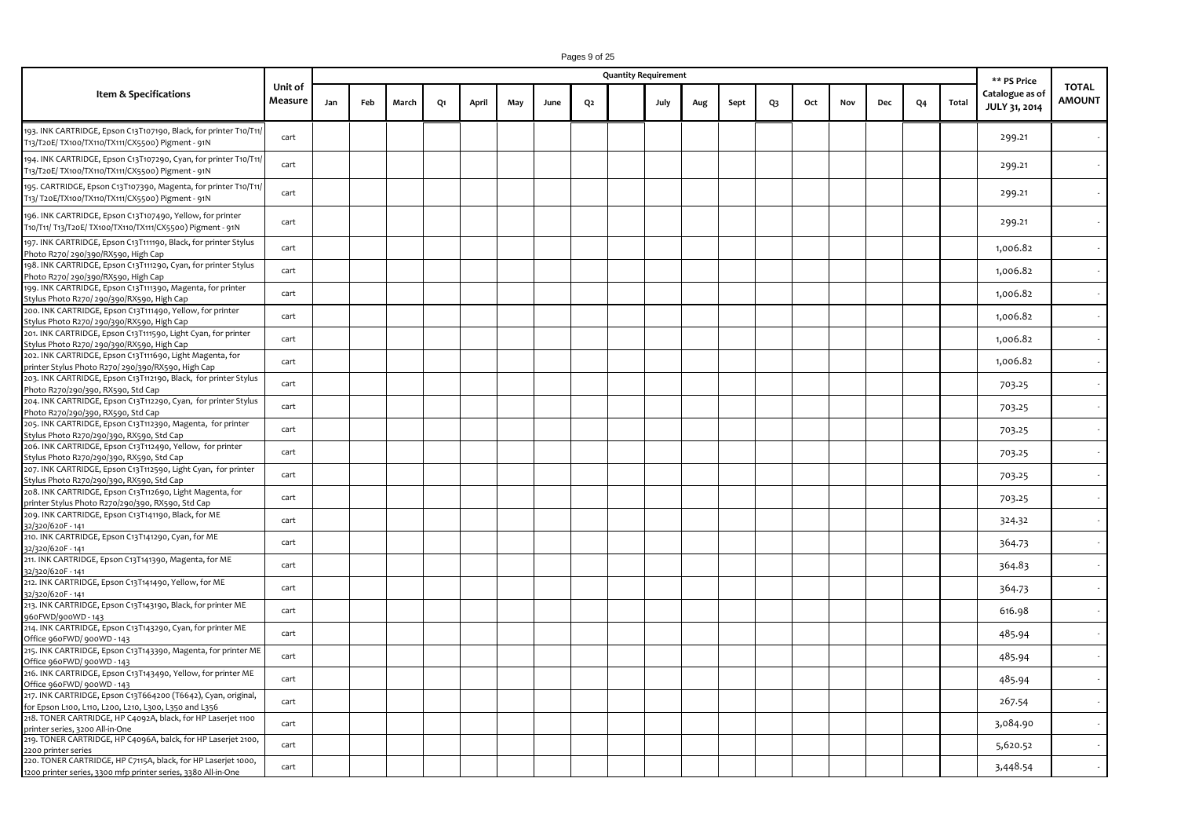| Pages 9 of 25 |  |  |  |  |
|---------------|--|--|--|--|
|---------------|--|--|--|--|

|                                                                                                                                                            |                    |     |     |       |    |       |     |      |                | <b>Quantity Requirement</b> |      |     |      |                |     |     |     |    |       | ** PS Price                      |                               |
|------------------------------------------------------------------------------------------------------------------------------------------------------------|--------------------|-----|-----|-------|----|-------|-----|------|----------------|-----------------------------|------|-----|------|----------------|-----|-----|-----|----|-------|----------------------------------|-------------------------------|
| Item & Specifications                                                                                                                                      | Unit of<br>Measure | Jan | Feb | March | Q1 | April | May | June | Q <sub>2</sub> |                             | July | Aug | Sept | Q <sub>3</sub> | Oct | Nov | Dec | Q4 | Total | Catalogue as of<br>JULY 31, 2014 | <b>TOTAL</b><br><b>AMOUNT</b> |
| 193. INK CARTRIDGE, Epson C13T107190, Black, for printer T10/T11,<br>T13/T20E/ TX100/TX110/TX111/CX5500) Pigment - 91N                                     | cart               |     |     |       |    |       |     |      |                |                             |      |     |      |                |     |     |     |    |       | 299.21                           |                               |
| 194. INK CARTRIDGE, Epson C13T107290, Cyan, for printer T10/T11,<br>T13/T20E/ TX100/TX110/TX111/CX5500) Pigment - 91N                                      | cart               |     |     |       |    |       |     |      |                |                             |      |     |      |                |     |     |     |    |       | 299.21                           |                               |
| 195. CARTRIDGE, Epson C13T107390, Magenta, for printer T10/T11/<br>T13/ T20E/TX100/TX110/TX111/CX5500) Pigment - 91N                                       | cart               |     |     |       |    |       |     |      |                |                             |      |     |      |                |     |     |     |    |       | 299.21                           |                               |
| 196. INK CARTRIDGE, Epson C13T107490, Yellow, for printer<br>T10/T11/ T13/T20E/ TX100/TX110/TX111/CX5500) Pigment - 91N                                    | cart               |     |     |       |    |       |     |      |                |                             |      |     |      |                |     |     |     |    |       | 299.21                           |                               |
| 197. INK CARTRIDGE, Epson C13T111190, Black, for printer Stylus<br>Photo R270/290/390/RX590, High Cap                                                      | cart               |     |     |       |    |       |     |      |                |                             |      |     |      |                |     |     |     |    |       | 1,006.82                         |                               |
| 198. INK CARTRIDGE, Epson C13T111290, Cyan, for printer Stylus<br>Photo R270/ 290/390/RX590, High Cap                                                      | cart               |     |     |       |    |       |     |      |                |                             |      |     |      |                |     |     |     |    |       | 1,006.82                         |                               |
| 199. INK CARTRIDGE, Epson C13T111390, Magenta, for printer<br>Stylus Photo R270/290/390/RX590, High Cap                                                    | cart               |     |     |       |    |       |     |      |                |                             |      |     |      |                |     |     |     |    |       | 1,006.82                         |                               |
| 200. INK CARTRIDGE, Epson C13T111490, Yellow, for printer<br>Stylus Photo R270/290/390/RX590, High Cap                                                     | cart               |     |     |       |    |       |     |      |                |                             |      |     |      |                |     |     |     |    |       | 1,006.82                         |                               |
| 201. INK CARTRIDGE, Epson C13T111590, Light Cyan, for printer<br>Stylus Photo R270/290/390/RX590, High Cap                                                 | cart               |     |     |       |    |       |     |      |                |                             |      |     |      |                |     |     |     |    |       | 1,006.82                         |                               |
| 202. INK CARTRIDGE, Epson C13T111690, Light Magenta, for<br>printer Stylus Photo R270/290/390/RX590, High Cap                                              | cart               |     |     |       |    |       |     |      |                |                             |      |     |      |                |     |     |     |    |       | 1,006.82                         |                               |
| 203. INK CARTRIDGE, Epson C13T112190, Black, for printer Stylus<br>Photo R270/290/390, RX590, Std Cap                                                      | cart               |     |     |       |    |       |     |      |                |                             |      |     |      |                |     |     |     |    |       | 703.25                           |                               |
| 204. INK CARTRIDGE, Epson C13T112290, Cyan, for printer Stylus<br>Photo R270/290/390, RX590, Std Cap                                                       | cart               |     |     |       |    |       |     |      |                |                             |      |     |      |                |     |     |     |    |       | 703.25                           |                               |
| 205. INK CARTRIDGE, Epson C13T112390, Magenta, for printer<br>Stylus Photo R270/290/390, RX590, Std Cap                                                    | cart               |     |     |       |    |       |     |      |                |                             |      |     |      |                |     |     |     |    |       | 703.25                           |                               |
| 206. INK CARTRIDGE, Epson C13T112490, Yellow, for printer<br>Stylus Photo R270/290/390, RX590, Std Cap                                                     | cart               |     |     |       |    |       |     |      |                |                             |      |     |      |                |     |     |     |    |       | 703.25                           |                               |
| 207. INK CARTRIDGE, Epson C13T112590, Light Cyan, for printer                                                                                              | cart               |     |     |       |    |       |     |      |                |                             |      |     |      |                |     |     |     |    |       | 703.25                           |                               |
| Stylus Photo R270/290/390, RX590, Std Cap<br>208. INK CARTRIDGE, Epson C13T112690, Light Magenta, for<br>printer Stylus Photo R270/290/390, RX590, Std Cap | cart               |     |     |       |    |       |     |      |                |                             |      |     |      |                |     |     |     |    |       | 703.25                           |                               |
| 209. INK CARTRIDGE, Epson C13T141190, Black, for ME                                                                                                        | cart               |     |     |       |    |       |     |      |                |                             |      |     |      |                |     |     |     |    |       | 324.32                           |                               |
| 32/320/620F - 141<br>210. INK CARTRIDGE, Epson C13T141290, Cyan, for ME                                                                                    | cart               |     |     |       |    |       |     |      |                |                             |      |     |      |                |     |     |     |    |       | 364.73                           |                               |
| 32/320/620F - 141<br>211. INK CARTRIDGE, Epson C13T141390, Magenta, for ME<br>32/320/620F-141                                                              | cart               |     |     |       |    |       |     |      |                |                             |      |     |      |                |     |     |     |    |       | 364.83                           |                               |
| 212. INK CARTRIDGE, Epson C13T141490, Yellow, for ME<br>32/320/620F-141                                                                                    | cart               |     |     |       |    |       |     |      |                |                             |      |     |      |                |     |     |     |    |       | 364.73                           |                               |
| 213. INK CARTRIDGE, Epson C13T143190, Black, for printer ME<br>960FWD/900WD - 143                                                                          | cart               |     |     |       |    |       |     |      |                |                             |      |     |      |                |     |     |     |    |       | 616.98                           |                               |
| 214. INK CARTRIDGE, Epson C13T143290, Cyan, for printer ME                                                                                                 | cart               |     |     |       |    |       |     |      |                |                             |      |     |      |                |     |     |     |    |       | 485.94                           |                               |
| Office 960FWD/ 900WD - 143<br>215. INK CARTRIDGE, Epson C13T143390, Magenta, for printer ME                                                                | cart               |     |     |       |    |       |     |      |                |                             |      |     |      |                |     |     |     |    |       | 485.94                           |                               |
| Office 960FWD/ 900WD - 143<br>216. INK CARTRIDGE, Epson C13T143490, Yellow, for printer ME                                                                 | cart               |     |     |       |    |       |     |      |                |                             |      |     |      |                |     |     |     |    |       | 485.94                           |                               |
| Office 960FWD/ 900WD - 143<br>217. INK CARTRIDGE, Epson C13T664200 (T6642), Cyan, original,                                                                | cart               |     |     |       |    |       |     |      |                |                             |      |     |      |                |     |     |     |    |       | 267.54                           |                               |
| for Epson L100, L110, L200, L210, L300, L350 and L356<br>218. TONER CARTRIDGE, HP C4092A, black, for HP Laserjet 1100                                      | cart               |     |     |       |    |       |     |      |                |                             |      |     |      |                |     |     |     |    |       | 3,084.90                         |                               |
| printer series, 3200 All-in-One<br>219. TONER CARTRIDGE, HP C4096A, balck, for HP Laserjet 2100,                                                           |                    |     |     |       |    |       |     |      |                |                             |      |     |      |                |     |     |     |    |       |                                  |                               |
| 2200 printer series<br>220. TONER CARTRIDGE, HP C7115A, black, for HP Laserjet 1000,                                                                       | cart               |     |     |       |    |       |     |      |                |                             |      |     |      |                |     |     |     |    |       | 5,620.52                         |                               |
| 1200 printer series, 3300 mfp printer series, 3380 All-in-One                                                                                              | cart               |     |     |       |    |       |     |      |                |                             |      |     |      |                |     |     |     |    |       | 3,448.54                         |                               |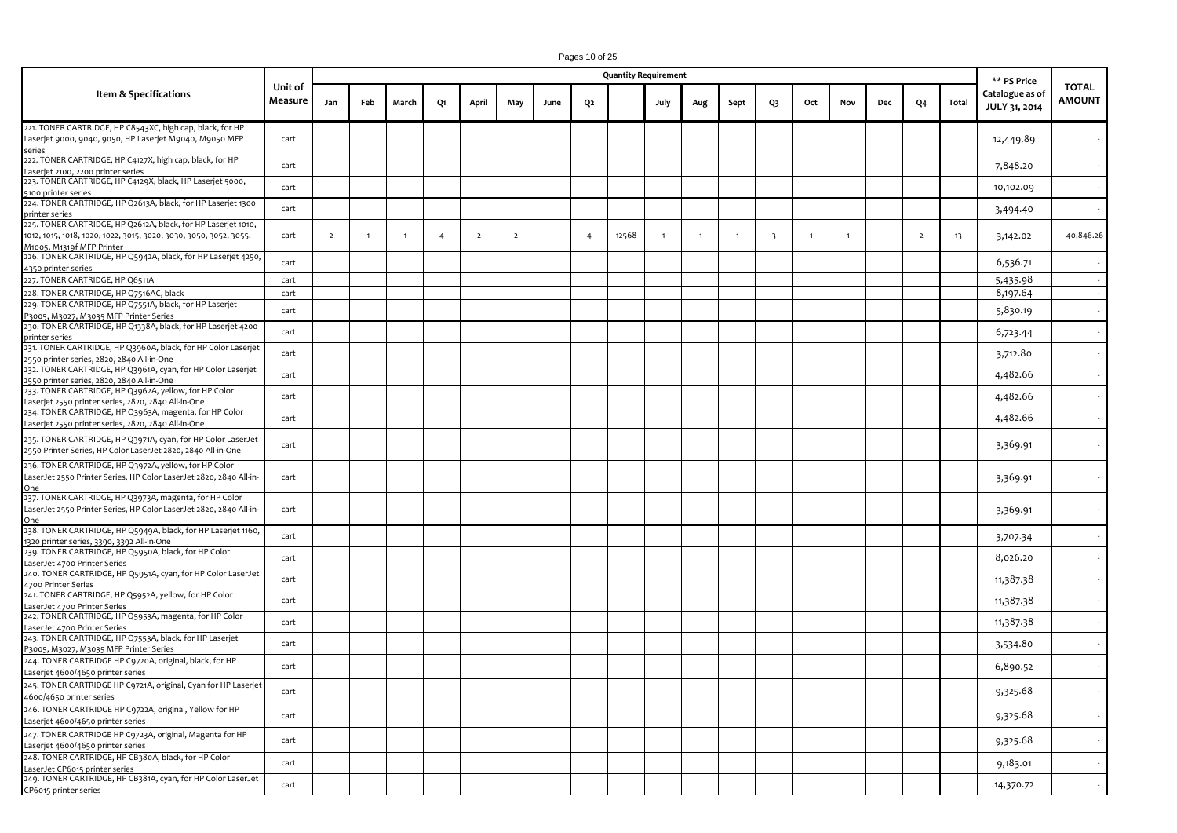|                                                                                                                                                                                          |                           |                |                |                |                |                |                |      |                | <b>Quantity Requirement</b> |                |                |              |                         |                |              |     |                |       | ** PS Price                      |                        |
|------------------------------------------------------------------------------------------------------------------------------------------------------------------------------------------|---------------------------|----------------|----------------|----------------|----------------|----------------|----------------|------|----------------|-----------------------------|----------------|----------------|--------------|-------------------------|----------------|--------------|-----|----------------|-------|----------------------------------|------------------------|
| Item & Specifications                                                                                                                                                                    | Unit of<br><b>Measure</b> | Jan            | Feb            | March          | Q1             | April          | May            | June | Q2             |                             | July           | Aug            | Sept         | Q3                      | Oct            | Nov          | Dec | Q4             | Total | Catalogue as of<br>JULY 31, 2014 | TOTAL<br><b>AMOUNT</b> |
| 221. TONER CARTRIDGE, HP C8543XC, high cap, black, for HP<br>Laserjet 9000, 9040, 9050, HP Laserjet M9040, M9050 MFP<br>series                                                           | cart                      |                |                |                |                |                |                |      |                |                             |                |                |              |                         |                |              |     |                |       | 12,449.89                        |                        |
| 222. TONER CARTRIDGE, HP C4127X, high cap, black, for HP<br>Laserjet 2100, 2200 printer series                                                                                           | cart                      |                |                |                |                |                |                |      |                |                             |                |                |              |                         |                |              |     |                |       | 7,848.20                         |                        |
| 223. TONER CARTRIDGE, HP C4129X, black, HP Laserjet 5000,<br>5100 printer series                                                                                                         | cart                      |                |                |                |                |                |                |      |                |                             |                |                |              |                         |                |              |     |                |       | 10,102.09                        |                        |
| 224. TONER CARTRIDGE, HP Q2613A, black, for HP Laserjet 1300                                                                                                                             | cart                      |                |                |                |                |                |                |      |                |                             |                |                |              |                         |                |              |     |                |       | 3,494.40                         |                        |
| <u>printer series</u><br>225. TONER CARTRIDGE, HP Q2612A, black, for HP Laserjet 1010,<br>1012, 1015, 1018, 1020, 1022, 3015, 3020, 3030, 3050, 3052, 3055,<br>M1005, M1319f MFP Printer | cart                      | $\overline{2}$ | $\overline{1}$ | $\overline{1}$ | $\overline{4}$ | $\overline{2}$ | $\overline{2}$ |      | $\overline{4}$ | 12568                       | $\overline{1}$ | $\overline{1}$ | $\mathbf{1}$ | $\overline{\mathbf{3}}$ | $\overline{1}$ | $\mathbf{1}$ |     | $\overline{2}$ | 13    | 3,142.02                         | 40,846.26              |
| 226. TONER CARTRIDGE, HP Q5942A, black, for HP Laserjet 4250,<br>4350 printer series                                                                                                     | cart                      |                |                |                |                |                |                |      |                |                             |                |                |              |                         |                |              |     |                |       | 6,536.71                         |                        |
| 227. TONER CARTRIDGE, HP Q6511A                                                                                                                                                          | cart                      |                |                |                |                |                |                |      |                |                             |                |                |              |                         |                |              |     |                |       | 5,435.98                         |                        |
| 228. TONER CARTRIDGE, HP Q7516AC, black                                                                                                                                                  | cart                      |                |                |                |                |                |                |      |                |                             |                |                |              |                         |                |              |     |                |       |                                  |                        |
|                                                                                                                                                                                          |                           |                |                |                |                |                |                |      |                |                             |                |                |              |                         |                |              |     |                |       | 8,197.64                         |                        |
| 229. TONER CARTRIDGE, HP Q7551A, black, for HP Laserjet<br>P3005, M3027, M3035 MFP Printer Series                                                                                        | cart                      |                |                |                |                |                |                |      |                |                             |                |                |              |                         |                |              |     |                |       | 5,830.19                         |                        |
| 230. TONER CARTRIDGE, HP Q1338A, black, for HP Laserjet 4200                                                                                                                             | cart                      |                |                |                |                |                |                |      |                |                             |                |                |              |                         |                |              |     |                |       | 6,723.44                         | $\sim$                 |
| printer series<br>231. TONER CARTRIDGE, HP Q3960A, black, for HP Color Laserjet                                                                                                          | cart                      |                |                |                |                |                |                |      |                |                             |                |                |              |                         |                |              |     |                |       | 3,712.80                         |                        |
| 2550 printer series, 2820, 2840 All-in-One<br>232. TONER CARTRIDGE, HP Q3961A, cyan, for HP Color Laserjet                                                                               | cart                      |                |                |                |                |                |                |      |                |                             |                |                |              |                         |                |              |     |                |       | 4,482.66                         |                        |
| 2550 printer series, 2820, 2840 All-in-One<br>233. TONER CARTRIDGE, HP Q3962A, yellow, for HP Color                                                                                      | cart                      |                |                |                |                |                |                |      |                |                             |                |                |              |                         |                |              |     |                |       | 4,482.66                         |                        |
| Laserjet 2550 printer series, 2820, 2840 All-in-One<br>234. TONER CARTRIDGE, HP Q3963A, magenta, for HP Color                                                                            | cart                      |                |                |                |                |                |                |      |                |                             |                |                |              |                         |                |              |     |                |       | 4,482.66                         |                        |
| Laserjet 2550 printer series, 2820, 2840 All-in-One<br>235. TONER CARTRIDGE, HP Q3971A, cyan, for HP Color LaserJet<br>2550 Printer Series, HP Color LaserJet 2820, 2840 All-in-One      | cart                      |                |                |                |                |                |                |      |                |                             |                |                |              |                         |                |              |     |                |       | 3,369.91                         |                        |
| 236. TONER CARTRIDGE, HP Q3972A, yellow, for HP Color<br>LaserJet 2550 Printer Series, HP Color LaserJet 2820, 2840 All-in-                                                              | cart                      |                |                |                |                |                |                |      |                |                             |                |                |              |                         |                |              |     |                |       | 3,369.91                         |                        |
| 237. TONER CARTRIDGE, HP Q3973A, magenta, for HP Color<br>LaserJet 2550 Printer Series, HP Color LaserJet 2820, 2840 All-in-<br><u>One</u>                                               | cart                      |                |                |                |                |                |                |      |                |                             |                |                |              |                         |                |              |     |                |       | 3,369.91                         |                        |
| 238. TONER CARTRIDGE, HP Q5949A, black, for HP Laserjet 1160,<br>1320 printer series, 3390, 3392 All-in-One                                                                              | cart                      |                |                |                |                |                |                |      |                |                             |                |                |              |                         |                |              |     |                |       | 3,707.34                         |                        |
| 239. TONER CARTRIDGE, HP Q5950A, black, for HP Color<br>LaserJet 4700 Printer Series                                                                                                     | cart                      |                |                |                |                |                |                |      |                |                             |                |                |              |                         |                |              |     |                |       | 8,026.20                         |                        |
| 240. TONER CARTRIDGE, HP Q5951A, cyan, for HP Color LaserJet<br>4700 Printer Series                                                                                                      | cart                      |                |                |                |                |                |                |      |                |                             |                |                |              |                         |                |              |     |                |       | 11,387.38                        |                        |
| 241. TONER CARTRIDGE, HP Q5952A, yellow, for HP Color<br>LaserJet 4700 Printer Series                                                                                                    | cart                      |                |                |                |                |                |                |      |                |                             |                |                |              |                         |                |              |     |                |       | 11,387.38                        |                        |
| 242. TONER CARTRIDGE, HP Q5953A, magenta, for HP Color<br>LaserJet 4700 Printer Series                                                                                                   | cart                      |                |                |                |                |                |                |      |                |                             |                |                |              |                         |                |              |     |                |       | 11,387.38                        |                        |
| 243. TONER CARTRIDGE, HP Q7553A, black, for HP Laserjet                                                                                                                                  | cart                      |                |                |                |                |                |                |      |                |                             |                |                |              |                         |                |              |     |                |       | 3,534.80                         |                        |
| P3005, M3027, M3035 MFP Printer Series<br>244. TONER CARTRIDGE HP C9720A, original, black, for HP                                                                                        | cart                      |                |                |                |                |                |                |      |                |                             |                |                |              |                         |                |              |     |                |       | 6,890.52                         |                        |
| Laserjet 4600/4650 printer series<br>245. TONER CARTRIDGE HP C9721A, original, Cyan for HP Laserjet                                                                                      |                           |                |                |                |                |                |                |      |                |                             |                |                |              |                         |                |              |     |                |       |                                  |                        |
| 4600/4650 printer series<br>246. TONER CARTRIDGE HP C9722A, original, Yellow for HP                                                                                                      | cart                      |                |                |                |                |                |                |      |                |                             |                |                |              |                         |                |              |     |                |       | 9,325.68                         |                        |
| Laserjet 4600/4650 printer series                                                                                                                                                        | cart                      |                |                |                |                |                |                |      |                |                             |                |                |              |                         |                |              |     |                |       | 9,325.68                         |                        |
| 247. TONER CARTRIDGE HP C9723A, original, Magenta for HP<br>Laserjet 4600/4650 printer series                                                                                            | cart                      |                |                |                |                |                |                |      |                |                             |                |                |              |                         |                |              |     |                |       | 9,325.68                         |                        |
| 248. TONER CARTRIDGE, HP CB380A, black, for HP Color<br>LaserJet CP6015 printer series                                                                                                   | cart                      |                |                |                |                |                |                |      |                |                             |                |                |              |                         |                |              |     |                |       | 9,183.01                         |                        |
| 249. TONER CARTRIDGE, HP CB381A, cyan, for HP Color LaserJet<br>CP6015 printer series                                                                                                    | cart                      |                |                |                |                |                |                |      |                |                             |                |                |              |                         |                |              |     |                |       | 14,370.72                        |                        |

Pages 10 of 25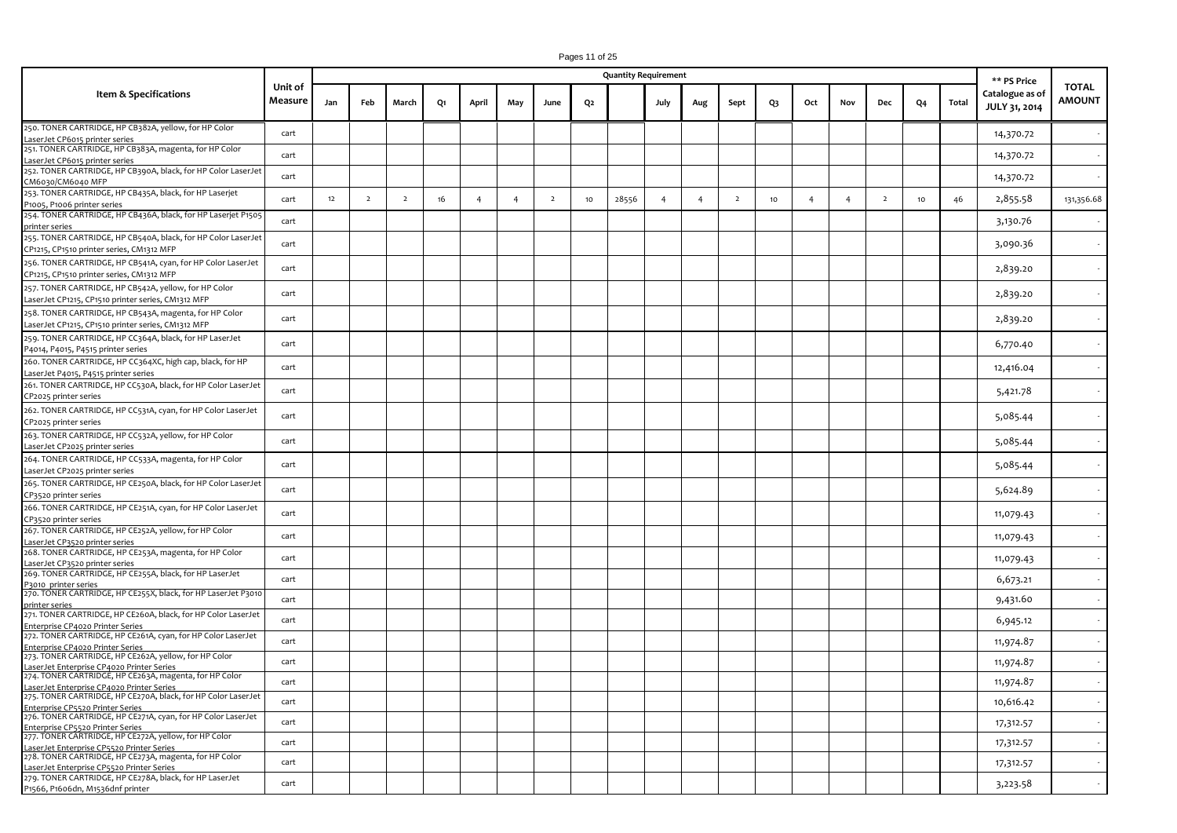|                                                                                                              |                    |     |                |                |    |                |                |                |                | <b>Quantity Requirement</b> |                |                |                |    |                |                |                |                  |       |                                                 |                               |
|--------------------------------------------------------------------------------------------------------------|--------------------|-----|----------------|----------------|----|----------------|----------------|----------------|----------------|-----------------------------|----------------|----------------|----------------|----|----------------|----------------|----------------|------------------|-------|-------------------------------------------------|-------------------------------|
| <b>Item &amp; Specifications</b>                                                                             | Unit of<br>Measure | Jan | Feb            | March          | Q1 | April          | May            | June           | Q <sub>2</sub> |                             | July           | Aug            | Sept           | Q3 | Oct            | Nov            | Dec            | Q4               | Total | ** PS Price<br>Catalogue as of<br>JULY 31, 2014 | <b>TOTAL</b><br><b>AMOUNT</b> |
| 250. TONER CARTRIDGE, HP CB382A, yellow, for HP Color<br>LaserJet CP6015 printer series                      | cart               |     |                |                |    |                |                |                |                |                             |                |                |                |    |                |                |                |                  |       | 14,370.72                                       |                               |
| 251. TONER CARTRIDGE, HP CB383A, magenta, for HP Color<br>LaserJet CP6015 printer series                     | cart               |     |                |                |    |                |                |                |                |                             |                |                |                |    |                |                |                |                  |       | 14,370.72                                       |                               |
| 252. TONER CARTRIDGE, HP CB390A, black, for HP Color LaserJet<br>CM6030/CM6040 MFP                           | cart               |     |                |                |    |                |                |                |                |                             |                |                |                |    |                |                |                |                  |       | 14,370.72                                       |                               |
| 253. TONER CARTRIDGE, HP CB435A, black, for HP Laserjet<br>P1005, P1006 printer series                       | cart               | 12  | $\overline{2}$ | $\overline{2}$ | 16 | $\overline{4}$ | $\overline{4}$ | $\overline{2}$ | 10             | 28556                       | $\overline{4}$ | $\overline{4}$ | $\overline{2}$ | 10 | $\overline{4}$ | $\overline{4}$ | $\overline{2}$ | 10 <sub>10</sub> | 46    | 2,855.58                                        | 131,356.68                    |
| 254. TONER CARTRIDGE, HP CB436A, black, for HP Laserjet P1505<br>printer series                              | cart               |     |                |                |    |                |                |                |                |                             |                |                |                |    |                |                |                |                  |       | 3,130.76                                        |                               |
| 255. TONER CARTRIDGE, HP CB540A, black, for HP Color LaserJet<br>CP1215, CP1510 printer series, CM1312 MFP   | cart               |     |                |                |    |                |                |                |                |                             |                |                |                |    |                |                |                |                  |       | 3,090.36                                        |                               |
| 256. TONER CARTRIDGE, HP CB541A, cyan, for HP Color LaserJet<br>CP1215, CP1510 printer series, CM1312 MFP    | cart               |     |                |                |    |                |                |                |                |                             |                |                |                |    |                |                |                |                  |       | 2,839.20                                        |                               |
| 257. TONER CARTRIDGE, HP CB542A, yellow, for HP Color<br>LaserJet CP1215, CP1510 printer series, CM1312 MFP  | cart               |     |                |                |    |                |                |                |                |                             |                |                |                |    |                |                |                |                  |       | 2,839.20                                        |                               |
| 258. TONER CARTRIDGE, HP CB543A, magenta, for HP Color<br>LaserJet CP1215, CP1510 printer series, CM1312 MFP | cart               |     |                |                |    |                |                |                |                |                             |                |                |                |    |                |                |                |                  |       | 2,839.20                                        |                               |
| 259. TONER CARTRIDGE, HP CC364A, black, for HP LaserJet<br>P4014, P4015, P4515 printer series                | cart               |     |                |                |    |                |                |                |                |                             |                |                |                |    |                |                |                |                  |       | 6,770.40                                        |                               |
| 260. TONER CARTRIDGE, HP CC364XC, high cap, black, for HP<br>LaserJet P4015, P4515 printer series            | cart               |     |                |                |    |                |                |                |                |                             |                |                |                |    |                |                |                |                  |       | 12,416.04                                       |                               |
| 261. TONER CARTRIDGE, HP CC530A, black, for HP Color LaserJet<br>CP2025 printer series                       | cart               |     |                |                |    |                |                |                |                |                             |                |                |                |    |                |                |                |                  |       | 5,421.78                                        |                               |
| 262. TONER CARTRIDGE, HP CC531A, cyan, for HP Color LaserJet<br>CP2025 printer series                        | cart               |     |                |                |    |                |                |                |                |                             |                |                |                |    |                |                |                |                  |       | 5,085.44                                        |                               |
| 263. TONER CARTRIDGE, HP CC532A, yellow, for HP Color<br>LaserJet CP2025 printer series                      | cart               |     |                |                |    |                |                |                |                |                             |                |                |                |    |                |                |                |                  |       | 5,085.44                                        |                               |
| 264. TONER CARTRIDGE, HP CC533A, magenta, for HP Color<br>LaserJet CP2025 printer series                     | cart               |     |                |                |    |                |                |                |                |                             |                |                |                |    |                |                |                |                  |       | 5,085.44                                        |                               |
| 265. TONER CARTRIDGE, HP CE250A, black, for HP Color LaserJet<br>CP3520 printer series                       | cart               |     |                |                |    |                |                |                |                |                             |                |                |                |    |                |                |                |                  |       | 5,624.89                                        |                               |
| 266. TONER CARTRIDGE, HP CE251A, cyan, for HP Color LaserJet<br>CP3520 printer series                        | cart               |     |                |                |    |                |                |                |                |                             |                |                |                |    |                |                |                |                  |       | 11,079.43                                       |                               |
| 267. TONER CARTRIDGE, HP CE252A, yellow, for HP Color<br>LaserJet CP3520 printer series                      | cart               |     |                |                |    |                |                |                |                |                             |                |                |                |    |                |                |                |                  |       | 11,079.43                                       |                               |
| 268. TONER CARTRIDGE, HP CE253A, magenta, for HP Color<br>LaserJet CP3520 printer series                     | cart               |     |                |                |    |                |                |                |                |                             |                |                |                |    |                |                |                |                  |       | 11,079.43                                       |                               |
| 269. TONER CARTRIDGE, HP CE255A, black, for HP LaserJet<br>P3010 printer series                              | cart               |     |                |                |    |                |                |                |                |                             |                |                |                |    |                |                |                |                  |       | 6,673.21                                        |                               |
| 270. TONER CARTRIDGE, HP CE255X, black, for HP LaserJet P3010<br>printer series                              | cart               |     |                |                |    |                |                |                |                |                             |                |                |                |    |                |                |                |                  |       | 9,431.60                                        |                               |
| 271. TONER CARTRIDGE, HP CE260A, black, for HP Color LaserJet<br>Enterprise CP4020 Printer Series            | cart               |     |                |                |    |                |                |                |                |                             |                |                |                |    |                |                |                |                  |       | 6,945.12                                        |                               |
| 272. TONER CARTRIDGE, HP CE261A, cyan, for HP Color LaserJet<br>Enterprise CP4020 Printer Series             | cart               |     |                |                |    |                |                |                |                |                             |                |                |                |    |                |                |                |                  |       | 11,974.87                                       |                               |
| 273. TONER CARTRIDGE, HP CE262A, yellow, for HP Color<br>LaserJet Enterprise CP4020 Printer Series           | cart               |     |                |                |    |                |                |                |                |                             |                |                |                |    |                |                |                |                  |       | 11,974.87                                       |                               |
| 274. TONER CARTRIDGE, HP CE263A, magenta, for HP Color<br>LaserJet Enterprise CP4020 Printer Series          | cart               |     |                |                |    |                |                |                |                |                             |                |                |                |    |                |                |                |                  |       | 11,974.87                                       |                               |
| 275. TONER CARTRIDGE, HP CE270A, black, for HP Color LaserJet<br>Enterprise CP5520 Printer Series            | cart               |     |                |                |    |                |                |                |                |                             |                |                |                |    |                |                |                |                  |       | 10,616.42                                       |                               |
| 276. TONER CARTRIDGE, HP CE271A, cyan, for HP Color LaserJet<br>Enterprise CP5520 Printer Series             | cart               |     |                |                |    |                |                |                |                |                             |                |                |                |    |                |                |                |                  |       | 17,312.57                                       |                               |
| 277. TONER CARTRIDGE, HP CE272A, yellow, for HP Color<br>LaserJet Enterprise CP5520 Printer Series           | cart               |     |                |                |    |                |                |                |                |                             |                |                |                |    |                |                |                |                  |       | 17,312.57                                       |                               |
| 278. TONER CARTRIDGE, HP CE273A, magenta, for HP Color<br>LaserJet Enterprise CP5520 Printer Series          | cart               |     |                |                |    |                |                |                |                |                             |                |                |                |    |                |                |                |                  |       | 17,312.57                                       |                               |
| 279. TONER CARTRIDGE, HP CE278A, black, for HP LaserJet<br>P1566, P1606dn, M1536dnf printer                  | cart               |     |                |                |    |                |                |                |                |                             |                |                |                |    |                |                |                |                  |       | 3,223.58                                        |                               |

Pages 11 of 25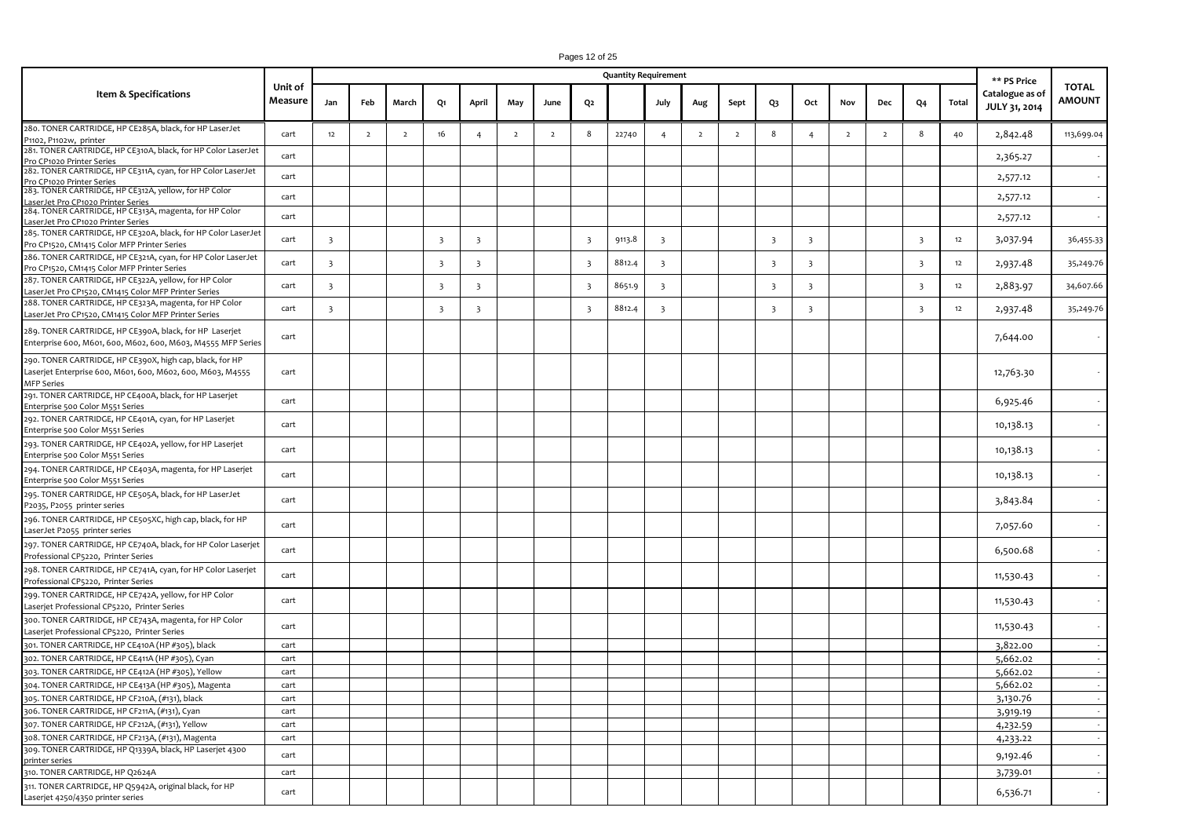|                                                                                                                                      |                    |                         |                |                |                         |                         |                |                |                         | <b>Quantity Requirement</b> |                         |                |                |                         |                         |                |                |                         |       | ** PS Price                      |                        |
|--------------------------------------------------------------------------------------------------------------------------------------|--------------------|-------------------------|----------------|----------------|-------------------------|-------------------------|----------------|----------------|-------------------------|-----------------------------|-------------------------|----------------|----------------|-------------------------|-------------------------|----------------|----------------|-------------------------|-------|----------------------------------|------------------------|
| Item & Specifications                                                                                                                | Unit of<br>Measure | Jan                     | Feb            | March          | Q1                      | April                   | May            | June           | Q2                      |                             | July                    | Aug            | Sept           | Q3                      | Oct                     | Nov            | Dec            | Q4                      | Total | Catalogue as of<br>JULY 31, 2014 | <b>TOTAL</b><br>AMOUNT |
| 280. TONER CARTRIDGE, HP CE285A, black, for HP LaserJet<br>P1102, P1102w, printer                                                    | cart               | 12                      | $\overline{2}$ | $\overline{2}$ | 16                      | $\overline{4}$          | $\overline{2}$ | $\overline{2}$ | 8                       | 22740                       | $\overline{4}$          | $\overline{2}$ | $\overline{2}$ | 8                       | $\overline{4}$          | $\overline{2}$ | $\overline{2}$ | 8                       | 40    | 2,842.48                         | 113,699.04             |
| 281. TONER CARTRIDGE, HP CE310A, black, for HP Color LaserJet                                                                        | cart               |                         |                |                |                         |                         |                |                |                         |                             |                         |                |                |                         |                         |                |                |                         |       | 2,365.27                         |                        |
| Pro CP1020 Printer Series<br>282. TONER CARTRIDGE, HP CE311A, cyan, for HP Color LaserJet                                            | cart               |                         |                |                |                         |                         |                |                |                         |                             |                         |                |                |                         |                         |                |                |                         |       |                                  |                        |
| Pro CP1020 Printer Series<br>283. TONER CARTRIDGE, HP CE312A, yellow, for HP Color                                                   |                    |                         |                |                |                         |                         |                |                |                         |                             |                         |                |                |                         |                         |                |                |                         |       | 2,577.12                         |                        |
| LaserJet Pro CP1020 Printer Series                                                                                                   | cart               |                         |                |                |                         |                         |                |                |                         |                             |                         |                |                |                         |                         |                |                |                         |       | 2,577.12                         |                        |
| 284. TONER CARTRIDGE, HP CE313A, magenta, for HP Color<br>LaserJet Pro CP1020 Printer Series                                         | cart               |                         |                |                |                         |                         |                |                |                         |                             |                         |                |                |                         |                         |                |                |                         |       | 2,577.12                         |                        |
| 285. TONER CARTRIDGE, HP CE320A, black, for HP Color LaserJet                                                                        |                    |                         |                |                |                         |                         |                |                |                         |                             |                         |                |                |                         |                         |                |                |                         |       |                                  |                        |
| Pro CP1520, CM1415 Color MFP Printer Series                                                                                          | cart               | $\overline{\mathbf{3}}$ |                |                | $\overline{\mathbf{3}}$ | $\overline{\mathbf{3}}$ |                |                | $\overline{\mathbf{3}}$ | 9113.8                      | $\overline{\mathbf{3}}$ |                |                | 3                       | $\overline{\mathbf{3}}$ |                |                | $\overline{\mathbf{3}}$ | 12    | 3,037.94                         | 36,455.33              |
| 286. TONER CARTRIDGE, HP CE321A, cyan, for HP Color LaserJet<br>Pro CP1520, CM1415 Color MFP Printer Series                          | cart               | $\overline{\mathbf{3}}$ |                |                | $\overline{\mathbf{3}}$ | $\overline{\mathbf{3}}$ |                |                | $\overline{\mathbf{3}}$ | 8812.4                      | $\overline{\mathbf{3}}$ |                |                | 3                       | $\overline{\mathbf{3}}$ |                |                | $\overline{\mathbf{3}}$ | 12    | 2,937.48                         | 35,249.76              |
| 287. TONER CARTRIDGE, HP CE322A, yellow, for HP Color                                                                                | cart               | $\overline{\mathbf{3}}$ |                |                | $\overline{\mathbf{3}}$ | $\overline{\mathbf{3}}$ |                |                | $\overline{\mathbf{3}}$ | 8651.9                      | $\overline{3}$          |                |                | $\overline{\mathbf{3}}$ | $\overline{\mathbf{3}}$ |                |                | $\overline{\mathbf{3}}$ | 12    | 2,883.97                         | 34,607.66              |
| LaserJet Pro CP1520, CM1415 Color MFP Printer Series<br>288. TONER CARTRIDGE, HP CE323A, magenta, for HP Color                       |                    |                         |                |                |                         |                         |                |                |                         |                             |                         |                |                |                         |                         |                |                |                         |       |                                  |                        |
| LaserJet Pro CP1520, CM1415 Color MFP Printer Series                                                                                 | cart               | $\overline{3}$          |                |                | $\overline{\mathbf{3}}$ | $\overline{\mathbf{3}}$ |                |                | $\overline{\mathbf{3}}$ | 8812.4                      | $\overline{\mathbf{3}}$ |                |                | $\overline{\mathbf{3}}$ | $\overline{\mathbf{3}}$ |                |                | $\overline{\mathbf{3}}$ | 12    | 2,937.48                         | 35,249.76              |
| 289. TONER CARTRIDGE, HP CE390A, black, for HP Laserjet<br>Enterprise 600, M601, 600, M602, 600, M603, M4555 MFP Series              | cart               |                         |                |                |                         |                         |                |                |                         |                             |                         |                |                |                         |                         |                |                |                         |       | 7,644.00                         |                        |
| 290. TONER CARTRIDGE, HP CE390X, high cap, black, for HP<br>Laserjet Enterprise 600, M601, 600, M602, 600, M603, M4555<br>MFP Series | cart               |                         |                |                |                         |                         |                |                |                         |                             |                         |                |                |                         |                         |                |                |                         |       | 12,763.30                        |                        |
| 291. TONER CARTRIDGE, HP CE400A, black, for HP Laserjet                                                                              | cart               |                         |                |                |                         |                         |                |                |                         |                             |                         |                |                |                         |                         |                |                |                         |       | 6,925.46                         |                        |
| Enterprise 500 Color M551 Series<br>292. TONER CARTRIDGE, HP CE401A, cyan, for HP Laserjet                                           |                    |                         |                |                |                         |                         |                |                |                         |                             |                         |                |                |                         |                         |                |                |                         |       |                                  |                        |
| Enterprise 500 Color M551 Series                                                                                                     | cart               |                         |                |                |                         |                         |                |                |                         |                             |                         |                |                |                         |                         |                |                |                         |       | 10,138.13                        |                        |
| 293. TONER CARTRIDGE, HP CE402A, yellow, for HP Laserjet<br>Enterprise 500 Color M551 Series                                         | cart               |                         |                |                |                         |                         |                |                |                         |                             |                         |                |                |                         |                         |                |                |                         |       | 10,138.13                        |                        |
| 294. TONER CARTRIDGE, HP CE403A, magenta, for HP Laserjet<br>Enterprise 500 Color M551 Series                                        | cart               |                         |                |                |                         |                         |                |                |                         |                             |                         |                |                |                         |                         |                |                |                         |       | 10,138.13                        |                        |
| 295. TONER CARTRIDGE, HP CE505A, black, for HP LaserJet<br>P2035, P2055 printer series                                               | cart               |                         |                |                |                         |                         |                |                |                         |                             |                         |                |                |                         |                         |                |                |                         |       | 3,843.84                         |                        |
| 296. TONER CARTRIDGE, HP CE505XC, high cap, black, for HP<br>LaserJet P2055 printer series                                           | cart               |                         |                |                |                         |                         |                |                |                         |                             |                         |                |                |                         |                         |                |                |                         |       | 7,057.60                         |                        |
| 297. TONER CARTRIDGE, HP CE740A, black, for HP Color Laserjet<br>Professional CP5220, Printer Series                                 | cart               |                         |                |                |                         |                         |                |                |                         |                             |                         |                |                |                         |                         |                |                |                         |       | 6,500.68                         |                        |
| 298. TONER CARTRIDGE, HP CE741A, cyan, for HP Color Laserjet<br>Professional CP5220, Printer Series                                  | cart               |                         |                |                |                         |                         |                |                |                         |                             |                         |                |                |                         |                         |                |                |                         |       | 11,530.43                        |                        |
| 299. TONER CARTRIDGE, HP CE742A, yellow, for HP Color<br>Laserjet Professional CP5220, Printer Series                                | cart               |                         |                |                |                         |                         |                |                |                         |                             |                         |                |                |                         |                         |                |                |                         |       | 11,530.43                        |                        |
| 300. TONER CARTRIDGE, HP CE743A, magenta, for HP Color<br>Laserjet Professional CP5220, Printer Series                               | cart               |                         |                |                |                         |                         |                |                |                         |                             |                         |                |                |                         |                         |                |                |                         |       | 11,530.43                        |                        |
| 301. TONER CARTRIDGE, HP CE410A (HP #305), black                                                                                     | cart               |                         |                |                |                         |                         |                |                |                         |                             |                         |                |                |                         |                         |                |                |                         |       | 3,822.00                         |                        |
| 302. TONER CARTRIDGE, HP CE411A (HP #305), Cyan                                                                                      | cart               |                         |                |                |                         |                         |                |                |                         |                             |                         |                |                |                         |                         |                |                |                         |       | 5,662.02                         |                        |
| 303. TONER CARTRIDGE, HP CE412A (HP #305), Yellow                                                                                    | cart               |                         |                |                |                         |                         |                |                |                         |                             |                         |                |                |                         |                         |                |                |                         |       | 5,662.02                         | $\sim$                 |
| 304. TONER CARTRIDGE, HP CE413A (HP #305), Magenta                                                                                   | cart               |                         |                |                |                         |                         |                |                |                         |                             |                         |                |                |                         |                         |                |                |                         |       | 5,662.02                         |                        |
| 305. TONER CARTRIDGE, HP CF210A, (#131), black                                                                                       | cart               |                         |                |                |                         |                         |                |                |                         |                             |                         |                |                |                         |                         |                |                |                         |       | 3,130.76                         |                        |
| 306. TONER CARTRIDGE, HP CF211A, (#131), Cyan                                                                                        | cart               |                         |                |                |                         |                         |                |                |                         |                             |                         |                |                |                         |                         |                |                |                         |       | 3,919.19                         | $\sim$                 |
| 307. TONER CARTRIDGE, HP CF212A, (#131), Yellow                                                                                      | cart               |                         |                |                |                         |                         |                |                |                         |                             |                         |                |                |                         |                         |                |                |                         |       | 4,232.59                         |                        |
| 308. TONER CARTRIDGE, HP CF213A, (#131), Magenta<br>309. TONER CARTRIDGE, HP Q1339A, black, HP Laserjet 4300                         | cart               |                         |                |                |                         |                         |                |                |                         |                             |                         |                |                |                         |                         |                |                |                         |       | 4,233.22                         | $\sim$ $-$             |
| printer series                                                                                                                       | cart               |                         |                |                |                         |                         |                |                |                         |                             |                         |                |                |                         |                         |                |                |                         |       | 9,192.46                         | $\sim$                 |
| 310. TONER CARTRIDGE, HP Q2624A                                                                                                      | cart               |                         |                |                |                         |                         |                |                |                         |                             |                         |                |                |                         |                         |                |                |                         |       | 3,739.01                         | $\sim$                 |
| 311. TONER CARTRIDGE, HP Q5942A, original black, for HP<br>Laserjet 4250/4350 printer series                                         | cart               |                         |                |                |                         |                         |                |                |                         |                             |                         |                |                |                         |                         |                |                |                         |       | 6,536.71                         | $\sim$                 |

Pages 12 of 25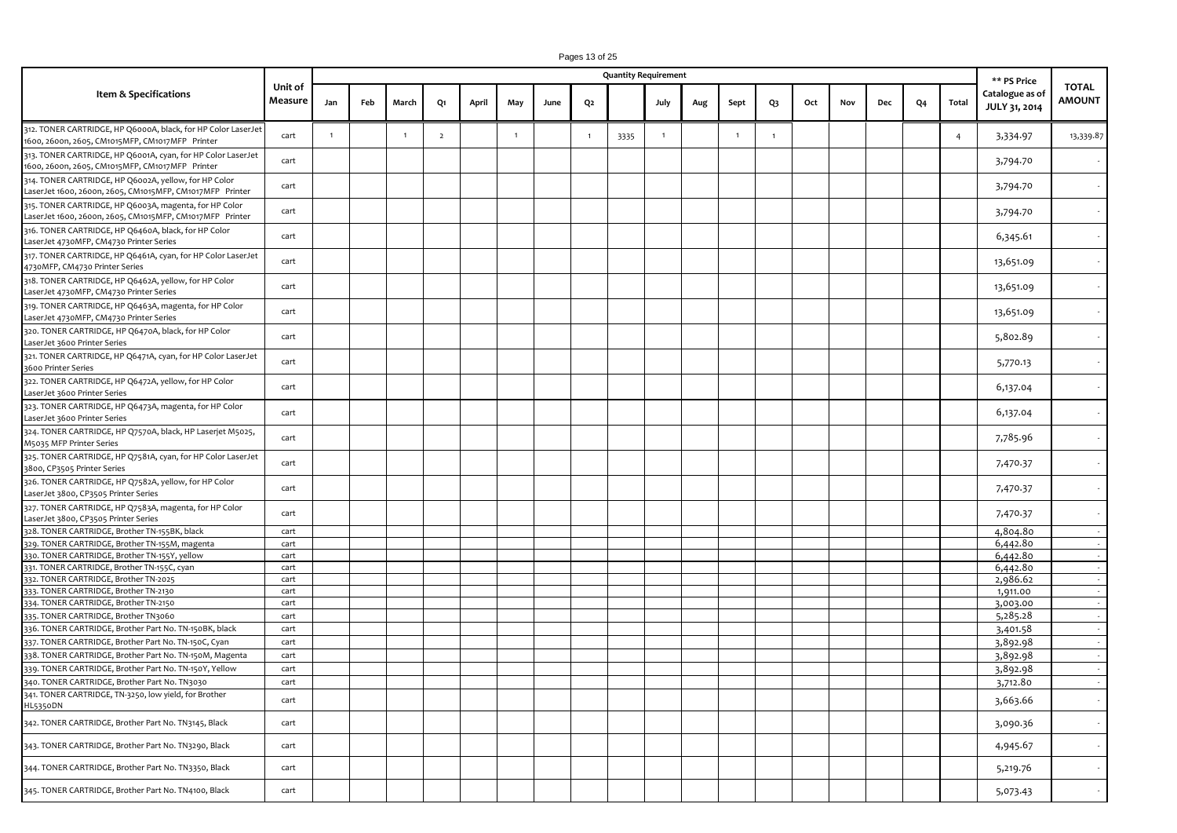|                                                                                                                    |                    |              |     |                |                |       |                |      |                | <b>Quantity Requirement</b> |                |     |                |    |     |     |     |    |                | ** PS Price                      |                               |
|--------------------------------------------------------------------------------------------------------------------|--------------------|--------------|-----|----------------|----------------|-------|----------------|------|----------------|-----------------------------|----------------|-----|----------------|----|-----|-----|-----|----|----------------|----------------------------------|-------------------------------|
| Item & Specifications                                                                                              | Unit of<br>Measure | Jan          | Feb | March          | Q1             | April | May            | June | Q2             |                             | July           | Aug | Sept           | Q3 | Oct | Nov | Dec | Q4 | Total          | Catalogue as of<br>JULY 31, 2014 | <b>TOTAL</b><br><b>AMOUNT</b> |
| 312. TONER CARTRIDGE, HP Q6000A, black, for HP Color LaserJet<br>1600, 2600n, 2605, CM1015MFP, CM1017MFP Printer   | cart               | $\mathbf{1}$ |     | $\overline{1}$ | $\overline{2}$ |       | $\overline{1}$ |      | $\overline{1}$ | 3335                        | $\overline{1}$ |     | $\overline{1}$ | 1  |     |     |     |    | $\overline{4}$ | 3,334.97                         | 13,339.87                     |
| 313. TONER CARTRIDGE, HP Q6001A, cyan, for HP Color LaserJet<br>1600, 2600n, 2605, CM1015MFP, CM1017MFP Printer    | cart               |              |     |                |                |       |                |      |                |                             |                |     |                |    |     |     |     |    |                | 3,794.70                         |                               |
| 314. TONER CARTRIDGE, HP Q6002A, yellow, for HP Color<br>LaserJet 1600, 2600n, 2605, CM1015MFP, CM1017MFP Printer  | cart               |              |     |                |                |       |                |      |                |                             |                |     |                |    |     |     |     |    |                | 3,794.70                         |                               |
| 315. TONER CARTRIDGE, HP Q6003A, magenta, for HP Color<br>LaserJet 1600, 2600n, 2605, CM1015MFP, CM1017MFP Printer | cart               |              |     |                |                |       |                |      |                |                             |                |     |                |    |     |     |     |    |                | 3,794.70                         |                               |
| 316. TONER CARTRIDGE, HP Q6460A, black, for HP Color<br>LaserJet 4730MFP, CM4730 Printer Series                    | cart               |              |     |                |                |       |                |      |                |                             |                |     |                |    |     |     |     |    |                | 6,345.61                         |                               |
| 317. TONER CARTRIDGE, HP Q6461A, cyan, for HP Color LaserJet<br>4730MFP, CM4730 Printer Series                     | cart               |              |     |                |                |       |                |      |                |                             |                |     |                |    |     |     |     |    |                | 13,651.09                        |                               |
| 318. TONER CARTRIDGE, HP Q6462A, yellow, for HP Color<br>LaserJet 4730MFP, CM4730 Printer Series                   | cart               |              |     |                |                |       |                |      |                |                             |                |     |                |    |     |     |     |    |                | 13,651.09                        |                               |
| 319. TONER CARTRIDGE, HP Q6463A, magenta, for HP Color<br>LaserJet 4730MFP, CM4730 Printer Series                  | cart               |              |     |                |                |       |                |      |                |                             |                |     |                |    |     |     |     |    |                | 13,651.09                        |                               |
| 320. TONER CARTRIDGE, HP Q6470A, black, for HP Color<br>LaserJet 3600 Printer Series                               | cart               |              |     |                |                |       |                |      |                |                             |                |     |                |    |     |     |     |    |                | 5,802.89                         |                               |
| 321. TONER CARTRIDGE, HP Q6471A, cyan, for HP Color LaserJet<br>3600 Printer Series                                | cart               |              |     |                |                |       |                |      |                |                             |                |     |                |    |     |     |     |    |                | 5,770.13                         |                               |
| 322. TONER CARTRIDGE, HP Q6472A, yellow, for HP Color<br>LaserJet 3600 Printer Series                              | cart               |              |     |                |                |       |                |      |                |                             |                |     |                |    |     |     |     |    |                | 6,137.04                         |                               |
| 323. TONER CARTRIDGE, HP Q6473A, magenta, for HP Color<br>LaserJet 3600 Printer Series                             | cart               |              |     |                |                |       |                |      |                |                             |                |     |                |    |     |     |     |    |                | 6,137.04                         |                               |
| 324. TONER CARTRIDGE, HP Q7570A, black, HP Laserjet M5025,<br>M5035 MFP Printer Series                             | cart               |              |     |                |                |       |                |      |                |                             |                |     |                |    |     |     |     |    |                | 7,785.96                         |                               |
| 325. TONER CARTRIDGE, HP Q7581A, cyan, for HP Color LaserJet<br>3800, CP3505 Printer Series                        | cart               |              |     |                |                |       |                |      |                |                             |                |     |                |    |     |     |     |    |                | 7,470.37                         |                               |
| 326. TONER CARTRIDGE, HP Q7582A, yellow, for HP Color<br>LaserJet 3800, CP3505 Printer Series                      | cart               |              |     |                |                |       |                |      |                |                             |                |     |                |    |     |     |     |    |                | 7,470.37                         |                               |
| 327. TONER CARTRIDGE, HP Q7583A, magenta, for HP Color<br>LaserJet 3800, CP3505 Printer Series                     | cart               |              |     |                |                |       |                |      |                |                             |                |     |                |    |     |     |     |    |                | 7,470.37                         |                               |
| 328. TONER CARTRIDGE, Brother TN-155BK, black                                                                      | cart               |              |     |                |                |       |                |      |                |                             |                |     |                |    |     |     |     |    |                | 4,804.80                         |                               |
| 329. TONER CARTRIDGE, Brother TN-155M, magenta                                                                     | cart               |              |     |                |                |       |                |      |                |                             |                |     |                |    |     |     |     |    |                | 6,442.80                         |                               |
| 330. TONER CARTRIDGE, Brother TN-155Y, yellow                                                                      | cart               |              |     |                |                |       |                |      |                |                             |                |     |                |    |     |     |     |    |                | 6,442.80                         |                               |
| 331. TONER CARTRIDGE, Brother TN-155C, cyan                                                                        | cart               |              |     |                |                |       |                |      |                |                             |                |     |                |    |     |     |     |    |                | 6,442.80                         |                               |
| 332. TONER CARTRIDGE, Brother TN-2025                                                                              | cart               |              |     |                |                |       |                |      |                |                             |                |     |                |    |     |     |     |    |                | 2,986.62                         |                               |
| 333. TONER CARTRIDGE, Brother TN-2130                                                                              | cart               |              |     |                |                |       |                |      |                |                             |                |     |                |    |     |     |     |    |                | 1,911.00                         |                               |
| 334. TONER CARTRIDGE, Brother TN-2150                                                                              | cart               |              |     |                |                |       |                |      |                |                             |                |     |                |    |     |     |     |    |                | 3,003.00                         |                               |
| 335. TONER CARTRIDGE, Brother TN3060                                                                               | cart               |              |     |                |                |       |                |      |                |                             |                |     |                |    |     |     |     |    |                | 5,285.28                         |                               |
| 336. TONER CARTRIDGE, Brother Part No. TN-150BK, black                                                             | cart               |              |     |                |                |       |                |      |                |                             |                |     |                |    |     |     |     |    |                | 3,401.58                         |                               |
| 337. TONER CARTRIDGE, Brother Part No. TN-150C, Cyan                                                               | cart               |              |     |                |                |       |                |      |                |                             |                |     |                |    |     |     |     |    |                | 3,892.98                         |                               |
| 338. TONER CARTRIDGE, Brother Part No. TN-150M, Magenta                                                            | cart               |              |     |                |                |       |                |      |                |                             |                |     |                |    |     |     |     |    |                | 3,892.98                         |                               |
| 339. TONER CARTRIDGE, Brother Part No. TN-150Y, Yellow                                                             | cart               |              |     |                |                |       |                |      |                |                             |                |     |                |    |     |     |     |    |                | 3,892.98                         |                               |
| 340. TONER CARTRIDGE, Brother Part No. TN3030                                                                      | cart               |              |     |                |                |       |                |      |                |                             |                |     |                |    |     |     |     |    |                | 3,712.80                         |                               |
|                                                                                                                    |                    |              |     |                |                |       |                |      |                |                             |                |     |                |    |     |     |     |    |                |                                  |                               |
| 341. TONER CARTRIDGE, TN-3250, low yield, for Brother<br><b>HL5350DN</b>                                           | cart               |              |     |                |                |       |                |      |                |                             |                |     |                |    |     |     |     |    |                | 3,663.66                         |                               |
| 342. TONER CARTRIDGE, Brother Part No. TN3145, Black                                                               | cart               |              |     |                |                |       |                |      |                |                             |                |     |                |    |     |     |     |    |                | 3,090.36                         |                               |
| 343. TONER CARTRIDGE, Brother Part No. TN3290, Black                                                               | cart               |              |     |                |                |       |                |      |                |                             |                |     |                |    |     |     |     |    |                | 4,945.67                         |                               |
| 344. TONER CARTRIDGE, Brother Part No. TN3350, Black                                                               | cart               |              |     |                |                |       |                |      |                |                             |                |     |                |    |     |     |     |    |                | 5,219.76                         |                               |
| 345. TONER CARTRIDGE, Brother Part No. TN4100, Black                                                               | cart               |              |     |                |                |       |                |      |                |                             |                |     |                |    |     |     |     |    |                | 5,073.43                         |                               |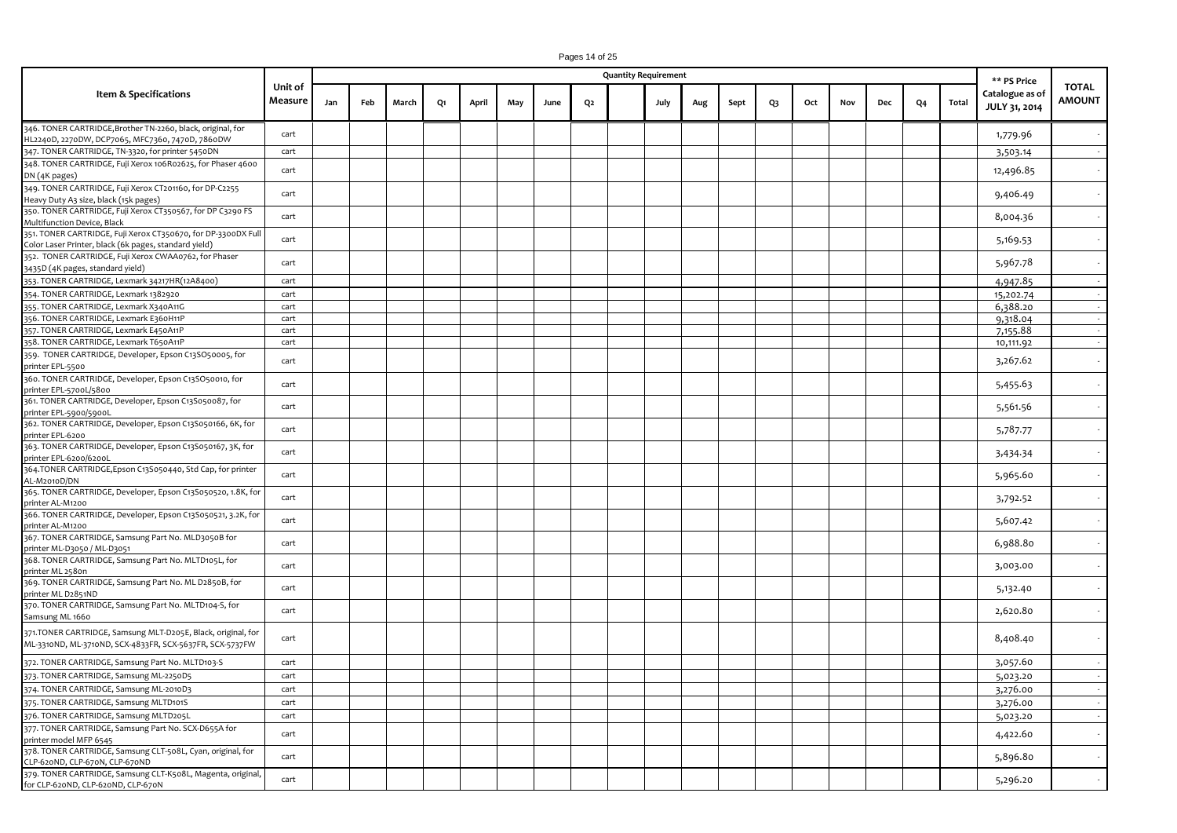|                                                                                                                          |                    |     |     |       |    |       |     |      |                | <b>Quantity Requirement</b> |     |      |    |     |     |     |                |       | ** PS Price                      |                               |
|--------------------------------------------------------------------------------------------------------------------------|--------------------|-----|-----|-------|----|-------|-----|------|----------------|-----------------------------|-----|------|----|-----|-----|-----|----------------|-------|----------------------------------|-------------------------------|
| Item & Specifications                                                                                                    | Unit of<br>Measure | Jan | Feb | March | Q1 | April | May | June | Q <sub>2</sub> | July                        | Aug | Sept | Q3 | Oct | Nov | Dec | Q <sub>4</sub> | Total | Catalogue as of<br>JULY 31, 2014 | <b>TOTAL</b><br><b>AMOUNT</b> |
| 346. TONER CARTRIDGE, Brother TN-2260, black, original, for<br>HL2240D, 2270DW, DCP7065, MFC7360, 7470D, 7860DW          | cart               |     |     |       |    |       |     |      |                |                             |     |      |    |     |     |     |                |       | 1,779.96                         |                               |
| 347. TONER CARTRIDGE, TN-3320, for printer 5450DN                                                                        | cart               |     |     |       |    |       |     |      |                |                             |     |      |    |     |     |     |                |       | 3,503.14                         |                               |
| 348. TONER CARTRIDGE, Fuji Xerox 106R02625, for Phaser 4600<br>DN (4K pages)                                             | cart               |     |     |       |    |       |     |      |                |                             |     |      |    |     |     |     |                |       | 12,496.85                        |                               |
| 349. TONER CARTRIDGE, Fuji Xerox CT201160, for DP-C2255<br>Heavy Duty A3 size, black (15k pages)                         | cart               |     |     |       |    |       |     |      |                |                             |     |      |    |     |     |     |                |       | 9,406.49                         |                               |
| 350. TONER CARTRIDGE, Fuji Xerox CT350567, for DP C3290 FS<br>Multifunction Device, Black                                | cart               |     |     |       |    |       |     |      |                |                             |     |      |    |     |     |     |                |       | 8,004.36                         |                               |
| 351. TONER CARTRIDGE, Fuji Xerox CT350670, for DP-3300DX Full<br>Color Laser Printer, black (6k pages, standard yield)   | cart               |     |     |       |    |       |     |      |                |                             |     |      |    |     |     |     |                |       | 5,169.53                         |                               |
| 352. TONER CARTRIDGE, Fuji Xerox CWAA0762, for Phaser<br>3435D (4K pages, standard yield)                                | cart               |     |     |       |    |       |     |      |                |                             |     |      |    |     |     |     |                |       | 5,967.78                         |                               |
| 353. TONER CARTRIDGE, Lexmark 34217HR(12A8400)                                                                           | cart               |     |     |       |    |       |     |      |                |                             |     |      |    |     |     |     |                |       | 4,947.85                         |                               |
| 354. TONER CARTRIDGE, Lexmark 1382920                                                                                    | cart               |     |     |       |    |       |     |      |                |                             |     |      |    |     |     |     |                |       | 15,202.74                        |                               |
| 355. TONER CARTRIDGE, Lexmark X340A11G                                                                                   | cart               |     |     |       |    |       |     |      |                |                             |     |      |    |     |     |     |                |       | 6,388.20                         |                               |
| 356. TONER CARTRIDGE, Lexmark E360H11P                                                                                   | cart               |     |     |       |    |       |     |      |                |                             |     |      |    |     |     |     |                |       | 9,318.04                         |                               |
| 357. TONER CARTRIDGE, Lexmark E450A11P                                                                                   | cart               |     |     |       |    |       |     |      |                |                             |     |      |    |     |     |     |                |       | 7,155.88                         |                               |
| 358. TONER CARTRIDGE, Lexmark T650A11P                                                                                   | cart               |     |     |       |    |       |     |      |                |                             |     |      |    |     |     |     |                |       | 10,111.92                        |                               |
| 359. TONER CARTRIDGE, Developer, Epson C13SO50005, for<br>printer EPL-5500                                               | cart               |     |     |       |    |       |     |      |                |                             |     |      |    |     |     |     |                |       | 3,267.62                         |                               |
| 360. TONER CARTRIDGE, Developer, Epson C13SO50010, for<br>printer EPL-5700L/5800                                         | cart               |     |     |       |    |       |     |      |                |                             |     |      |    |     |     |     |                |       | 5,455.63                         |                               |
| 361. TONER CARTRIDGE, Developer, Epson C13S050087, for<br>printer EPL-5900/5900L                                         | cart               |     |     |       |    |       |     |      |                |                             |     |      |    |     |     |     |                |       | 5,561.56                         |                               |
| 362. TONER CARTRIDGE, Developer, Epson C13S050166, 6K, for<br>printer EPL-6200                                           | cart               |     |     |       |    |       |     |      |                |                             |     |      |    |     |     |     |                |       | 5,787.77                         |                               |
| 363. TONER CARTRIDGE, Developer, Epson C13S050167, 3K, for<br>printer EPL-6200/6200L                                     | cart               |     |     |       |    |       |     |      |                |                             |     |      |    |     |     |     |                |       | 3,434.34                         |                               |
| 364.TONER CARTRIDGE, Epson C13S050440, Std Cap, for printer<br>AL-M2010D/DN                                              | cart               |     |     |       |    |       |     |      |                |                             |     |      |    |     |     |     |                |       | 5,965.60                         |                               |
| 365. TONER CARTRIDGE, Developer, Epson C13S050520, 1.8K, for<br>printer AL-M1200                                         | cart               |     |     |       |    |       |     |      |                |                             |     |      |    |     |     |     |                |       | 3,792.52                         |                               |
| 366. TONER CARTRIDGE, Developer, Epson C13S050521, 3.2K, for<br>printer AL-M1200                                         | cart               |     |     |       |    |       |     |      |                |                             |     |      |    |     |     |     |                |       | 5,607.42                         |                               |
| 367. TONER CARTRIDGE, Samsung Part No. MLD3050B for<br>printer ML-D3050 / ML-D3051                                       | cart               |     |     |       |    |       |     |      |                |                             |     |      |    |     |     |     |                |       | 6,988.80                         |                               |
| 368. TONER CARTRIDGE, Samsung Part No. MLTD105L, for<br>printer ML 2580n                                                 | cart               |     |     |       |    |       |     |      |                |                             |     |      |    |     |     |     |                |       | 3,003.00                         |                               |
| 369. TONER CARTRIDGE, Samsung Part No. ML D2850B, for<br>printer ML D2851ND                                              | cart               |     |     |       |    |       |     |      |                |                             |     |      |    |     |     |     |                |       | 5,132.40                         |                               |
| 370. TONER CARTRIDGE, Samsung Part No. MLTD104-S, for<br>Samsung ML 1660                                                 | cart               |     |     |       |    |       |     |      |                |                             |     |      |    |     |     |     |                |       | 2,620.80                         |                               |
| 371.TONER CARTRIDGE, Samsung MLT-D205E, Black, original, for<br>ML-3310ND, ML-3710ND, SCX-4833FR, SCX-5637FR, SCX-5737FW | cart               |     |     |       |    |       |     |      |                |                             |     |      |    |     |     |     |                |       | 8,408.40                         |                               |
| 372. TONER CARTRIDGE, Samsung Part No. MLTD103-S                                                                         | cart               |     |     |       |    |       |     |      |                |                             |     |      |    |     |     |     |                |       | 3,057.60                         |                               |
| 373. TONER CARTRIDGE, Samsung ML-2250D5                                                                                  | cart               |     |     |       |    |       |     |      |                |                             |     |      |    |     |     |     |                |       | 5,023.20                         |                               |
| 374. TONER CARTRIDGE, Samsung ML-2010D3                                                                                  | cart               |     |     |       |    |       |     |      |                |                             |     |      |    |     |     |     |                |       | 3,276.00                         |                               |
| 375. TONER CARTRIDGE, Samsung MLTD101S                                                                                   | cart               |     |     |       |    |       |     |      |                |                             |     |      |    |     |     |     |                |       | 3,276.00                         |                               |
| 376. TONER CARTRIDGE, Samsung MLTD205L                                                                                   | cart               |     |     |       |    |       |     |      |                |                             |     |      |    |     |     |     |                |       | 5,023.20                         |                               |
| 377. TONER CARTRIDGE, Samsung Part No. SCX-D655A for                                                                     |                    |     |     |       |    |       |     |      |                |                             |     |      |    |     |     |     |                |       |                                  |                               |
| printer model MFP 6545<br>378. TONER CARTRIDGE, Samsung CLT-508L, Cyan, original, for                                    | cart               |     |     |       |    |       |     |      |                |                             |     |      |    |     |     |     |                |       | 4,422.60                         |                               |
| CLP-620ND, CLP-670N, CLP-670ND                                                                                           | cart               |     |     |       |    |       |     |      |                |                             |     |      |    |     |     |     |                |       | 5,896.80                         |                               |
| 379. TONER CARTRIDGE, Samsung CLT-K508L, Magenta, original,<br>for CLP-620ND, CLP-620ND, CLP-670N                        | cart               |     |     |       |    |       |     |      |                |                             |     |      |    |     |     |     |                |       | 5,296.20                         |                               |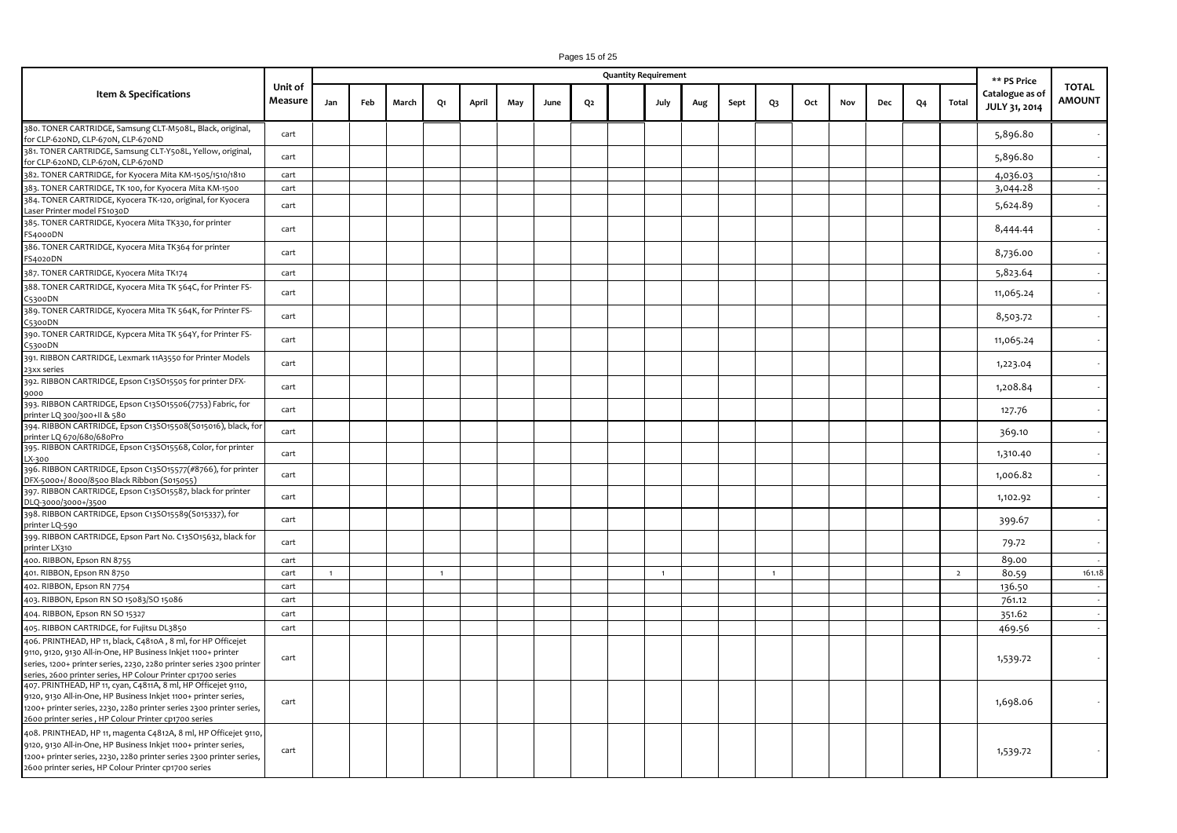|                                                                                                                                                                                                                                                                                                                            |                    |              |     |       |                |       |     |      |                | <b>Quantity Requirement</b> |                |     |      |              |     |     |            |                |                | ** PS Price                      |                               |
|----------------------------------------------------------------------------------------------------------------------------------------------------------------------------------------------------------------------------------------------------------------------------------------------------------------------------|--------------------|--------------|-----|-------|----------------|-------|-----|------|----------------|-----------------------------|----------------|-----|------|--------------|-----|-----|------------|----------------|----------------|----------------------------------|-------------------------------|
| Item & Specifications                                                                                                                                                                                                                                                                                                      | Unit of<br>Measure | Jan          | Feb | March | Q1             | April | May | June | Q <sub>2</sub> |                             | July           | Aug | Sept | Q3           | Oct | Nov | <b>Dec</b> | Q <sub>4</sub> | Total          | Catalogue as of<br>JULY 31, 2014 | <b>TOTAL</b><br><b>AMOUNT</b> |
| 380. TONER CARTRIDGE, Samsung CLT-M508L, Black, original,<br>for CLP-620ND, CLP-670N, CLP-670ND                                                                                                                                                                                                                            | cart               |              |     |       |                |       |     |      |                |                             |                |     |      |              |     |     |            |                |                | 5,896.80                         |                               |
| 381. TONER CARTRIDGE, Samsung CLT-Y508L, Yellow, original,<br>for CLP-620ND, CLP-670N, CLP-670ND                                                                                                                                                                                                                           | cart               |              |     |       |                |       |     |      |                |                             |                |     |      |              |     |     |            |                |                | 5,896.80                         |                               |
| 382. TONER CARTRIDGE, for Kyocera Mita KM-1505/1510/1810                                                                                                                                                                                                                                                                   | cart               |              |     |       |                |       |     |      |                |                             |                |     |      |              |     |     |            |                |                | 4,036.03                         | $\sim$                        |
| 383. TONER CARTRIDGE, TK 100, for Kyocera Mita KM-1500                                                                                                                                                                                                                                                                     | cart               |              |     |       |                |       |     |      |                |                             |                |     |      |              |     |     |            |                |                | 3,044.28                         |                               |
| 384. TONER CARTRIDGE, Kyocera TK-120, original, for Kyocera<br>Laser Printer model FS1030D                                                                                                                                                                                                                                 | cart               |              |     |       |                |       |     |      |                |                             |                |     |      |              |     |     |            |                |                | 5,624.89                         |                               |
| 385. TONER CARTRIDGE, Kyocera Mita TK330, for printer<br>FS4000DN                                                                                                                                                                                                                                                          | cart               |              |     |       |                |       |     |      |                |                             |                |     |      |              |     |     |            |                |                | 8,444.44                         |                               |
| 386. TONER CARTRIDGE, Kyocera Mita TK364 for printer<br>FS4020DN                                                                                                                                                                                                                                                           | cart               |              |     |       |                |       |     |      |                |                             |                |     |      |              |     |     |            |                |                | 8,736.00                         |                               |
| 387. TONER CARTRIDGE, Kyocera Mita TK174                                                                                                                                                                                                                                                                                   | cart               |              |     |       |                |       |     |      |                |                             |                |     |      |              |     |     |            |                |                | 5,823.64                         |                               |
| 388. TONER CARTRIDGE, Kyocera Mita TK 564C, for Printer FS-<br>5300DN                                                                                                                                                                                                                                                      | cart               |              |     |       |                |       |     |      |                |                             |                |     |      |              |     |     |            |                |                | 11,065.24                        |                               |
| 389. TONER CARTRIDGE, Kyocera Mita TK 564K, for Printer FS-<br>C5300DN                                                                                                                                                                                                                                                     | cart               |              |     |       |                |       |     |      |                |                             |                |     |      |              |     |     |            |                |                | 8,503.72                         |                               |
| 390. TONER CARTRIDGE, Kypcera Mita TK 564Y, for Printer FS-<br>C5300DN                                                                                                                                                                                                                                                     | cart               |              |     |       |                |       |     |      |                |                             |                |     |      |              |     |     |            |                |                | 11,065.24                        |                               |
| 391. RIBBON CARTRIDGE, Lexmark 11A3550 for Printer Models<br>23xx series                                                                                                                                                                                                                                                   | cart               |              |     |       |                |       |     |      |                |                             |                |     |      |              |     |     |            |                |                | 1,223.04                         |                               |
| 392. RIBBON CARTRIDGE, Epson C13SO15505 for printer DFX-<br>9000                                                                                                                                                                                                                                                           | cart               |              |     |       |                |       |     |      |                |                             |                |     |      |              |     |     |            |                |                | 1,208.84                         |                               |
| 393. RIBBON CARTRIDGE, Epson C13SO15506(7753) Fabric, for<br>printer LQ 300/300+II & 580                                                                                                                                                                                                                                   | cart               |              |     |       |                |       |     |      |                |                             |                |     |      |              |     |     |            |                |                | 127.76                           |                               |
| 394. RIBBON CARTRIDGE, Epson C13SO15508(S015016), black, for<br>printer LQ 670/680/680Pro                                                                                                                                                                                                                                  | cart               |              |     |       |                |       |     |      |                |                             |                |     |      |              |     |     |            |                |                | 369.10                           |                               |
| 395. RIBBON CARTRIDGE, Epson C13SO15568, Color, for printer<br>X-300                                                                                                                                                                                                                                                       | cart               |              |     |       |                |       |     |      |                |                             |                |     |      |              |     |     |            |                |                | 1,310.40                         |                               |
| 396. RIBBON CARTRIDGE, Epson C13SO15577(#8766), for printer<br>DFX-5000+/8000/8500 Black Ribbon (S015055)                                                                                                                                                                                                                  | cart               |              |     |       |                |       |     |      |                |                             |                |     |      |              |     |     |            |                |                | 1,006.82                         |                               |
| 397. RIBBON CARTRIDGE, Epson C13SO15587, black for printer<br>DLQ-3000/3000+/3500                                                                                                                                                                                                                                          | cart               |              |     |       |                |       |     |      |                |                             |                |     |      |              |     |     |            |                |                | 1,102.92                         |                               |
| 398. RIBBON CARTRIDGE, Epson C13SO15589(S015337), for<br>printer LQ-590                                                                                                                                                                                                                                                    | cart               |              |     |       |                |       |     |      |                |                             |                |     |      |              |     |     |            |                |                | 399.67                           |                               |
| 399. RIBBON CARTRIDGE, Epson Part No. C13SO15632, black for<br>printer LX310                                                                                                                                                                                                                                               | cart               |              |     |       |                |       |     |      |                |                             |                |     |      |              |     |     |            |                |                | 79.72                            |                               |
| 400. RIBBON, Epson RN 8755                                                                                                                                                                                                                                                                                                 | cart               |              |     |       |                |       |     |      |                |                             |                |     |      |              |     |     |            |                |                | 89.00                            | $\sim$                        |
| 401. RIBBON, Epson RN 8750                                                                                                                                                                                                                                                                                                 | cart               | $\mathbf{1}$ |     |       | $\overline{1}$ |       |     |      |                |                             | $\overline{1}$ |     |      | $\mathbf{1}$ |     |     |            |                | $\overline{2}$ | 80.59                            | 161.18                        |
| 402. RIBBON, Epson RN 7754                                                                                                                                                                                                                                                                                                 | cart               |              |     |       |                |       |     |      |                |                             |                |     |      |              |     |     |            |                |                | 136.50                           | $\sim$                        |
| 403. RIBBON, Epson RN SO 15083/SO 15086                                                                                                                                                                                                                                                                                    | cart               |              |     |       |                |       |     |      |                |                             |                |     |      |              |     |     |            |                |                | 761.12                           | $\sim$                        |
| 404. RIBBON, Epson RN SO 15327                                                                                                                                                                                                                                                                                             | cart               |              |     |       |                |       |     |      |                |                             |                |     |      |              |     |     |            |                |                | 351.62                           | $\sim$                        |
| 405. RIBBON CARTRIDGE, for Fujitsu DL3850                                                                                                                                                                                                                                                                                  | cart               |              |     |       |                |       |     |      |                |                             |                |     |      |              |     |     |            |                |                | 469.56                           | $\sim$                        |
| 406. PRINTHEAD, HP 11, black, C4810A, 8 ml, for HP Officejet                                                                                                                                                                                                                                                               |                    |              |     |       |                |       |     |      |                |                             |                |     |      |              |     |     |            |                |                |                                  |                               |
| 9110, 9120, 9130 All-in-One, HP Business Inkjet 1100+ printer<br>series, 1200+ printer series, 2230, 2280 printer series 2300 printer<br>series, 2600 printer series, HP Colour Printer cp1700 series                                                                                                                      | cart               |              |     |       |                |       |     |      |                |                             |                |     |      |              |     |     |            |                |                | 1,539.72                         |                               |
| 407. PRINTHEAD, HP 11, cyan, C4811A, 8 ml, HP Officejet 9110,<br>9120, 9130 All-in-One, HP Business Inkjet 1100+ printer series,<br>1200+ printer series, 2230, 2280 printer series 2300 printer series,                                                                                                                   | cart               |              |     |       |                |       |     |      |                |                             |                |     |      |              |     |     |            |                |                | 1,698.06                         |                               |
| 2600 printer series, HP Colour Printer cp1700 series<br>408. PRINTHEAD, HP 11, magenta C4812A, 8 ml, HP Officejet 9110,<br>9120, 9130 All-in-One, HP Business Inkjet 1100+ printer series,<br>1200+ printer series, 2230, 2280 printer series 2300 printer series,<br>2600 printer series, HP Colour Printer cp1700 series | cart               |              |     |       |                |       |     |      |                |                             |                |     |      |              |     |     |            |                |                | 1,539.72                         |                               |

Pages 15 of 25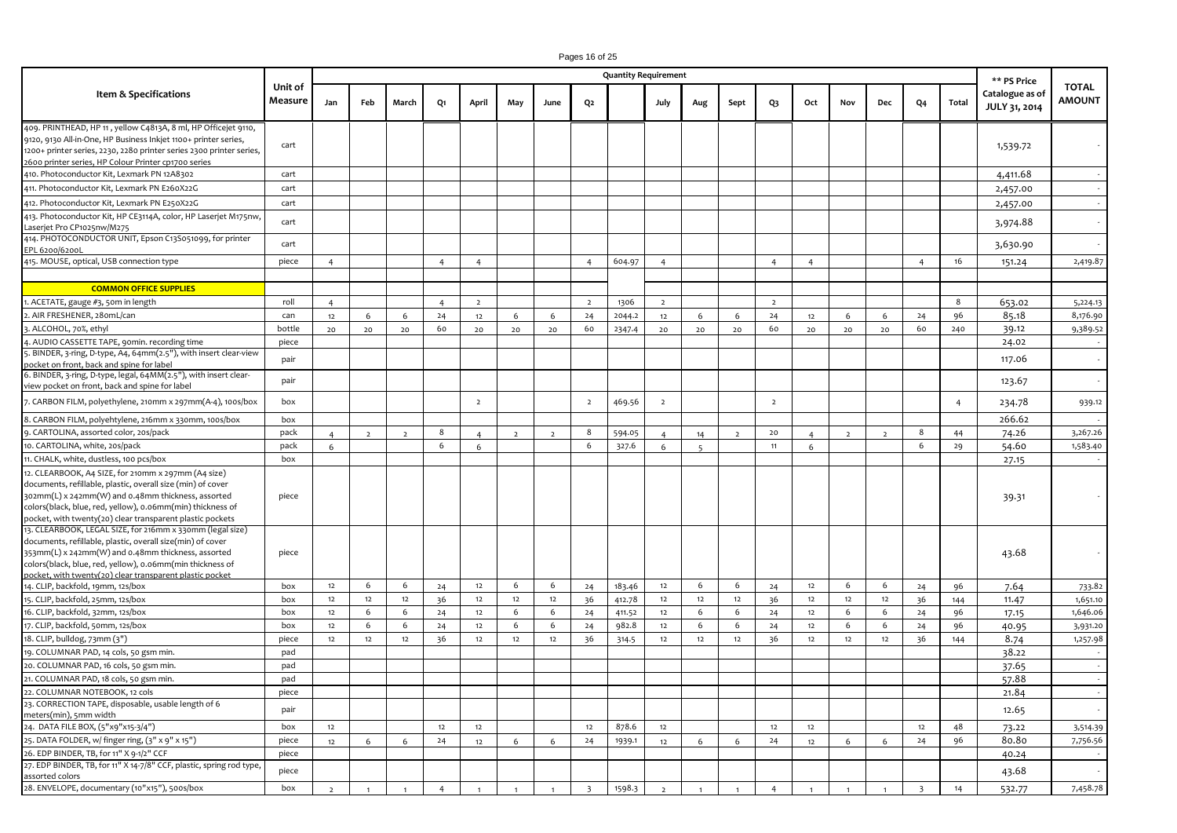|                                                                                                                                                                                                                                                                                                        |                    |                |                |                |                |                |                |                |                         | <b>Quantity Requirement</b> |                |                |                |                |                |                |                |                |                | ** PS Price                      |                               |
|--------------------------------------------------------------------------------------------------------------------------------------------------------------------------------------------------------------------------------------------------------------------------------------------------------|--------------------|----------------|----------------|----------------|----------------|----------------|----------------|----------------|-------------------------|-----------------------------|----------------|----------------|----------------|----------------|----------------|----------------|----------------|----------------|----------------|----------------------------------|-------------------------------|
| Item & Specifications                                                                                                                                                                                                                                                                                  | Unit of<br>Measure | Jan            | Feb            | March          | Q1             | April          | May            | June           | Q <sub>2</sub>          |                             | July           | Aug            | Sept           | Q3             | Oct            | Nov            | Dec            | Q4             | Total          | Catalogue as of<br>JULY 31, 2014 | <b>TOTAL</b><br><b>AMOUNT</b> |
| 409. PRINTHEAD, HP 11, yellow C4813A, 8 ml, HP Officejet 9110,<br>9120, 9130 All-in-One, HP Business Inkjet 1100+ printer series,<br>1200+ printer series, 2230, 2280 printer series 2300 printer series,<br>2600 printer series, HP Colour Printer cp1700 series                                      | cart               |                |                |                |                |                |                |                |                         |                             |                |                |                |                |                |                |                |                |                | 1,539.72                         |                               |
| 410. Photoconductor Kit, Lexmark PN 12A8302                                                                                                                                                                                                                                                            | cart               |                |                |                |                |                |                |                |                         |                             |                |                |                |                |                |                |                |                |                | 4,411.68                         |                               |
| 411. Photoconductor Kit, Lexmark PN E260X22G                                                                                                                                                                                                                                                           | cart               |                |                |                |                |                |                |                |                         |                             |                |                |                |                |                |                |                |                |                | 2,457.00                         |                               |
| 412. Photoconductor Kit, Lexmark PN E250X22G                                                                                                                                                                                                                                                           | cart               |                |                |                |                |                |                |                |                         |                             |                |                |                |                |                |                |                |                |                | 2,457.00                         |                               |
| 413. Photoconductor Kit, HP CE3114A, color, HP Laserjet M175nw,<br>Laserjet Pro CP1025nw/M275                                                                                                                                                                                                          | cart               |                |                |                |                |                |                |                |                         |                             |                |                |                |                |                |                |                |                |                | 3,974.88                         |                               |
| 414. PHOTOCONDUCTOR UNIT, Epson C13S051099, for printer<br>EPL 6200/6200L                                                                                                                                                                                                                              | cart               |                |                |                |                |                |                |                |                         |                             |                |                |                |                |                |                |                |                |                | 3,630.90                         |                               |
| 415. MOUSE, optical, USB connection type                                                                                                                                                                                                                                                               | piece              | $\overline{4}$ |                |                | $\overline{4}$ | $\overline{4}$ |                |                | $\overline{a}$          | 604.97                      | $\overline{4}$ |                |                | $\overline{4}$ | $\overline{4}$ |                |                | $\overline{a}$ | 16             | 151.24                           | 2,419.87                      |
| <b>COMMON OFFICE SUPPLIES</b>                                                                                                                                                                                                                                                                          |                    |                |                |                |                |                |                |                |                         |                             |                |                |                |                |                |                |                |                |                |                                  |                               |
| 1. ACETATE, gauge #3, 50m in length                                                                                                                                                                                                                                                                    | roll               | $\overline{4}$ |                |                | $\overline{4}$ | $\overline{2}$ |                |                | $\overline{2}$          | 1306                        | $\overline{2}$ |                |                | $\overline{2}$ |                |                |                |                | 8              | 653.02                           | 5,224.13                      |
| 2. AIR FRESHENER, 28omL/can                                                                                                                                                                                                                                                                            | can                | 12             | 6              | 6              | 24             | 12             | 6              | 6              | 24                      | 2044.2                      | 12             | 6              | 6              | 24             | $12$           | 6              | 6              | 24             | 96             | 85.18                            | 8,176.90                      |
| 3. ALCOHOL, 70%, ethyl                                                                                                                                                                                                                                                                                 | bottle             | 20             | 20             | 20             | 60             | 20             | 20             | 20             | 60                      | 2347.4                      | 20             | 20             | 20             | 60             | 20             | 20             | 20             | 60             | 240            | 39.12                            | 9,389.52                      |
| 4. AUDIO CASSETTE TAPE, 90min. recording time                                                                                                                                                                                                                                                          | piece              |                |                |                |                |                |                |                |                         |                             |                |                |                |                |                |                |                |                |                | 24.02                            |                               |
| 5. BINDER, 3-ring, D-type, A4, 64mm(2.5"), with insert clear-view<br>bocket on front, back and spine for label                                                                                                                                                                                         | pair               |                |                |                |                |                |                |                |                         |                             |                |                |                |                |                |                |                |                |                | 117.06                           |                               |
| 6. BINDER, 3-ring, D-type, legal, 64MM(2.5"), with insert clear-<br>view pocket on front, back and spine for label                                                                                                                                                                                     | pair               |                |                |                |                |                |                |                |                         |                             |                |                |                |                |                |                |                |                |                | 123.67                           |                               |
| 7. CARBON FILM, polyethylene, 210mm x 297mm(A-4), 100s/box                                                                                                                                                                                                                                             | box                |                |                |                |                | $\overline{2}$ |                |                | $\overline{2}$          | 469.56                      | $\overline{2}$ |                |                | $\overline{2}$ |                |                |                |                | $\overline{4}$ | 234.78                           | 939.12                        |
| 8. CARBON FILM, polyehtylene, 216mm x 330mm, 100s/box                                                                                                                                                                                                                                                  | box                |                |                |                |                |                |                |                |                         |                             |                |                |                |                |                |                |                |                |                | 266.62                           |                               |
| 9. CARTOLINA, assorted color, 20s/pack                                                                                                                                                                                                                                                                 | pack               | $\overline{a}$ | $\overline{2}$ | $\overline{2}$ | 8              | $\overline{a}$ | $\overline{2}$ | $\overline{2}$ | 8                       | 594.05                      | $\overline{a}$ | 14             | $\overline{2}$ | $20$           | $\overline{a}$ | $\overline{2}$ | $\overline{2}$ | 8              | 44             | 74.26                            | 3,267.26                      |
| 10. CARTOLINA, white, 20s/pack                                                                                                                                                                                                                                                                         | pack               | 6              |                |                | 6              | 6              |                |                | 6                       | 327.6                       | 6              | $\overline{5}$ |                | 11             | 6              |                |                | 6              | 29             | 54.60                            | 1,583.40                      |
| 11. CHALK, white, dustless, 100 pcs/box                                                                                                                                                                                                                                                                | box                |                |                |                |                |                |                |                |                         |                             |                |                |                |                |                |                |                |                |                | 27.15                            |                               |
| 12. CLEARBOOK, A4 SIZE, for 210mm x 297mm (A4 size)<br>documents, refillable, plastic, overall size (min) of cover<br>302mm(L) x 242mm(W) and 0.48mm thickness, assorted<br>colors(black, blue, red, yellow), 0.06mm(min) thickness of<br>pocket, with twenty(20) clear transparent plastic pockets    | piece              |                |                |                |                |                |                |                |                         |                             |                |                |                |                |                |                |                |                |                | 39.31                            |                               |
| 13. CLEARBOOK, LEGAL SIZE, for 216mm x 330mm (legal size)<br>documents, refillable, plastic, overall size(min) of cover<br>353mm(L) x 242mm(W) and 0.48mm thickness, assorted<br>colors(black, blue, red, yellow), 0.06mm(min thickness of<br>pocket, with twenty(20) clear transparent plastic pocket | piece              |                |                |                |                |                |                |                |                         |                             |                |                |                |                |                |                |                |                |                | 43.68                            |                               |
| 14. CLIP, backfold, 19mm, 12s/box                                                                                                                                                                                                                                                                      | box                | 12             | 6              | 6              | 24             | 12             | 6              | 6              | 24                      | 183.46                      | 12             | 6              | 6              | 24             | 12             | 6              | 6              | 24             | 96             | 7.64                             | 733.82                        |
| 15. CLIP, backfold, 25mm, 12s/box                                                                                                                                                                                                                                                                      | box                | $12$           | 12             | 12             | 36             | $12\,$         | 12             | $12\,$         | 36                      | 412.78                      | 12             | $12$           | 12             | 36             | $12\,$         | $12$           | 12             | 36             | 144            | 11.47                            | 1,651.10                      |
| 16. CLIP, backfold, 32mm, 12s/box                                                                                                                                                                                                                                                                      | box                | 12             | 6              | 6              | 24             | 12             | 6              | 6              | 24                      | 411.52                      | 12             | 6              | 6              | 24             | 12             | 6              | 6              | 24             | 96             | 17.15                            | 1,646.06                      |
| 17. CLIP, backfold, 50mm, 12s/box                                                                                                                                                                                                                                                                      | box                | 12             | 6              | 6              | 24             | 12             | 6              | 6              | 24                      | 982.8                       | 12             | 6              | 6              | 24             | 12             | 6              | 6              | 24             | 96             | 40.95                            | 3,931.20                      |
| 18. CLIP, bulldog, 73mm (3")                                                                                                                                                                                                                                                                           | piece              | 12             | 12             | 12             | 36             | 12             | 12             | 12             | 36                      | 314.5                       | 12             | 12             | 12             | 36             | 12             | 12             | 12             | 36             | 144            | 8.74                             | 1,257.98                      |
| 19. COLUMNAR PAD, 14 cols, 50 gsm min.                                                                                                                                                                                                                                                                 | pad                |                |                |                |                |                |                |                |                         |                             |                |                |                |                |                |                |                |                |                | 38.22                            |                               |
| 20. COLUMNAR PAD, 16 cols, 50 gsm min.                                                                                                                                                                                                                                                                 | pad                |                |                |                |                |                |                |                |                         |                             |                |                |                |                |                |                |                |                |                | 37.65                            |                               |
| 21. COLUMNAR PAD, 18 cols, 50 gsm min.                                                                                                                                                                                                                                                                 | pad                |                |                |                |                |                |                |                |                         |                             |                |                |                |                |                |                |                |                |                | 57.88                            |                               |
| 22. COLUMNAR NOTEBOOK, 12 cols                                                                                                                                                                                                                                                                         | piece              |                |                |                |                |                |                |                |                         |                             |                |                |                |                |                |                |                |                |                | 21.84                            |                               |
| 23. CORRECTION TAPE, disposable, usable length of 6                                                                                                                                                                                                                                                    | pair               |                |                |                |                |                |                |                |                         |                             |                |                |                |                |                |                |                |                |                | 12.65                            |                               |
| meters(min), 5mm width<br>24. DATA FILE BOX, (5"x9"x15-3/4")                                                                                                                                                                                                                                           | box                | 12             |                |                | 12             | 12             |                |                | 12                      | 878.6                       | 12             |                |                | 12             | 12             |                |                | 12             | 48             | 73.22                            | 3,514.39                      |
| 25. DATA FOLDER, w/ finger ring, (3" x 9" x 15")                                                                                                                                                                                                                                                       | piece              | 12             | 6              | 6              | 24             | 12             | 6              | 6              | 24                      | 1939.1                      | 12             | 6              | 6              | 24             | 12             | 6              | 6              | 24             | 96             | 80.80                            | 7,756.56                      |
| 26. EDP BINDER, TB, for 11" X 9-1/2" CCF                                                                                                                                                                                                                                                               | piece              |                |                |                |                |                |                |                |                         |                             |                |                |                |                |                |                |                |                |                | 40.24                            |                               |
| 27. EDP BINDER, TB, for 11" X 14-7/8" CCF, plastic, spring rod type,                                                                                                                                                                                                                                   |                    |                |                |                |                |                |                |                |                         |                             |                |                |                |                |                |                |                |                |                |                                  |                               |
| assorted colors                                                                                                                                                                                                                                                                                        | piece              |                |                |                |                |                |                |                |                         |                             |                |                |                |                |                |                |                |                |                | 43.68                            |                               |
| 28. ENVELOPE, documentary (10"x15"), 500s/box                                                                                                                                                                                                                                                          | box                | $\overline{2}$ |                | $\overline{1}$ | $\overline{4}$ | $\overline{1}$ | $\overline{1}$ | $\overline{1}$ | $\overline{\mathbf{3}}$ | 1598.3                      | $\overline{2}$ |                | $\mathbf{1}$   | $\overline{4}$ | $\overline{1}$ |                | $\overline{1}$ | $\overline{z}$ | 14             | 532.77                           | 7,458.78                      |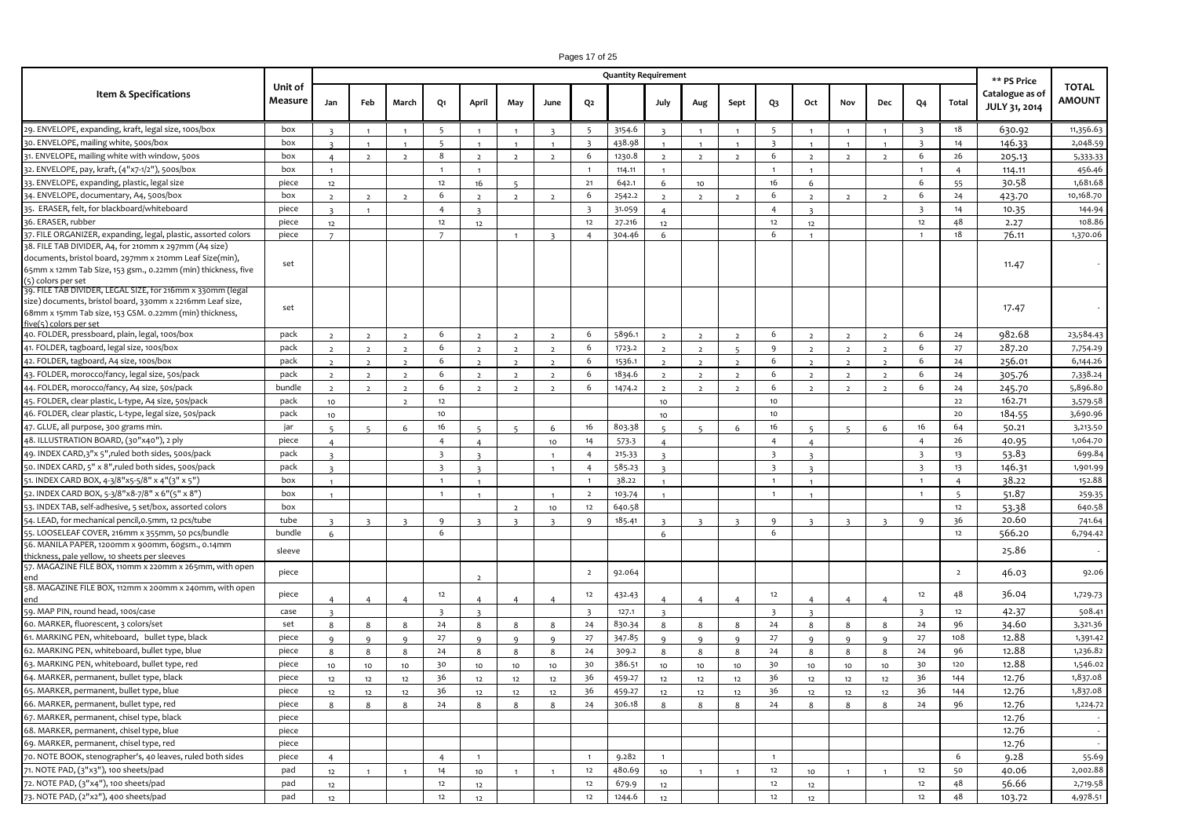# Pages 17 of 25

|                                                                                                                                                                                                             |                    |                         |                |                |                          |                         |                          |                         |                         | <b>Quantity Requirement</b> |                         |                |                |                         |                         |                |                |                         |                | ** PS Price                      |                               |
|-------------------------------------------------------------------------------------------------------------------------------------------------------------------------------------------------------------|--------------------|-------------------------|----------------|----------------|--------------------------|-------------------------|--------------------------|-------------------------|-------------------------|-----------------------------|-------------------------|----------------|----------------|-------------------------|-------------------------|----------------|----------------|-------------------------|----------------|----------------------------------|-------------------------------|
| <b>Item &amp; Specifications</b>                                                                                                                                                                            | Unit of<br>Measure | Jan                     | Feb            | March          | Q1                       | April                   | May                      | June                    | Q <sub>2</sub>          |                             | July                    | Aug            | Sept           | Q3                      | Oct                     | Nov            | Dec            | Q4                      | Total          | Catalogue as of<br>JULY 31, 2014 | <b>TOTAL</b><br><b>AMOUNT</b> |
| 29. ENVELOPE, expanding, kraft, legal size, 100s/box                                                                                                                                                        | box                | $\overline{\mathbf{z}}$ | $\overline{1}$ | $\overline{1}$ | -5                       | $\overline{1}$          |                          | $\overline{\mathbf{z}}$ | -5                      | 3154.6                      | $\overline{z}$          | $\overline{1}$ | $\overline{1}$ | - 5                     | $\mathbf{1}$            | $\overline{1}$ | $\overline{1}$ | $\overline{\mathbf{3}}$ | 18             | 630.92                           | 11,356.63                     |
| 30. ENVELOPE, mailing white, 500s/box                                                                                                                                                                       | box                | $\overline{\mathbf{z}}$ | $\overline{1}$ | $\overline{1}$ | $\overline{\phantom{a}}$ | $\overline{1}$          | $\overline{1}$           | $\overline{1}$          | $\overline{\mathbf{3}}$ | 438.98                      | $\mathbf{1}$            | $\overline{1}$ | $\overline{1}$ | $\overline{\mathbf{z}}$ | 1                       | $\overline{1}$ | $\overline{1}$ | $\overline{\mathbf{z}}$ | 14             | 146.33                           | 2,048.59                      |
| 31. ENVELOPE, mailing white with window, 500s                                                                                                                                                               | box                | $\overline{a}$          | $\overline{2}$ | $\overline{2}$ | 8                        | $\overline{2}$          | $\overline{2}$           | $\overline{2}$          | 6                       | 1230.8                      | $\overline{2}$          | $\overline{2}$ | $\overline{2}$ | 6                       | $\overline{2}$          | $\overline{2}$ | $\overline{2}$ | 6                       | 26             | 205.13                           | 5,333-33                      |
| 32. ENVELOPE, pay, kraft, (4"x7-1/2"), 500s/box                                                                                                                                                             | box                | $\blacksquare$          |                |                | $\overline{1}$           | $\overline{1}$          |                          |                         |                         | 114.11                      | $\blacksquare$          |                |                | $\overline{1}$          | 1                       |                |                | $\overline{1}$          | $\overline{4}$ | 114.11                           | 456.46                        |
| 33. ENVELOPE, expanding, plastic, legal size                                                                                                                                                                | piece              | 12                      |                |                | 12                       | 16                      |                          |                         | 21                      | 642.1                       | 6                       | 10             |                | 16                      | 6                       |                |                | -6                      | 55             | 30.58                            | 1,681.68                      |
| 34. ENVELOPE, documentary, A4, 500s/box                                                                                                                                                                     | box                | $\overline{2}$          | $\overline{2}$ | $\overline{2}$ | 6                        | $\overline{2}$          | $\overline{2}$           | $\overline{2}$          | 6                       | 2542.2                      | $\overline{2}$          | $\overline{2}$ | $\overline{2}$ | 6                       | $\overline{2}$          | $\overline{2}$ | $\overline{2}$ | 6                       | 24             | 423.70                           | 10,168.70                     |
| 35. ERASER, felt, for blackboard/whiteboard                                                                                                                                                                 | piece              | $\overline{\mathbf{z}}$ | $\overline{1}$ |                | $\overline{4}$           | $\overline{z}$          |                          |                         | $\overline{\mathbf{3}}$ | 31.059                      | $\overline{4}$          |                |                | $\overline{4}$          | $\overline{\mathbf{z}}$ |                |                | $\overline{\mathbf{3}}$ | 14             | 10.35                            | 144.94                        |
| 36. ERASER, rubber                                                                                                                                                                                          | piece              | 12                      |                |                | 12                       | 12                      |                          |                         | 12                      | 27.216                      | 12                      |                |                | 12                      | 12                      |                |                | 12                      | 48             | 2.27                             | 108.86                        |
| 37. FILE ORGANIZER, expanding, legal, plastic, assorted colors                                                                                                                                              | piece              | $\overline{7}$          |                |                | $\overline{7}$           |                         |                          | $\overline{\mathbf{z}}$ | $\overline{4}$          | 304.46                      | 6                       |                |                | 6                       | $\mathbf{1}$            |                |                | $\overline{1}$          | 18             | 76.11                            | 1,370.06                      |
| 38. FILE TAB DIVIDER, A4, for 210mm x 297mm (A4 size)                                                                                                                                                       |                    |                         |                |                |                          |                         |                          |                         |                         |                             |                         |                |                |                         |                         |                |                |                         |                |                                  |                               |
| documents, bristol board, 297mm x 210mm Leaf Size(min),<br>65mm x 12mm Tab Size, 153 gsm., 0.22mm (min) thickness, five<br>(5) colors per set                                                               | set                |                         |                |                |                          |                         |                          |                         |                         |                             |                         |                |                |                         |                         |                |                |                         |                | 11.47                            |                               |
| 39. FILE TAB DIVIDER, LEGAL SIZE, for 216mm x 330mm (legal<br>size) documents, bristol board, 330mm x 2216mm Leaf size,<br>68mm x 15mm Tab size, 153 GSM. 0.22mm (min) thickness,<br>five(5) colors per set | set                |                         |                |                |                          |                         |                          |                         |                         |                             |                         |                |                |                         |                         |                |                |                         |                | 17.47                            |                               |
| 40. FOLDER, pressboard, plain, legal, 100s/box                                                                                                                                                              | pack               | $\overline{2}$          | $\overline{z}$ | $\overline{2}$ | 6                        | $\overline{2}$          | $\overline{2}$           | $\overline{2}$          | 6                       | 5896.1                      | <sup>2</sup>            | $\overline{2}$ | $\overline{2}$ | 6                       | $\overline{2}$          | $\overline{2}$ | $\overline{2}$ | 6                       | 24             | 982.68                           | 23,584.43                     |
| 41. FOLDER, tagboard, legal size, 100s/box                                                                                                                                                                  | pack               | $\overline{2}$          | $\overline{z}$ | $\overline{2}$ | 6                        | $\overline{2}$          | $\overline{2}$           | $\overline{2}$          | 6                       | 1723.2                      | $\overline{2}$          | $\overline{z}$ | $5^{\circ}$    | 9                       | $\overline{2}$          | $\overline{2}$ | $\overline{2}$ | 6                       | 27             | 287.20                           | 7,754.29                      |
| 42. FOLDER, tagboard, A4 size, 100s/box                                                                                                                                                                     | pack               | $\overline{2}$          | $\overline{2}$ | $\overline{2}$ | 6                        | $\overline{2}$          | $\overline{2}$           | $\overline{2}$          | 6                       | 1536.1                      | $\overline{2}$          | $\overline{2}$ | $\overline{2}$ | 6                       | $\overline{2}$          | $\overline{2}$ | $\overline{2}$ | -6                      | 24             | 256.01                           | 6,144.26                      |
| 43. FOLDER, morocco/fancy, legal size, 50s/pack                                                                                                                                                             | pack               | $\overline{2}$          | $\overline{z}$ | $\overline{2}$ | 6                        | $\overline{2}$          | $\overline{2}$           | $\overline{2}$          | 6                       | 1834.6                      | $\overline{2}$          | $\overline{2}$ | $\overline{2}$ | 6                       | $\overline{2}$          | $\overline{2}$ | $\overline{2}$ | 6                       | 24             | 305.76                           | 7,338.24                      |
| 44. FOLDER, morocco/fancy, A4 size, 50s/pack                                                                                                                                                                | bundle             | $\overline{2}$          | $\overline{2}$ | $\overline{2}$ | 6                        | $\overline{2}$          | $\overline{2}$           | $\overline{z}$          | 6                       | 1474.2                      | $\overline{2}$          | $\overline{2}$ | $\overline{2}$ | 6                       | $\overline{2}$          | $\overline{2}$ | $\overline{2}$ | 6                       | 24             | 245.70                           | 5,896.80                      |
| 45. FOLDER, clear plastic, L-type, A4 size, 50s/pack                                                                                                                                                        | pack               | 10                      |                | $\overline{2}$ | 12                       |                         |                          |                         |                         |                             | 10                      |                |                | 10                      |                         |                |                |                         | 22             | 162.71                           | 3,579.58                      |
| 46. FOLDER, clear plastic, L-type, legal size, 50s/pack                                                                                                                                                     | pack               | 10                      |                |                | 10                       |                         |                          |                         |                         |                             | 10                      |                |                | 10                      |                         |                |                |                         | 20             | 184.55                           | 3,690.96                      |
| 47. GLUE, all purpose, 300 grams min.                                                                                                                                                                       | jar                | $\overline{a}$          |                | 6              | 16                       | $\overline{a}$          |                          | 6                       | 16                      | 803.38                      | $\overline{a}$          | $\mathbf{r}$   | 6              | 16                      | $\sim$                  | c              | 6              | 16                      | 64             | 50.21                            | 3,213.50                      |
| 48. ILLUSTRATION BOARD, (30"x40"), 2 ply                                                                                                                                                                    | piece              | $\overline{4}$          |                |                | $\overline{4}$           | $\overline{4}$          |                          | 10                      | 14                      | 573.3                       | $\overline{4}$          |                |                | $\overline{4}$          | $\overline{a}$          |                |                | $\overline{a}$          | 26             | 40.95                            | 1,064.70                      |
| 49. INDEX CARD,3"x 5",ruled both sides, 500s/pack                                                                                                                                                           | pack               | $\overline{\mathbf{3}}$ |                |                | $\overline{\mathbf{3}}$  | $\overline{3}$          |                          | $\overline{1}$          | $\overline{4}$          | 215.33                      | $\overline{\mathbf{3}}$ |                |                | $\overline{\mathbf{3}}$ | $\overline{3}$          |                |                | $\overline{\mathbf{3}}$ | 13             | 53.83                            | 699.84                        |
| 50. INDEX CARD, 5" x 8",ruled both sides, 500s/pack                                                                                                                                                         | pack               | $\overline{\mathbf{z}}$ |                |                | $\overline{\mathbf{3}}$  |                         |                          |                         | $\overline{4}$          | 585.23                      | $\overline{\mathbf{z}}$ |                |                | $\overline{\mathbf{3}}$ | $\overline{\mathbf{z}}$ |                |                | $\overline{\mathbf{3}}$ | 13             | 146.31                           | 1,901.99                      |
| 51. INDEX CARD BOX, 4-3/8"x5-5/8" x 4"(3" x 5")                                                                                                                                                             | box                |                         |                |                | $\overline{1}$           | $\overline{1}$          |                          |                         |                         | 38.22                       |                         |                |                | $\overline{1}$          | $\mathbf{1}$            |                |                | $\overline{1}$          | $\overline{4}$ | 38.22                            | 152.88                        |
| 52. INDEX CARD BOX, 5-3/8"x8-7/8" x 6"(5" x 8")                                                                                                                                                             | box                | $\overline{1}$          |                |                | $\overline{1}$           | $\overline{1}$          |                          | $\overline{1}$          | $\overline{2}$          | 103.74                      | $\mathbf{1}$            |                |                | $\overline{1}$          | $\mathbf{1}$            |                |                | $\overline{1}$          | -5             | 51.87                            | 259.35                        |
| 53. INDEX TAB, self-adhesive, 5 set/box, assorted colors                                                                                                                                                    | box                |                         |                |                |                          |                         | $\overline{\phantom{a}}$ | 10                      | 12                      | 640.58                      |                         |                |                |                         |                         |                |                |                         | 12             | 53.38                            | 640.58                        |
| 54. LEAD, for mechanical pencil, 0.5mm, 12 pcs/tube                                                                                                                                                         | tube               | $\overline{z}$          |                |                | $\mathbf{q}$             |                         |                          |                         | 9                       | 185.41                      |                         |                | $\overline{z}$ | $\mathbf{q}$            | $\overline{2}$          |                |                | $\mathbf{q}$            | 36             | 20.60                            | 741.64                        |
| 55. LOOSELEAF COVER, 216mm x 355mm, 50 pcs/bundle                                                                                                                                                           | bundle             | 6                       |                |                | 6                        |                         |                          |                         |                         |                             | 6                       |                |                | 6                       |                         |                |                |                         | $12\,$         | 566.20                           | 6,794.42                      |
| 56. MANILA PAPER, 1200mm x 900mm, 60gsm., 0.14mm                                                                                                                                                            | sleeve             |                         |                |                |                          |                         |                          |                         |                         |                             |                         |                |                |                         |                         |                |                |                         |                | 25.86                            |                               |
| thickness, pale yellow, 10 sheets per sleeves<br>57. MAGAZINE FILE BOX, 110mm x 220mm x 265mm, with open                                                                                                    | piece              |                         |                |                |                          | $\overline{2}$          |                          |                         | $\overline{2}$          | 92.064                      |                         |                |                |                         |                         |                |                |                         | $\overline{2}$ | 46.03                            | 92.06                         |
| 58. MAGAZINE FILE BOX, 112mm x 200mm x 240mm, with open<br>end                                                                                                                                              | piece              | $\Delta$                | $\overline{4}$ | $\overline{4}$ | 12                       | $\overline{4}$          |                          | $\overline{4}$          | 12                      | 432.43                      | $\overline{a}$          | $\overline{4}$ | $\overline{a}$ | 12                      | $\overline{4}$          |                |                | 12                      | 48             | 36.04                            | 1,729.73                      |
| 59. MAP PIN, round head, 100s/case                                                                                                                                                                          | case               | $\mathbf{z}$            |                |                | $\overline{\mathbf{3}}$  | $\overline{\mathbf{3}}$ |                          |                         | $\overline{\mathbf{3}}$ | 127.1                       | $\mathbf{R}$            |                |                | $\overline{\mathbf{3}}$ | $\mathbf{R}$            |                |                | $\overline{\mathbf{3}}$ | 12             | 42.37                            | 508.41                        |
| 60. MARKER, fluorescent, 3 colors/set                                                                                                                                                                       | set                | 8                       | 8              | 8              | 24                       | 8                       | 8                        | 8                       | 24                      | 830.34                      | 8                       | 8              | 8              | 24                      | 8                       | 8              | 8              | 24                      | 96             | 34.60                            | 3,321.36                      |
| 61. MARKING PEN, whiteboard, bullet type, black                                                                                                                                                             | piece              | $\Omega$                | $\alpha$       | $\Omega$       | 27                       | $\mathbf{q}$            | $\Omega$                 | $\alpha$                | 27                      | 347.85                      | $\mathbf{q}$            | $\alpha$       | $\mathsf{q}$   | 27                      | Q                       | $\mathbf{Q}$   | $\Omega$       | 27                      | 108            | 12.88                            | 1,391.42                      |
| 62. MARKING PEN, whiteboard, bullet type, blue                                                                                                                                                              | piece              | 8                       | 8              | 8              | 24                       | 8                       | 8                        | - 8                     | 24                      | 309.2                       | 8                       | 8              | 8              | 24                      | 8                       | 8              | 8              | 24                      | 96             | 12.88                            | 1,236.82                      |
| 63. MARKING PEN, whiteboard, bullet type, red                                                                                                                                                               | piece              | 10                      | 10             | 10             | 30                       | 10                      | 10                       | 10                      | 30                      | 386.51                      | 10                      | $10$           | 10             | 30                      | 10                      | 10             | 10             | 30                      | 120            | 12.88                            | 1,546.02                      |
| 64. MARKER, permanent, bullet type, black                                                                                                                                                                   | piece              | 12                      | 12             | 12             | 36                       | 12                      | 12                       | 12                      | 36                      | 459.27                      | 12                      | 12             | 12             | 36                      | 12                      | 12             | 12             | 36                      | 144            | 12.76                            | 1,837.08                      |
| 65. MARKER, permanent, bullet type, blue                                                                                                                                                                    | piece              | 12                      | 12             | 12             | 36                       | 12                      | 12                       | 12                      | 36                      | 459.27                      | 12                      | 12             | 12             | 36                      | 12                      | 12             | 12             | 36                      | 144            | 12.76                            | 1,837.08                      |
| 66. MARKER, permanent, bullet type, red                                                                                                                                                                     | piece              | 8                       | 8              | 8              | 24                       | 8                       | 8                        | 8                       | 24                      | 306.18                      | 8                       | 8              | 8              | 24                      | 8                       | 8              | 8              | 24                      | 96             | 12.76                            | 1,224.72                      |
| 67. MARKER, permanent, chisel type, black                                                                                                                                                                   | piece              |                         |                |                |                          |                         |                          |                         |                         |                             |                         |                |                |                         |                         |                |                |                         |                | 12.76                            |                               |
| 68. MARKER, permanent, chisel type, blue                                                                                                                                                                    | piece              |                         |                |                |                          |                         |                          |                         |                         |                             |                         |                |                |                         |                         |                |                |                         |                | 12.76                            |                               |
| 69. MARKER, permanent, chisel type, red                                                                                                                                                                     | piece              |                         |                |                |                          |                         |                          |                         |                         |                             |                         |                |                |                         |                         |                |                |                         |                | 12.76                            |                               |
| 70. NOTE BOOK, stenographer's, 40 leaves, ruled both sides                                                                                                                                                  | piece              | $\overline{4}$          |                |                | $\overline{4}$           | $\overline{1}$          |                          |                         | $\overline{1}$          | 9.282                       | 1                       |                |                | $\overline{1}$          |                         |                |                |                         | 6              | 9.28                             | 55.69                         |
| 71. NOTE PAD, (3"x3"), 100 sheets/pad                                                                                                                                                                       | pad                | 12                      |                |                | 14                       | 10                      |                          |                         | 12                      | 480.69                      | 10                      |                | $\overline{1}$ | 12                      | 10                      |                | $\overline{1}$ | 12                      | 50             | 40.06                            | 2,002.88                      |
| 72. NOTE PAD, (3"x4"), 100 sheets/pad                                                                                                                                                                       | pad                | 12                      |                |                | 12                       | 12                      |                          |                         | 12                      | 679.9                       | 12                      |                |                | 12                      | 12                      |                |                | 12                      | 48             | 56.66                            | 2,719.58                      |
| 73. NOTE PAD, (2"x2"), 400 sheets/pad                                                                                                                                                                       | pad                | 12                      |                |                | 12                       | 12                      |                          |                         | 12                      | 1244.6                      | 12                      |                |                | 12                      | 12                      |                |                | 12                      | 48             | 103.72                           | 4,978.51                      |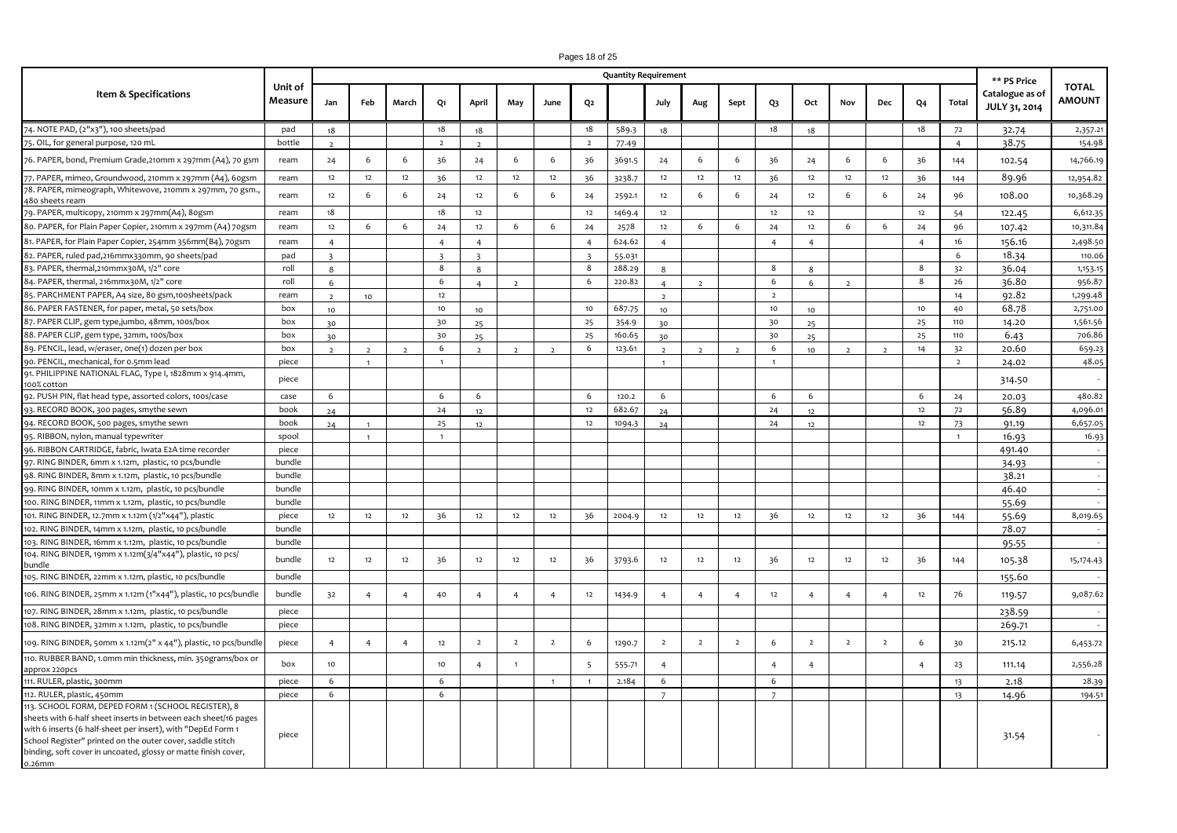#### **Jan Feb March Q1 April May June Q2 July Aug Sept Q3 Oct Nov Dec Q4 Total Item & Specifications Unit of Measure Quantity Requirement \*\* PS Price Catalogue as of JULY 31, 2014 TOTAL AMOUNT** 74. NOTE PAD, (2"x3"), 100 sheets/pad **A. AVAILABLE AT PROCUREMENT SERVICE STORES** pad 18 18 18 18 589.3 18 18 18 18 72 32.74 2,357.21 75. OIL, for general purpose, 120 mL bottle 2 2 2 2 77.49 4 38.75 154.98 76. PAPER, bond, Premium Grade,210mm x 297mm (A4), 70 gsm | ream | 24 | 6 | 36 | 36 | 24 | 6 | 36 | 36 | 36 | 36 | 36 | 36 | 144 | 102.54 | 14,766.19 77. PAPER, mimeo, Groundwood, 210mm x 297mm (A4), 60gsm | ream | 12 | 12 | 12 | 36 | 12 | 31 | 32 | 32 | 32 | 32 | 36 | 144 | 144 | 89.96 | 12,954.82 78. PAPER, mimeograph, Whitewove, 210mm x 297mm, 70 gsm.<br>480 sheets ream 480 sheets ream ream <sup>12</sup> <sup>6</sup> <sup>6</sup> <sup>24</sup> <sup>12</sup> <sup>6</sup> <sup>6</sup> <sup>24</sup> 2592.1 <sup>12</sup> <sup>6</sup> <sup>6</sup> <sup>24</sup> <sup>12</sup> <sup>6</sup> <sup>6</sup> <sup>24</sup> <sup>96</sup> 108.00 10,368.29 19. PAPER, multicopy, 210mm x 297mm(A4), 8ogsm | ream | 18 | 1 | 18 | 12 | 12 | 12 | 1469.4 | 12 | 12 | 12 | 12 | 12 | 54 | 122.45 | 6,612.35 80. PAPER, for Plain Paper Copier, 210mm x 297mm (A4) 70gsm ream 12 6 6 24 32 12 6 24 2578 12 6 6 24 12 6 6 24 96 107.42 10,311.84 81. PAPER, for Plain Paper Copier, 254mm 356mm(B4), 70gsm | ream | 4 | | | 4 | 4 | 1 | 4 | 624.62 | 4 | | | 4 | 4 | 1 | | 4 | 16 | 156.16 | 2,498.50 82. PAPER, ruled pad,216mmx330mm, 90 sheets/pad | pad | 3 | | | | 3 | 3 | 1 | 3 | 55.031 | | | | | | | | | | | | 6 | 18.34 | 110.06 83. PAPER, thermal,210mmx30M, 1/2" core 8 8 8 8 9 288.29 8 8 8 3 36.04 1,153.15 84. PAPER, thermal, 216mmx30M, 1/2" core roll 6 1 6 4 2 6 220.82 4 2 6 8 20.82 6 6 220.82 6 8 26 36.80 956.87 85. PARCHMENT PAPER, A4 size, 80 gsm,100sheets/pack ream 2 10 12 2 2 14 92.82 1,299.48 86. PAPER FASTENER, for paper, metal, 50 sets/box box 10 10 10 10 687.75 10 10 10 10 40 68.78 2,751.00 87. PAPER CLIP, gem type,jumbo, 48mm, 100s/box box 30 box 30 30 25 354.9 30 25 354.9 30 30 35 30 25 110 14.20 1,561.56<br>88. PAPER CLIP, gem type, 32mm, 100s/box box 30 box 30 30 35 30 35 354.9 30 35 160.65 30 31 30 35 30 35 88. PAPER CLIP, gem type, 32mm, 100s/box box box 30 30 30 30 35 30 35 30 30 30 30 35 30 35 30 35 30 325 3110 5.43 30 706.86 89. PENCIL, lead, w/eraser, 0ne(1) dozen per box box 2 2 2 6 2 2 2 6 123.61 2 2 2 6 10 2 2 14 32 20.60 659.23 90. PENCIL, mechanical, for 0.5mm lead piece 1 1 1 1 2 24.02 48.05 91. PHILIPPINE NATIONAL FLAG, Type I, 1828mm x 914.4mm, 100% cotton piece 314.50 - 92. PUSH PIN, flat head type, assorted colors, 100s/case case 6 6 6 6 6 6 120.2 6 6 120.2 6 6 6 8 24 20.03 480.82<br>93. RECORD BOOK, 300 pages, smythe sewn book 24 24 12 12 682.67 24 12 4 12 12 72 56.89 4.096.01 93. RECORD BOOK, 300 pages, smythe sewn book 24 24 12 24 12 10 12 682.67 24 24 12 24 12 12 72 56.89 4,096.01<br>14. RECORD BOOK, 500 pages, smythe sewn book 24 1 25 12 1094.3 24 24 12 24 12 23 91.19 6.657.05 4. RECORD BOOK, 500 pages, smythe sewn book 24 1 3 25 12 12 1094.3 24 1 24 24 12 1 12 73 91.19 95. RIBBON, nylon, manual typewriter spool 1 1 1 16.93 16.93 96. RIBBON CARTRIDGE, fabric, Iwata E2A time recorder piece 491.40 - 97. RING BINDER, 6mm x 1.12m, plastic, 10 pcs/bundle bundle 34.93 - 98. RING BINDER, 8mm x 1.12m, plastic, 10 pcs/bundle bundle bundle bundle the state of the state of the state o 99. RING BINDER, 10mm x 1.12m, plastic, 10 pcs/bundle bundle 46.40 - 100. RING BINDER, 11mm x 1.12m, plastic, 10 pcs/bundle bundle 55.69 - 101. RING BINDER, 12.7mm x 1.12m (1/2"x44"), plastic piece 12 12 12 36 12 12 12 36 2004.9 12 12 12 36 12 12 12 36 144 55.69 8,019.65 102. RING BINDER, 14mm x 1.12m, plastic, 10 pcs/bundle bundle 78.07 - 103. RING BINDER, 16mm x 1.12m, plastic, 10 pcs/bundle bundle 95.55 - 104. RING BINDER, 19mm x 1.12m(3/4"x44"), plastic, 10 pcs/ bundle bundle bundle bundle 12 12 36 12 36 3793.6 12 12 36 12 36 12 12 36 12 36 12 36 12 36 144 105.38 15,174.43 105. RING BINDER, 22mm x 1.12m, plastic, 10 pcs/bundle bundle 155.60 - 106. RING BINDER, 25mm x 1.12m (1"x44"), plastic, 10 pcs/bundle bundle 32 4 4 4 4 4 4 4 4 12 1434.9 4 4 4 4 4 4 4 4 4 4 4 12 76 119.57 9,087.62 107. RING BINDER, 28mm x 1.12m, plastic, 10 pcs/bundle piece 238.59 - 108. RING BINDER, 32mm x 1.12m, plastic, 10 pcs/bundle piece 269.71 - 109. RING BINDER, 50mm x 1.12m(2" x 44"), plastic, 10 pcs/bundle piece | 4 | 4 | 12 | 2 | 2 | 2 | 6 | 1290.7 | 2 | 2 | 2 | 6 | 2 | 2 | 6 | 30 | 215.12 | 6,453.72 110. RUBBER BAND, 1.0mm min thickness, min. 350grams/box or approx 220pcs box 10 10 4 1 5 555.71 4 4 4 4 23 111.14 2,556.28 111. RULER, plastic, 300mm piece 6 6 1 1 2.184 6 6 13 2.18 28.39 112. RULER, plastic, 450mm piece 6 6 7 7 13 14.96 194.51 113. SCHOOL FORM, DEPED FORM 1 (SCHOOL REGISTER), 8 sheets with 6-half sheet inserts in between each sheet/16 pages with 6 inserts (6 half-sheet per insert), with "DepEd Form 1 School Register" printed on the outer cover, saddle stitch binding, soft cover in uncoated, glossy or matte finish cover, piece 31.54 -

0.26mm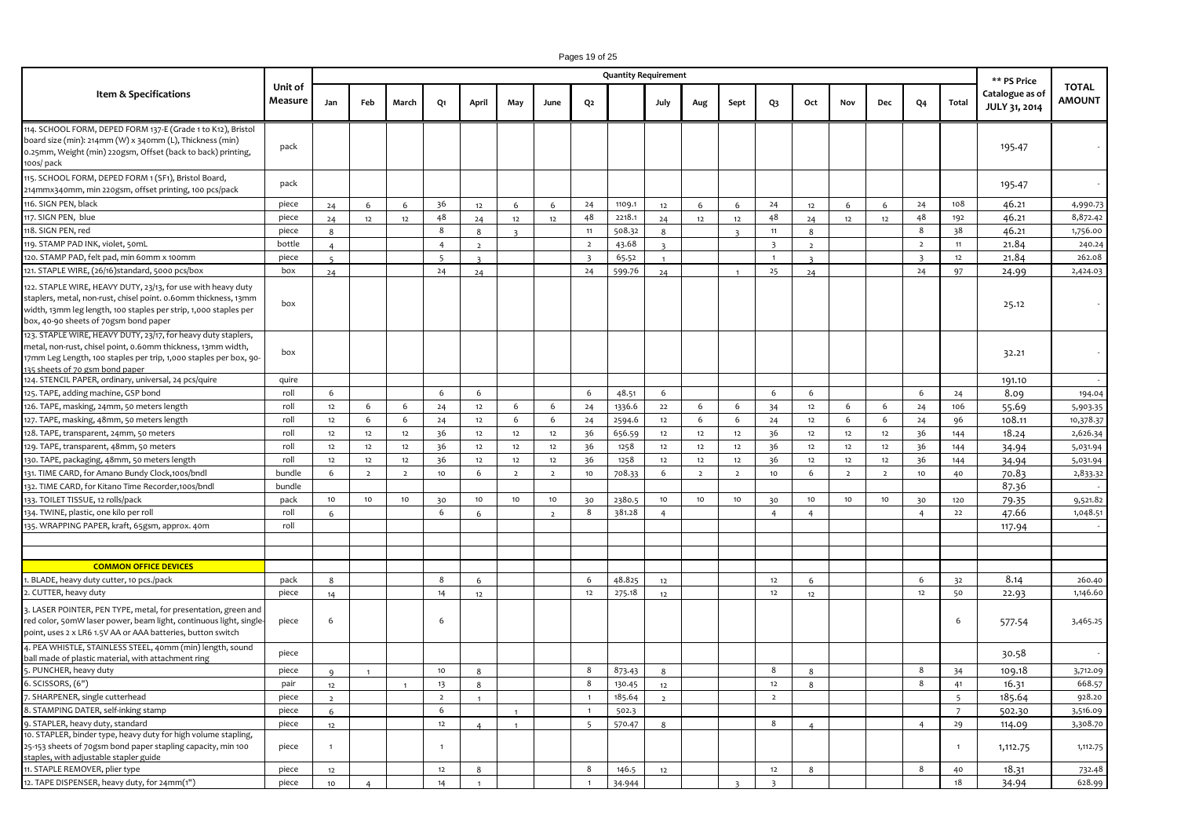|                                                                                                                                                                                                                                              |                    |                |                |                |                 |                |                         |                |                         | <b>Quantity Requirement</b> |                |                |                         |                         |                |                |                |                         |                | ** PS Price                      |                               |
|----------------------------------------------------------------------------------------------------------------------------------------------------------------------------------------------------------------------------------------------|--------------------|----------------|----------------|----------------|-----------------|----------------|-------------------------|----------------|-------------------------|-----------------------------|----------------|----------------|-------------------------|-------------------------|----------------|----------------|----------------|-------------------------|----------------|----------------------------------|-------------------------------|
| Item & Specifications                                                                                                                                                                                                                        | Unit of<br>Measure | Jan            | Feb            | March          | Q1              | April          | May                     | June           | Q2                      |                             | July           | Aug            | Sept                    | Q3                      | Oct            | Nov            | Dec            | Q <sub>4</sub>          | Total          | Catalogue as of<br>JULY 31, 2014 | <b>TOTAL</b><br><b>AMOUNT</b> |
| 114. SCHOOL FORM, DEPED FORM 137-E (Grade 1 to K12), Bristol<br>board size (min): 214mm (W) x 340mm (L), Thickness (min)<br>0.25mm, Weight (min) 220gsm, Offset (back to back) printing,<br>100s/ pack                                       | pack               |                |                |                |                 |                |                         |                |                         |                             |                |                |                         |                         |                |                |                |                         |                | 195.47                           |                               |
| 115. SCHOOL FORM, DEPED FORM 1 (SF1), Bristol Board,<br>214mmx340mm, min 220gsm, offset printing, 100 pcs/pack                                                                                                                               | pack               |                |                |                |                 |                |                         |                |                         |                             |                |                |                         |                         |                |                |                |                         |                | 195.47                           |                               |
| 116. SIGN PEN, black                                                                                                                                                                                                                         | piece              | 24             | 6              | 6              | 36              | 12             | 6                       | 6              | 24                      | 1109.1                      | 12             | 6              | 6                       | 24                      | 12             | 6              | 6              | 24                      | 108            | 46.21                            | 4,990.73                      |
| 117. SIGN PEN, blue                                                                                                                                                                                                                          | piece              | 24             | 12             | 12             | 48              | 24             | 12                      | 12             | 48                      | 2218.1                      | 24             | 12             | 12                      | 48                      | 24             | 12             | 12             | 48                      | 192            | 46.21                            | 8,872.42                      |
| 118. SIGN PEN, red                                                                                                                                                                                                                           | piece              | 8              |                |                | $\bf8$          | 8              | $\overline{\mathbf{z}}$ |                | 11                      | 508.32                      | 8              |                | $\overline{\mathbf{z}}$ | 11                      | $\mathbf{g}$   |                |                | $8\phantom{.0}$         | 38             | 46.21                            | 1,756.00                      |
| 19. STAMP PAD INK, violet, 50mL                                                                                                                                                                                                              | bottle             | $\overline{4}$ |                |                | $\overline{4}$  | $\overline{2}$ |                         |                | $\overline{2}$          | 43.68                       | $\overline{3}$ |                |                         | $\overline{\mathbf{3}}$ | $\overline{2}$ |                |                | $\overline{2}$          | 11             | 21.84                            | 240.24                        |
| 120. STAMP PAD, felt pad, min 60mm x 100mm                                                                                                                                                                                                   | piece              |                |                |                | 5               |                |                         |                | $\overline{\mathbf{3}}$ | 65.52                       | $\blacksquare$ |                |                         | $\overline{1}$          |                |                |                | $\overline{\mathbf{3}}$ | $12\,$         | 21.84                            | 262.08                        |
| 121. STAPLE WIRE, (26/16)standard, 5000 pcs/box                                                                                                                                                                                              | box                | 24             |                |                | 24              | 24             |                         |                | 24                      | 599.76                      | 24             |                | $\overline{1}$          | 25                      | 24             |                |                | 24                      | 97             | 24.99                            | 2,424.03                      |
| 122. STAPLE WIRE, HEAVY DUTY, 23/13, for use with heavy duty<br>staplers, metal, non-rust, chisel point. 0.60mm thickness, 13mm<br>width, 13mm leg length, 100 staples per strip, 1,000 staples per<br>box, 40-90 sheets of 70gsm bond paper | box                |                |                |                |                 |                |                         |                |                         |                             |                |                |                         |                         |                |                |                |                         |                | 25.12                            |                               |
| 123. STAPLE WIRE, HEAVY DUTY, 23/17, for heavy duty staplers,<br>metal, non-rust, chisel point, 0.60mm thickness, 13mm width,<br>17mm Leg Length, 100 staples per trip, 1,000 staples per box, 90-<br>135 sheets of 70 gsm bond paper        | box                |                |                |                |                 |                |                         |                |                         |                             |                |                |                         |                         |                |                |                |                         |                | 32.21                            |                               |
| 124. STENCIL PAPER, ordinary, universal, 24 pcs/quire                                                                                                                                                                                        | quire              |                |                |                |                 |                |                         |                |                         |                             |                |                |                         |                         |                |                |                |                         |                | 191.10                           |                               |
| 125. TAPE, adding machine, GSP bond                                                                                                                                                                                                          | roll               | 6              |                |                | 6               | 6              |                         |                | 6                       | 48.51                       | 6              |                |                         | 6                       | 6              |                |                | 6                       | 24             | 8.09                             | 194.04                        |
| 126. TAPE, masking, 24mm, 50 meters length                                                                                                                                                                                                   | roll               | 12             | 6              | 6              | 24              | 12             | 6                       | 6              | 24                      | 1336.6                      | 22             | 6              | 6                       | 34                      | 12             | 6              | 6              | 24                      | 106            | 55.69                            | 5,903.35                      |
| 127. TAPE, masking, 48mm, 50 meters length                                                                                                                                                                                                   | roll               | 12             | 6              | 6              | 24              | 12             | 6                       | 6              | 24                      | 2594.6                      | 12             | 6              | 6                       | 24                      | 12             | 6              | 6              | 24                      | 96             | 108.11                           | 10,378.37                     |
| 128. TAPE, transparent, 24mm, 50 meters                                                                                                                                                                                                      | roll               | 12             | 12             | 12             | 36              | 12             | 12                      | $12$           | 36                      | 656.59                      | 12             | 12             | 12                      | 36                      | 12             | 12             | 12             | 36                      | 144            | 18.24                            | 2,626.34                      |
| 129. TAPE, transparent, 48mm, 50 meters                                                                                                                                                                                                      | roll               | $12\,$         | 12             | 12             | 36              | $12\,$         | 12                      | $12$           | 36                      | 1258                        | 12             | 12             | 12                      | 36                      | 12             | 12             | 12             | 36                      | 144            | 34.94                            | 5,031.94                      |
| 130. TAPE, packaging, 48mm, 50 meters length                                                                                                                                                                                                 | roll               | 12             | 12             | 12             | 36              | 12             | 12                      | $12$           | 36                      | 1258                        | 12             | 12             | 12                      | 36                      | $12\,$         | 12             | 12             | 36                      | 144            | 34.94                            | 5,031.94                      |
| 131. TIME CARD, for Amano Bundy Clock,100s/bndl                                                                                                                                                                                              | bundle             | 6              | $\overline{2}$ | $\overline{2}$ | 10 <sub>1</sub> | 6              | $\overline{2}$          | $\overline{2}$ | $10$                    | 708.33                      | 6              | $\overline{2}$ | $\overline{2}$          | $10$                    | 6              | $\overline{2}$ | $\overline{2}$ | 10                      | 40             | 70.83                            | 2,833.32                      |
| 32. TIME CARD, for Kitano Time Recorder, 100s/bndl                                                                                                                                                                                           | bundle             |                |                |                |                 |                |                         |                |                         |                             |                |                |                         |                         |                |                |                |                         |                | 87.36                            |                               |
| 133. TOILET TISSUE, 12 rolls/pack                                                                                                                                                                                                            | pack               | 10             | 10             | 10             | 30              | 10             | 10                      | 10             | 30                      | 2380.5                      | 10             | 10             | 10                      | 30                      | 10             | 10             | 10             | 30                      | 120            | 79.35                            | 9,521.82                      |
| 134. TWINE, plastic, one kilo per roll                                                                                                                                                                                                       | roll               | 6              |                |                | 6               | 6              |                         | $\overline{2}$ | 8                       | 381.28                      | $\overline{4}$ |                |                         | $\overline{4}$          | $\overline{4}$ |                |                | $\overline{4}$          | 22             | 47.66                            | 1,048.51                      |
| 135. WRAPPING PAPER, kraft, 65gsm, approx. 40m                                                                                                                                                                                               | roll               |                |                |                |                 |                |                         |                |                         |                             |                |                |                         |                         |                |                |                |                         |                | 117.94                           |                               |
|                                                                                                                                                                                                                                              |                    |                |                |                |                 |                |                         |                |                         |                             |                |                |                         |                         |                |                |                |                         |                |                                  |                               |
|                                                                                                                                                                                                                                              |                    |                |                |                |                 |                |                         |                |                         |                             |                |                |                         |                         |                |                |                |                         |                |                                  |                               |
| <b>COMMON OFFICE DEVICES</b>                                                                                                                                                                                                                 |                    |                |                |                | 8               |                |                         |                | 6                       | 48.825                      |                |                |                         |                         |                |                |                | 6                       |                | 8.14                             |                               |
| . BLADE, heavy duty cutter, 10 pcs./pack                                                                                                                                                                                                     | pack               | 8              |                |                |                 | 6              |                         |                | 12                      |                             | 12             |                |                         | 12<br>12                | -6             |                |                | 12                      | 32<br>50       |                                  | 260.40<br>1,146.60            |
| . CUTTER, heavy duty                                                                                                                                                                                                                         | piece              | 14             |                |                | 14              | 12             |                         |                |                         | 275.18                      | 12             |                |                         |                         | 12             |                |                |                         |                | 22.93                            |                               |
| 3. LASER POINTER, PEN TYPE, metal, for presentation, green and<br>red color, 50mW laser power, beam light, continuous light, single-<br>point, uses 2 x LR6 1.5V AA or AAA batteries, button switch                                          | piece              | 6              |                |                | 6               |                |                         |                |                         |                             |                |                |                         |                         |                |                |                |                         | 6              | 577.54                           | 3,465.25                      |
| 4. PEA WHISTLE, STAINLESS STEEL, 40mm (min) length, sound<br>all made of plastic material, with attachment ring                                                                                                                              | piece              |                |                |                |                 |                |                         |                |                         |                             |                |                |                         |                         |                |                |                |                         |                | 30.58                            |                               |
| 5. PUNCHER, heavy duty                                                                                                                                                                                                                       | piece              | $\alpha$       |                |                | 10              | 8              |                         |                | 8                       | 873.43                      | 8              |                |                         | 8                       | 8              |                |                | 8                       | 34             | 109.18                           | 3,712.09                      |
| 5. SCISSORS, (6")                                                                                                                                                                                                                            | pair               | 12             |                |                | 13              | 8              |                         |                | 8                       | 130.45                      | 12             |                |                         | 12                      | $\mathbf{R}$   |                |                | 8                       | 41             | 16.31                            | 668.57                        |
| . SHARPENER, single cutterhead                                                                                                                                                                                                               | piece              | $\overline{2}$ |                |                | $\overline{2}$  | $\overline{1}$ |                         |                | $\overline{1}$          | 185.64                      | $\overline{2}$ |                |                         | $\overline{2}$          |                |                |                |                         | $\overline{5}$ | 185.64                           | 928.20                        |
| 3. STAMPING DATER, self-inking stamp                                                                                                                                                                                                         | piece              | 6              |                |                | 6               |                | $\mathbf{1}$            |                | $\mathbf{1}$            | 502.3                       |                |                |                         |                         |                |                |                |                         | $\overline{7}$ | 502.30                           | 3,516.09                      |
| . STAPLER, heavy duty, standard                                                                                                                                                                                                              | piece              | 12             |                |                | 12              |                | $\mathbf{1}$            |                | 5                       | 570.47                      | 8              |                |                         | 8                       |                |                |                | $\overline{4}$          | 29             | 114.09                           | 3,308.70                      |
| 10. STAPLER, binder type, heavy duty for high volume stapling,<br>25-153 sheets of 70gsm bond paper stapling capacity, min 100<br>staples, with adjustable stapler guide                                                                     | piece              | $\mathbf{1}$   |                |                | $\overline{1}$  |                |                         |                |                         |                             |                |                |                         |                         |                |                |                |                         | $\overline{1}$ | 1,112.75                         | 1,112.75                      |
| 11. STAPLE REMOVER, plier type                                                                                                                                                                                                               | piece              | 12             |                |                | 12              | 8              |                         |                | 8                       | 146.5                       | 12             |                |                         | 12                      | 8              |                |                | 8                       | 40             | 18.31                            | 732.48                        |
| 12. TAPE DISPENSER, heavy duty, for 24mm(1")                                                                                                                                                                                                 | piece              | 10             |                |                | 14              |                |                         |                | $\mathbf{1}$            | 34.944                      |                |                | $\overline{\mathbf{z}}$ | $\overline{\mathbf{3}}$ |                |                |                |                         | 18             | 34.94                            | 628.99                        |

Pages 19 of 25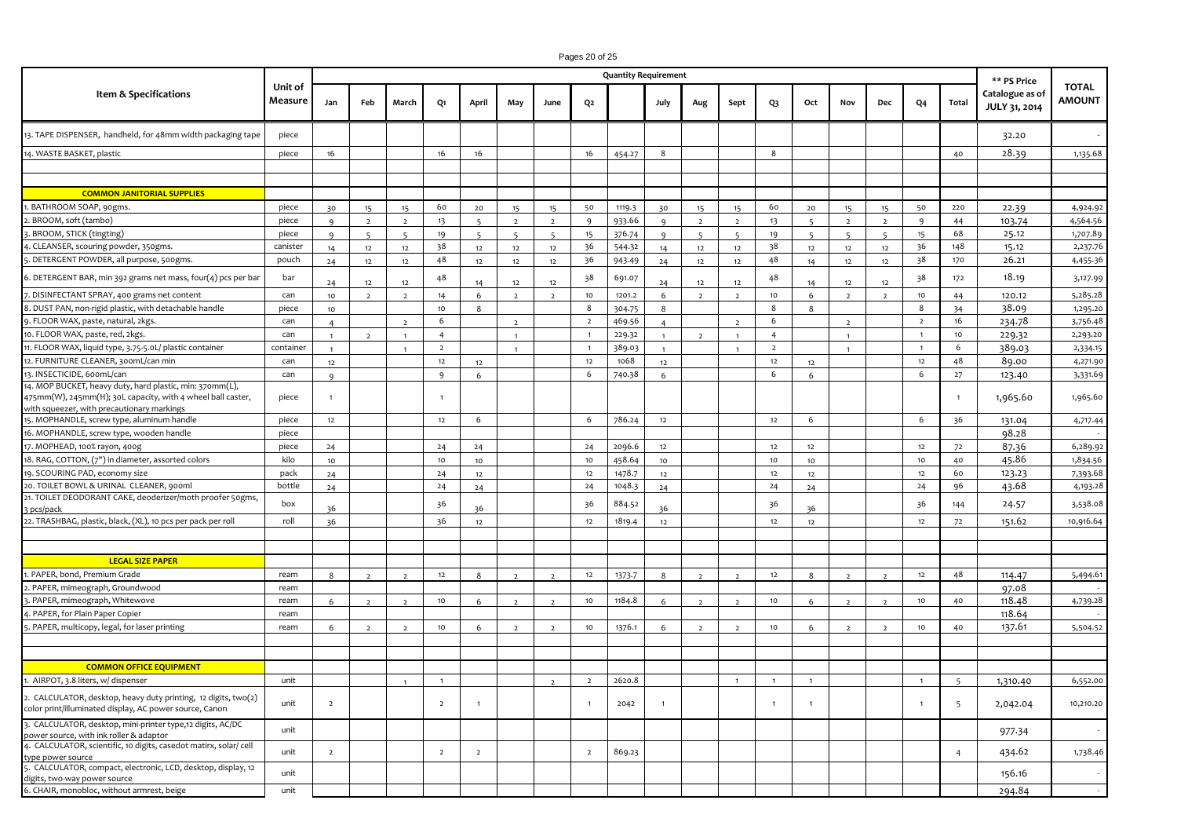|                                                                                                                                                                      |                    |                |                          |                |                  |                |                |                          |                  | <b>Quantity Requirement</b> |                |                |                          |                 |                          |                |                          |                  |                 | ** PS Price                             |                               |
|----------------------------------------------------------------------------------------------------------------------------------------------------------------------|--------------------|----------------|--------------------------|----------------|------------------|----------------|----------------|--------------------------|------------------|-----------------------------|----------------|----------------|--------------------------|-----------------|--------------------------|----------------|--------------------------|------------------|-----------------|-----------------------------------------|-------------------------------|
| Item & Specifications                                                                                                                                                | Unit of<br>Measure | Jan            | Feb                      | March          | Q1               | April          | May            | June                     | Q2               |                             | July           | Aug            | Sept                     | Q3              | Oct                      | Nov            | Dec                      | Q4               | Total           | Catalogue as of<br><b>JULY 31, 2014</b> | <b>TOTAL</b><br><b>AMOUNT</b> |
| 13. TAPE DISPENSER, handheld, for 48mm width packaging tape                                                                                                          | piece              |                |                          |                |                  |                |                |                          |                  |                             |                |                |                          |                 |                          |                |                          |                  |                 | 32.20                                   |                               |
| 14. WASTE BASKET, plastic                                                                                                                                            | piece              | 16             |                          |                | 16               | 16             |                |                          | 16               | 454.27                      | 8              |                |                          | 8               |                          |                |                          |                  | 40              | 28.39                                   | 1,135.68                      |
|                                                                                                                                                                      |                    |                |                          |                |                  |                |                |                          |                  |                             |                |                |                          |                 |                          |                |                          |                  |                 |                                         |                               |
|                                                                                                                                                                      |                    |                |                          |                |                  |                |                |                          |                  |                             |                |                |                          |                 |                          |                |                          |                  |                 |                                         |                               |
| <b>COMMON JANITORIAL SUPPLIES</b>                                                                                                                                    |                    |                |                          |                |                  |                |                |                          |                  |                             |                |                |                          |                 |                          |                |                          |                  |                 |                                         |                               |
| . BATHROOM SOAP, 90gms.                                                                                                                                              | piece              | 30             | 15                       | 15             | 60               | $20$           | 15             | 15                       | 50               | 1119.3                      | 30             | 15             | 15                       | 60              | $20\,$                   | 15             | 15                       | 50               | 220             | 22.39                                   | 4,924.92                      |
| . BROOM, soft (tambo)                                                                                                                                                | piece              | $\mathbf{q}$   | $\overline{2}$           | $\overline{2}$ | 13               | $\epsilon$     | $\overline{2}$ | $\overline{2}$           | 9                | 933.66                      | $\mathbf{q}$   | $\overline{2}$ | $\overline{2}$           | 13              | $\epsilon$               | $\overline{2}$ | $\overline{ }$           | 9                | 44              | 103.74                                  | 4,564.56                      |
| . BROOM, STICK (tingting)                                                                                                                                            | piece              | $\alpha$       | $\overline{\phantom{a}}$ | $\overline{a}$ | 19               | $\overline{5}$ | $5^{\circ}$    | $\overline{\phantom{a}}$ | 15               | 376.74                      | $\mathbf{q}$   | $\overline{5}$ | $\overline{\phantom{a}}$ | 19              | $\overline{\phantom{0}}$ | $\overline{5}$ | $\overline{\phantom{a}}$ | 15               | 68              | 25.12                                   | 1,707.89                      |
| CLEANSER, scouring powder, 350gms.                                                                                                                                   | canister           | 14             | 12                       | 12             | 38               | 12             | 12             | 12                       | 36               | 544.32                      | 14             | 12             | 12                       | 38              | 12                       | 12             | 12                       | 36               | 148             | 15.12                                   | 2,237.76                      |
| . DETERGENT POWDER, all purpose, 500gms.                                                                                                                             | pouch              | 24             | 12                       | 12             | 48               | 12             | 12             | 12                       | 36               | 943-49                      | 24             | 12             | 12                       | 48              | 14                       | 12             | 12                       | 38               | 170             | 26.21                                   | 4,455.36                      |
| 6. DETERGENT BAR, min 392 grams net mass, four(4) pcs per bar                                                                                                        | bar                | 24             | 12                       | 12             | 48               | 14             | 12             | 12                       | 38               | 691.07                      | 24             | 12             | 12                       | 48              | 14                       | 12             | 12                       | 38               | 172             | 18.19                                   | 3,127.99                      |
| . DISINFECTANT SPRAY, 400 grams net content                                                                                                                          | can                | 10             | $\overline{2}$           | $\overline{2}$ | 14               | 6              | $\overline{2}$ | $\overline{2}$           | $10$             | 1201.2                      | 6              | $\overline{2}$ | $\overline{2}$           | 10 <sub>1</sub> | 6                        | $\overline{2}$ | $\overline{2}$           | $10$             | 44              | 120.12                                  | 5,285.28                      |
| 3. DUST PAN, non-rigid plastic, with detachable handle                                                                                                               | piece              | 10             |                          |                | 10               | 8              |                |                          | 8                | 304.75                      | 8              |                |                          | 8               | 8                        |                |                          | 8                | 34              | 38.09                                   | 1,295.20                      |
| 9. FLOOR WAX, paste, natural, 2kgs.                                                                                                                                  | can                | $\overline{a}$ |                          |                | 6                |                |                |                          | $\overline{2}$   | 469.56                      | $\overline{a}$ |                |                          | 6               |                          |                |                          | $\mathbf{2}$     | 16              | 234.78                                  | 3,756.48                      |
| 10. FLOOR WAX, paste, red, 2kgs.                                                                                                                                     | can                | $\mathbf{1}$   | $\overline{2}$           | $\overline{1}$ | $\overline{4}$   |                | $\mathbf{1}$   |                          | $\mathbf{1}$     | 229.32                      | $\mathbf{1}$   | $\overline{2}$ | $\overline{1}$           | $\overline{4}$  |                          | $\blacksquare$ |                          | 1                | 10 <sub>1</sub> | 229.32                                  | 2,293.20                      |
| 1. FLOOR WAX, liquid type, 3.75-5.0L/ plastic container                                                                                                              | container          | $\mathbf{1}$   |                          |                | $\overline{2}$   |                | $\mathbf{1}$   |                          | $\overline{1}$   | 389.03                      | $\mathbf{1}$   |                |                          | $\overline{2}$  |                          | $\mathbf{1}$   |                          | $\mathbf{1}$     | 6               | 389.03                                  | 2,334.15                      |
| 12. FURNITURE CLEANER, 300mL/can min                                                                                                                                 | can                | 12             |                          |                | 12               | 12             |                |                          | 12               | 1068                        | 12             |                |                          | 12              | 12                       |                |                          | 12               | 48              | 89.00                                   | 4,271.90                      |
| 13. INSECTICIDE, 600mL/can                                                                                                                                           | can                | 9              |                          |                | 9                | 6              |                |                          | 6                | 740.38                      | 6              |                |                          | 6               | 6                        |                |                          | 6                | 27              | 123.40                                  | 3,331.69                      |
| 4. MOP BUCKET, heavy duty, hard plastic, min: 370mm(L),<br>475mm(W), 245mm(H); 30L capacity, with 4 wheel ball caster,<br>with squeezer, with precautionary markings | piece              | $\overline{1}$ |                          |                | $\overline{1}$   |                |                |                          |                  |                             |                |                |                          |                 |                          |                |                          |                  | $\overline{1}$  | 1,965.60                                | 1,965.60                      |
| 15. MOPHANDLE, screw type, aluminum handle                                                                                                                           | piece              | 12             |                          |                | 12               | 6              |                |                          | 6                | 786.24                      | 12             |                |                          | 12              | 6                        |                |                          | 6                | 36              | 131.04                                  | 4,717.44                      |
| 16. MOPHANDLE, screw type, wooden handle                                                                                                                             | piece              |                |                          |                |                  |                |                |                          |                  |                             |                |                |                          |                 |                          |                |                          |                  |                 | 98.28                                   | $\sim$                        |
| 17. MOPHEAD, 100% rayon, 400g                                                                                                                                        | piece              | 24             |                          |                | 24               | 24             |                |                          | 24               | 2096.6                      | 12             |                |                          | 12              | 12                       |                |                          | 12               | 72              | 87.36                                   | 6,289.92                      |
| 18. RAG, COTTON, (7") in diameter, assorted colors                                                                                                                   | kilo               | 10             |                          |                | 10               | 10             |                |                          | 10               | 458.64                      | 10             |                |                          | 10              | 10                       |                |                          | 10               | 40              | 45.86                                   | 1,834.56                      |
| 19. SCOURING PAD, economy size                                                                                                                                       | pack               | 24             |                          |                | 24               | 12             |                |                          | 12               | 1478.7                      | 12             |                |                          | 12              | 12                       |                |                          | 12               | 60              | 123.23                                  | 7,393.68                      |
| 20. TOILET BOWL & URINAL CLEANER, 900ml                                                                                                                              | bottle             | 24             |                          |                | 24               | 24             |                |                          | 24               | 1048.3                      | 24             |                |                          | 24              | 24                       |                |                          | 24               | 96              | 43.68                                   | 4,193.28                      |
| 21. TOILET DEODORANT CAKE, deoderizer/moth proofer 50gms,<br>3 pcs/pack                                                                                              | box                | 36             |                          |                | 36               | 36             |                |                          | 36               | 884.52                      | 36             |                |                          | 36              | 36                       |                |                          | 36               | 144             | 24.57                                   | 3,538.08                      |
| 22. TRASHBAG, plastic, black, (XL), 10 pcs per pack per roll                                                                                                         | roll               | 36             |                          |                | 36               | 12             |                |                          | 12               | 1819.4                      | 12             |                |                          | 12              | 12                       |                |                          | $12\,$           | 72              | 151.62                                  | 10,916.64                     |
|                                                                                                                                                                      |                    |                |                          |                |                  |                |                |                          |                  |                             |                |                |                          |                 |                          |                |                          |                  |                 |                                         |                               |
| <b>LEGAL SIZE PAPER</b>                                                                                                                                              |                    |                |                          |                |                  |                |                |                          |                  |                             |                |                |                          |                 |                          |                |                          |                  |                 |                                         |                               |
| . PAPER, bond, Premium Grade                                                                                                                                         | ream               | 8              | $\overline{ }$           | $\overline{2}$ | 12               | 8              | $\overline{ }$ | $\overline{z}$           | $12$             | 1373.7                      | 8              | $\overline{2}$ | $\overline{2}$           | 12              | 8                        | $\overline{2}$ | $\overline{z}$           | 12               | 48              | 114.47                                  | 5,494.61                      |
| . PAPER, mimeograph, Groundwood                                                                                                                                      | ream               |                |                          |                |                  |                |                |                          |                  |                             |                |                |                          |                 |                          |                |                          |                  |                 | 97.08                                   | $\sim$                        |
| . PAPER, mimeograph, Whitewove                                                                                                                                       | ream               | 6              | $\overline{z}$           | $\overline{z}$ | 10               | 6              | $\overline{2}$ | $\overline{2}$           | $10$             | 1184.8                      | 6              | $\overline{2}$ | $\overline{2}$           | 10 <sub>1</sub> | 6                        | $\overline{2}$ | $\overline{2}$           | $10$             | 40              | 118.48<br>118.64                        | 4,739.28                      |
| . PAPER, for Plain Paper Copier<br>. PAPER, multicopy, legal, for laser printing                                                                                     | ream<br>ream       |                |                          | $\overline{z}$ | 10 <sub>10</sub> |                | $\overline{2}$ | $\overline{z}$           | 10 <sub>10</sub> | 1376.1                      |                |                |                          | 10 <sub>1</sub> |                          |                |                          | 10 <sub>10</sub> | 40              | 137.61                                  | 5,504.52                      |
|                                                                                                                                                                      |                    | 6              | $\overline{2}$           |                |                  | 6              |                |                          |                  |                             | 6              | $\overline{2}$ | $\overline{2}$           |                 | 6                        | $\overline{2}$ | $\overline{2}$           |                  |                 |                                         |                               |
|                                                                                                                                                                      |                    |                |                          |                |                  |                |                |                          |                  |                             |                |                |                          |                 |                          |                |                          |                  |                 |                                         |                               |
| <b>COMMON OFFICE EQUIPMENT</b>                                                                                                                                       |                    |                |                          |                |                  |                |                |                          |                  |                             |                |                |                          |                 |                          |                |                          |                  |                 |                                         |                               |
| . AIRPOT, 3.8 liters, w/ dispenser                                                                                                                                   | unit               |                |                          |                | $\overline{1}$   |                |                | $\overline{2}$           | $\overline{2}$   | 2620.8                      |                |                | $\overline{1}$           | $\overline{1}$  | $\overline{1}$           |                |                          | $\overline{1}$   | 5               | 1,310.40                                | 6,552.00                      |
| CALCULATOR, desktop, heavy duty printing, 12 digits, two(2)<br>olor print/illuminated display, AC power source, Canon:                                               | unit               | $\overline{2}$ |                          |                | $\overline{2}$   | $\overline{1}$ |                |                          | $\overline{1}$   | 2042                        | $\overline{1}$ |                |                          |                 | $\overline{1}$           |                |                          | $\overline{1}$   | 5               | 2,042.04                                | 10,210.20                     |
| 3. CALCULATOR, desktop, mini-printer type,12 digits, AC/DC<br>power source, with ink roller & adaptor                                                                | unit               |                |                          |                |                  |                |                |                          |                  |                             |                |                |                          |                 |                          |                |                          |                  |                 | 977.34                                  |                               |
| 4. CALCULATOR, scientific, 10 digits, casedot matirx, solar/ cell<br>type power source                                                                               | unit               | $\overline{2}$ |                          |                | $\overline{2}$   | $\overline{2}$ |                |                          | $\overline{2}$   | 869.23                      |                |                |                          |                 |                          |                |                          |                  | $\overline{4}$  | 434.62                                  | 1,738.46                      |
| 5. CALCULATOR, compact, electronic, LCD, desktop, display, 12<br>digits, two-way power source                                                                        | unit               |                |                          |                |                  |                |                |                          |                  |                             |                |                |                          |                 |                          |                |                          |                  |                 | 156.16                                  |                               |
| 6. CHAIR, monobloc, without armrest, beige                                                                                                                           | unit               |                |                          |                |                  |                |                |                          |                  |                             |                |                |                          |                 |                          |                |                          |                  |                 | 294.84                                  | $\sim$                        |

Pages 20 of 25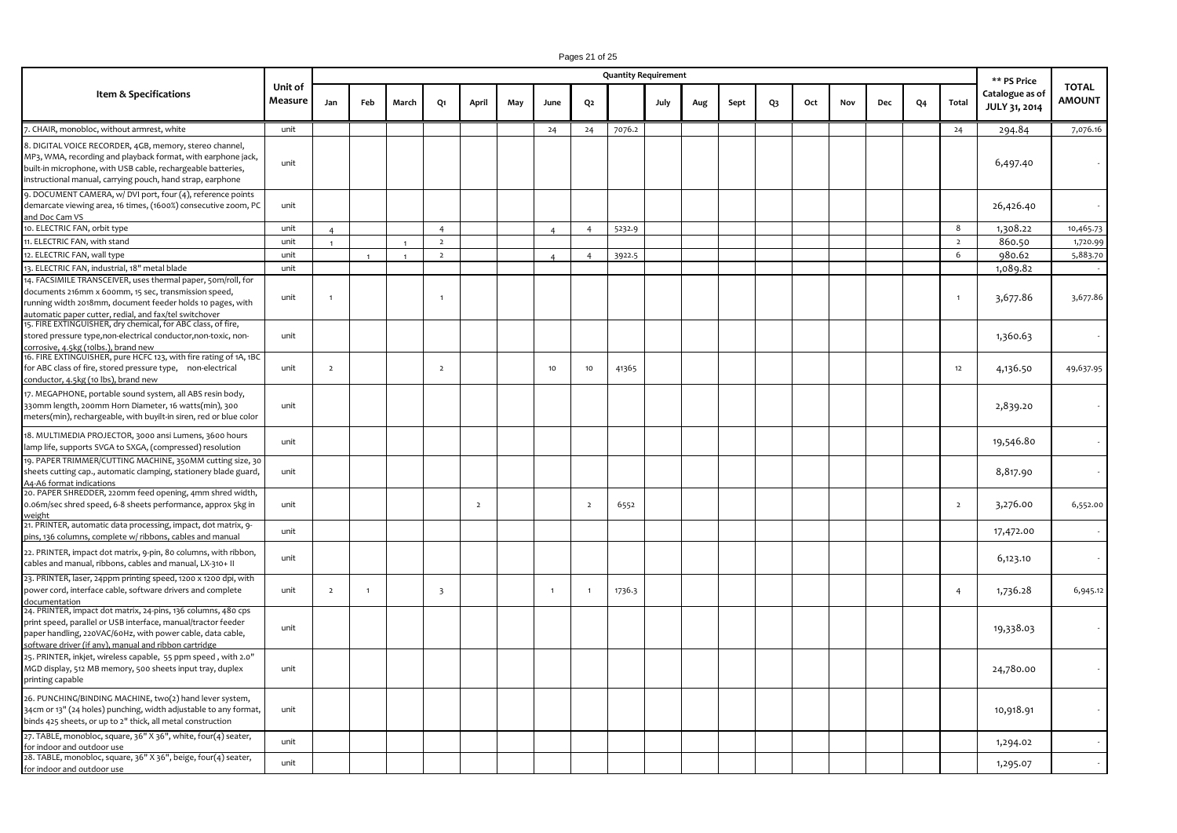# Pages 21 of 25

|                                                                                                                                                                                                                                                       |                    |                |                |                |                         |                |     |                |                | <b>Quantity Requirement</b> |      |     |      |    |     |     |     |    |                | ** PS Price                      |                               |
|-------------------------------------------------------------------------------------------------------------------------------------------------------------------------------------------------------------------------------------------------------|--------------------|----------------|----------------|----------------|-------------------------|----------------|-----|----------------|----------------|-----------------------------|------|-----|------|----|-----|-----|-----|----|----------------|----------------------------------|-------------------------------|
| Item & Specifications                                                                                                                                                                                                                                 | Unit of<br>Measure | Jan            | Feb            | March          | Q1                      | April          | May | June           | Q <sub>2</sub> |                             | July | Aug | Sept | Q3 | Oct | Nov | Dec | Q4 | Total          | Catalogue as of<br>JULY 31, 2014 | <b>TOTAL</b><br><b>AMOUNT</b> |
| 7. CHAIR, monobloc, without armrest, white                                                                                                                                                                                                            | unit               |                |                |                |                         |                |     | 24             | 24             | 7076.2                      |      |     |      |    |     |     |     |    | 24             | 294.84                           | 7,076.16                      |
| 8. DIGITAL VOICE RECORDER, 4GB, memory, stereo channel,<br>MP3, WMA, recording and playback format, with earphone jack,<br>built-in microphone, with USB cable, rechargeable batteries,<br>instructional manual, carrying pouch, hand strap, earphone | unit               |                |                |                |                         |                |     |                |                |                             |      |     |      |    |     |     |     |    |                | 6,497.40                         |                               |
| 9. DOCUMENT CAMERA, w/ DVI port, four (4), reference points<br>demarcate viewing area, 16 times, (1600%) consecutive zoom, PC<br>and Doc Cam VS                                                                                                       | unit               |                |                |                |                         |                |     |                |                |                             |      |     |      |    |     |     |     |    |                | 26,426.40                        |                               |
| 10. ELECTRIC FAN, orbit type                                                                                                                                                                                                                          | unit               | $\Delta$       |                |                | $\overline{4}$          |                |     | $\overline{A}$ | $\overline{4}$ | 5232.9                      |      |     |      |    |     |     |     |    | 8              | 1,308.22                         | 10,465.73                     |
| 11. ELECTRIC FAN, with stand                                                                                                                                                                                                                          | unit               | $\overline{1}$ |                | $\overline{1}$ | $\overline{2}$          |                |     |                |                |                             |      |     |      |    |     |     |     |    | $\overline{2}$ | 860.50                           | 1,720.99                      |
| 12. ELECTRIC FAN, wall type                                                                                                                                                                                                                           | unit               |                |                | $\overline{1}$ | $\overline{2}$          |                |     | $\overline{a}$ | $\overline{4}$ | 3922.5                      |      |     |      |    |     |     |     |    | 6              | 980.62                           | 5,883.70                      |
| 13. ELECTRIC FAN, industrial, 18" metal blade                                                                                                                                                                                                         | unit               |                |                |                |                         |                |     |                |                |                             |      |     |      |    |     |     |     |    |                | 1,089.82                         |                               |
| 14. FACSIMILE TRANSCEIVER, uses thermal paper, 50m/roll, for<br>documents 216mm x 600mm, 15 sec, transmission speed,<br>running width 2018mm, document feeder holds 10 pages, with<br>automatic paper cutter, redial, and fax/tel switchover          | unit               | $\overline{1}$ |                |                | $\mathbf{1}$            |                |     |                |                |                             |      |     |      |    |     |     |     |    | $\overline{1}$ | 3,677.86                         | 3,677.86                      |
| 15. FIRE EXTINGUISHER, dry chemical, for ABC class, of fire,<br>stored pressure type,non-electrical conductor,non-toxic, non-<br>corrosive, 4.5kg (10lbs.), brand new                                                                                 | unit               |                |                |                |                         |                |     |                |                |                             |      |     |      |    |     |     |     |    |                | 1,360.63                         |                               |
| 16. FIRE EXTINGUISHER, pure HCFC 123, with fire rating of 1A, 1BC<br>for ABC class of fire, stored pressure type, non-electrical<br>conductor, 4.5kg (10 lbs), brand new                                                                              | unit               | $\overline{2}$ |                |                | $\overline{2}$          |                |     | 10             | 10             | 41365                       |      |     |      |    |     |     |     |    | 12             | 4,136.50                         | 49,637.95                     |
| 17. MEGAPHONE, portable sound system, all ABS resin body,<br>330mm length, 200mm Horn Diameter, 16 watts(min), 300<br>meters(min), rechargeable, with buyilt-in siren, red or blue color                                                              | unit               |                |                |                |                         |                |     |                |                |                             |      |     |      |    |     |     |     |    |                | 2,839.20                         |                               |
| 18. MULTIMEDIA PROJECTOR, 3000 ansi Lumens, 3600 hours<br>lamp life, supports SVGA to SXGA, (compressed) resolution                                                                                                                                   | unit               |                |                |                |                         |                |     |                |                |                             |      |     |      |    |     |     |     |    |                | 19,546.80                        |                               |
| 19. PAPER TRIMMER/CUTTING MACHINE, 350MM cutting size, 30<br>sheets cutting cap., automatic clamping, stationery blade guard,<br>A4-A6 format indications                                                                                             | unit               |                |                |                |                         |                |     |                |                |                             |      |     |      |    |     |     |     |    |                | 8,817.90                         |                               |
| 20. PAPER SHREDDER, 220mm feed opening, 4mm shred width,<br>0.06m/sec shred speed, 6-8 sheets performance, approx 5kg in<br>weight                                                                                                                    | unit               |                |                |                |                         | $\overline{2}$ |     |                | $\overline{2}$ | 6552                        |      |     |      |    |     |     |     |    | $\overline{2}$ | 3,276.00                         | 6,552.00                      |
| 21. PRINTER, automatic data processing, impact, dot matrix, 9-<br>pins, 136 columns, complete w/ ribbons, cables and manual                                                                                                                           | unit               |                |                |                |                         |                |     |                |                |                             |      |     |      |    |     |     |     |    |                | 17,472.00                        |                               |
| 22. PRINTER, impact dot matrix, 9-pin, 80 columns, with ribbon,<br>cables and manual, ribbons, cables and manual, LX-310+ II                                                                                                                          | unit               |                |                |                |                         |                |     |                |                |                             |      |     |      |    |     |     |     |    |                | 6,123.10                         |                               |
| 23. PRINTER, laser, 24ppm printing speed, 1200 x 1200 dpi, with<br>power cord, interface cable, software drivers and complete<br>documentation                                                                                                        | unit               | $\overline{2}$ | $\overline{1}$ |                | $\overline{\mathbf{3}}$ |                |     | $\overline{1}$ | $\overline{1}$ | 1736.3                      |      |     |      |    |     |     |     |    | $\overline{4}$ | 1,736.28                         | 6,945.12                      |
| 24. PRINTER, impact dot matrix, 24-pins, 136 columns, 480 cps<br>print speed, parallel or USB interface, manual/tractor feeder<br>paper handling, 220VAC/60Hz, with power cable, data cable,<br>software driver (if any), manual and ribbon cartridge | unit               |                |                |                |                         |                |     |                |                |                             |      |     |      |    |     |     |     |    |                | 19,338.03                        |                               |
| 25. PRINTER, inkjet, wireless capable, 55 ppm speed, with 2.0"<br>MGD display, 512 MB memory, 500 sheets input tray, duplex<br>printing capable                                                                                                       | unit               |                |                |                |                         |                |     |                |                |                             |      |     |      |    |     |     |     |    |                | 24,780.00                        |                               |
| 26. PUNCHING/BINDING MACHINE, two(2) hand lever system,<br>34cm or 13" (24 holes) punching, width adjustable to any format,<br>binds 425 sheets, or up to 2" thick, all metal construction                                                            | unit               |                |                |                |                         |                |     |                |                |                             |      |     |      |    |     |     |     |    |                | 10,918.91                        |                               |
| 27. TABLE, monobloc, square, 36" X 36", white, four(4) seater,<br>for indoor and outdoor use                                                                                                                                                          | unit               |                |                |                |                         |                |     |                |                |                             |      |     |      |    |     |     |     |    |                | 1,294.02                         |                               |
| 28. TABLE, monobloc, square, 36" X 36", beige, four(4) seater,<br>for indoor and outdoor use                                                                                                                                                          | unit               |                |                |                |                         |                |     |                |                |                             |      |     |      |    |     |     |     |    |                | 1,295.07                         |                               |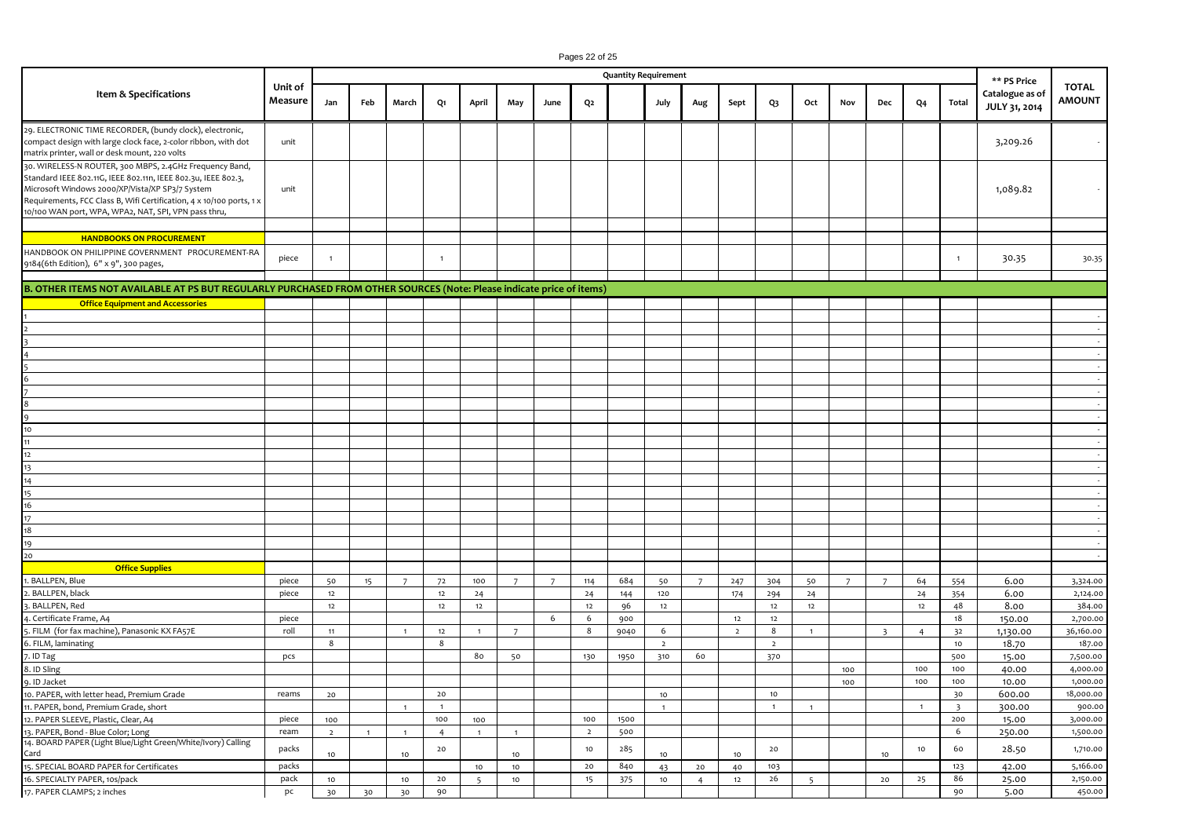# Pages 22 of 25

|                                                                                                                                                                                                                                                                                                             |                    |                  |              |                  |                |                          |                |             |                 | <b>Quantity Requirement</b> |                |                |                |                |                |                |                |                |                | ** PS Price                      |                               |
|-------------------------------------------------------------------------------------------------------------------------------------------------------------------------------------------------------------------------------------------------------------------------------------------------------------|--------------------|------------------|--------------|------------------|----------------|--------------------------|----------------|-------------|-----------------|-----------------------------|----------------|----------------|----------------|----------------|----------------|----------------|----------------|----------------|----------------|----------------------------------|-------------------------------|
| Item & Specifications                                                                                                                                                                                                                                                                                       | Unit of<br>Measure | Jan              | Feb          | March            | Q1             | April                    | May            | June        | Q2              |                             | July           | Aug            | Sept           | Q3             | Oct            | Nov            | Dec            | Q4             | Total          | Catalogue as of<br>JULY 31, 2014 | <b>TOTAL</b><br><b>AMOUNT</b> |
| 29. ELECTRONIC TIME RECORDER, (bundy clock), electronic,<br>compact design with large clock face, 2-color ribbon, with dot<br>matrix printer, wall or desk mount, 220 volts                                                                                                                                 | unit               |                  |              |                  |                |                          |                |             |                 |                             |                |                |                |                |                |                |                |                |                | 3,209.26                         | $\sim$                        |
| 30. WIRELESS-N ROUTER, 300 MBPS, 2.4GHz Frequency Band,<br>Standard IEEE 802.11G, IEEE 802.11n, IEEE 802.3u, IEEE 802.3,<br>Microsoft Windows 2000/XP/Vista/XP SP3/7 System<br>Requirements, FCC Class B, Wifi Certification, 4 x 10/100 ports, 1 x<br>10/100 WAN port, WPA, WPA2, NAT, SPI, VPN pass thru, | unit               |                  |              |                  |                |                          |                |             |                 |                             |                |                |                |                |                |                |                |                |                | 1,089.82                         |                               |
|                                                                                                                                                                                                                                                                                                             |                    |                  |              |                  |                |                          |                |             |                 |                             |                |                |                |                |                |                |                |                |                |                                  |                               |
| <b>HANDBOOKS ON PROCUREMENT</b><br>HANDBOOK ON PHILIPPINE GOVERNMENT PROCUREMENT-RA<br>9184(6th Edition), 6" x 9", 300 pages,                                                                                                                                                                               | piece              | $\overline{1}$   |              |                  | $\overline{1}$ |                          |                |             |                 |                             |                |                |                |                |                |                |                |                | $\overline{1}$ | 30.35                            | 30.35                         |
|                                                                                                                                                                                                                                                                                                             |                    |                  |              |                  |                |                          |                |             |                 |                             |                |                |                |                |                |                |                |                |                |                                  |                               |
| B. OTHER ITEMS NOT AVAILABLE AT PS BUT REGULARLY PURCHASED FROM OTHER SOURCES (Note: Please indicate price of items)                                                                                                                                                                                        |                    |                  |              |                  |                |                          |                |             |                 |                             |                |                |                |                |                |                |                |                |                |                                  |                               |
| <b>Office Equipment and Accessories</b>                                                                                                                                                                                                                                                                     |                    |                  |              |                  |                |                          |                |             |                 |                             |                |                |                |                |                |                |                |                |                |                                  |                               |
|                                                                                                                                                                                                                                                                                                             |                    |                  |              |                  |                |                          |                |             |                 |                             |                |                |                |                |                |                |                |                |                |                                  |                               |
|                                                                                                                                                                                                                                                                                                             |                    |                  |              |                  |                |                          |                |             |                 |                             |                |                |                |                |                |                |                |                |                |                                  | $\sim$                        |
|                                                                                                                                                                                                                                                                                                             |                    |                  |              |                  |                |                          |                |             |                 |                             |                |                |                |                |                |                |                |                |                |                                  | $\sim$                        |
|                                                                                                                                                                                                                                                                                                             |                    |                  |              |                  |                |                          |                |             |                 |                             |                |                |                |                |                |                |                |                |                |                                  |                               |
|                                                                                                                                                                                                                                                                                                             |                    |                  |              |                  |                |                          |                |             |                 |                             |                |                |                |                |                |                |                |                |                |                                  | $\sim$                        |
|                                                                                                                                                                                                                                                                                                             |                    |                  |              |                  |                |                          |                |             |                 |                             |                |                |                |                |                |                |                |                |                |                                  | $\sim$                        |
|                                                                                                                                                                                                                                                                                                             |                    |                  |              |                  |                |                          |                |             |                 |                             |                |                |                |                |                |                |                |                |                |                                  | $\sim$                        |
|                                                                                                                                                                                                                                                                                                             |                    |                  |              |                  |                |                          |                |             |                 |                             |                |                |                |                |                |                |                |                |                |                                  | $\sim$                        |
|                                                                                                                                                                                                                                                                                                             |                    |                  |              |                  |                |                          |                |             |                 |                             |                |                |                |                |                |                |                |                |                |                                  | $\sim$                        |
| 10                                                                                                                                                                                                                                                                                                          |                    |                  |              |                  |                |                          |                |             |                 |                             |                |                |                |                |                |                |                |                |                |                                  | $\sim$                        |
| 11                                                                                                                                                                                                                                                                                                          |                    |                  |              |                  |                |                          |                |             |                 |                             |                |                |                |                |                |                |                |                |                |                                  | $\sim$                        |
| 12                                                                                                                                                                                                                                                                                                          |                    |                  |              |                  |                |                          |                |             |                 |                             |                |                |                |                |                |                |                |                |                |                                  | $\sim$                        |
| 13                                                                                                                                                                                                                                                                                                          |                    |                  |              |                  |                |                          |                |             |                 |                             |                |                |                |                |                |                |                |                |                |                                  | $\sim$                        |
| 14                                                                                                                                                                                                                                                                                                          |                    |                  |              |                  |                |                          |                |             |                 |                             |                |                |                |                |                |                |                |                |                |                                  | $\sim$                        |
| 15                                                                                                                                                                                                                                                                                                          |                    |                  |              |                  |                |                          |                |             |                 |                             |                |                |                |                |                |                |                |                |                |                                  | $\sim$                        |
| 16                                                                                                                                                                                                                                                                                                          |                    |                  |              |                  |                |                          |                |             |                 |                             |                |                |                |                |                |                |                |                |                |                                  | $\sim$                        |
| 17                                                                                                                                                                                                                                                                                                          |                    |                  |              |                  |                |                          |                |             |                 |                             |                |                |                |                |                |                |                |                |                |                                  | $\sim$                        |
| 18                                                                                                                                                                                                                                                                                                          |                    |                  |              |                  |                |                          |                |             |                 |                             |                |                |                |                |                |                |                |                |                |                                  | $\sim$                        |
| 19                                                                                                                                                                                                                                                                                                          |                    |                  |              |                  |                |                          |                |             |                 |                             |                |                |                |                |                |                |                |                |                |                                  | $\sim$                        |
| $\frac{1}{20}$                                                                                                                                                                                                                                                                                              |                    |                  |              |                  |                |                          |                |             |                 |                             |                |                |                |                |                |                |                |                |                |                                  |                               |
| <b>Office Supplies</b>                                                                                                                                                                                                                                                                                      |                    |                  |              |                  |                |                          |                |             |                 |                             |                |                |                |                |                |                |                |                |                |                                  |                               |
| <b>BALLPEN, Blue</b>                                                                                                                                                                                                                                                                                        | piece              | 50               | 15           | $\overline{7}$   | 72             | 100                      | $\overline{7}$ | $7^{\circ}$ | 114             | 684                         | 50             | $\overline{7}$ | 247            | 304            | 50             | $\overline{7}$ | $\overline{7}$ | 64             | 554            | 6.00                             | 3,324.00                      |
| . BALLPEN, black                                                                                                                                                                                                                                                                                            | piece              | 12               |              |                  | 12             | 24                       |                |             | 24              | 144                         | 120            |                | 174            | 294            | 24             |                |                | 24             | 354            | 6.00                             | 2,124.00                      |
| BALLPEN, Red                                                                                                                                                                                                                                                                                                |                    | 12               |              |                  | 12             | 12                       |                |             | 12              | 96                          | 12             |                |                | 12             | 12             |                |                | 12             | 48             | 8.00                             | 384.00                        |
| . Certificate Frame, A4                                                                                                                                                                                                                                                                                     | piece              |                  |              |                  |                |                          |                | 6           | 6               | 900                         |                |                | 12             | 12             |                |                |                |                | 18             | 150.00                           | 2,700.00                      |
| FILM (for fax machine), Panasonic KX FA57E                                                                                                                                                                                                                                                                  | roll               | 11               |              | $\overline{1}$   | 12             | $\mathbf{1}$             | $\overline{7}$ |             | 8               | 9040                        | 6              |                | $\overline{2}$ | 8              | $\overline{1}$ |                | $\overline{3}$ | $\overline{4}$ | 32             | 1,130.00                         | 36,160.00                     |
| . FILM, laminating                                                                                                                                                                                                                                                                                          |                    | 8                |              |                  | 8              |                          |                |             |                 |                             | $\overline{2}$ |                |                | $\overline{2}$ |                |                |                |                | 10             | 18.70                            | 187.00                        |
| ID Tag                                                                                                                                                                                                                                                                                                      | pcs                |                  |              |                  |                | 80                       | 50             |             | 130             | 1950                        | 310            | 60             |                | 370            |                |                |                |                | 500            | 15.00                            | 7,500.00                      |
| . ID Sling                                                                                                                                                                                                                                                                                                  |                    |                  |              |                  |                |                          |                |             |                 |                             |                |                |                |                |                | 100            |                | 100            | 100            | 40.00                            | 4,000.00                      |
| 9. ID Jacket                                                                                                                                                                                                                                                                                                |                    |                  |              |                  |                |                          |                |             |                 |                             |                |                |                |                |                | 100            |                | 100            | 100            | 10.00                            | 1,000.00                      |
| 10. PAPER, with letter head, Premium Grade                                                                                                                                                                                                                                                                  | reams              | 20               |              |                  | 20             |                          |                |             |                 |                             | 10             |                |                | 10             |                |                |                |                | 30             | 600.00                           | 18,000.00                     |
| 11. PAPER, bond, Premium Grade, short                                                                                                                                                                                                                                                                       |                    |                  |              | $\blacksquare$   | $\overline{1}$ |                          |                |             |                 |                             | 1              |                |                | $\overline{1}$ | $\overline{1}$ |                |                | $\mathbf{1}$   | $\overline{3}$ | 300.00                           | 900.00                        |
| 12. PAPER SLEEVE, Plastic, Clear, A4                                                                                                                                                                                                                                                                        | piece              | 100              |              |                  | 100            | 100                      |                |             | 100             | 1500                        |                |                |                |                |                |                |                |                | 200            | 15.00                            | 3,000.00                      |
| 13. PAPER, Bond - Blue Color; Long<br>14. BOARD PAPER (Light Blue/Light Green/White/Ivory) Calling                                                                                                                                                                                                          | ream               | $\overline{2}$   | $\mathbf{1}$ | $\overline{1}$   | $\overline{4}$ | $\overline{1}$           | 1              |             | $\overline{2}$  | 500                         |                |                |                |                |                |                |                |                | 6              | 250.00                           | 1,500.00                      |
| Card<br>15. SPECIAL BOARD PAPER for Certificates                                                                                                                                                                                                                                                            | packs              | 10 <sub>10</sub> |              | 10 <sub>10</sub> | 20             |                          | $10$           |             | 10 <sub>1</sub> | 285                         | $10$           |                | 10             | 20             |                |                | $10$           | 10             | 60             | 28.50                            | 1,710.00                      |
|                                                                                                                                                                                                                                                                                                             | packs              |                  |              |                  |                | $10$                     | $10$           |             | 20              | 840                         | 43             | 20             | 40             | 103            |                |                |                |                | 123            | 42.00                            | 5,166.00                      |
| 16. SPECIALTY PAPER, 10s/pack                                                                                                                                                                                                                                                                               | pack               | 10               |              | 10               | 20             | $\overline{\phantom{a}}$ | $10\,$         |             | 15              | 375                         | $10$           | $\overline{4}$ | $12\,$         | 26             | 5              |                | 20             | 25             | 86             | 25.00                            | 2,150.00                      |
| 17. PAPER CLAMPS; 2 inches                                                                                                                                                                                                                                                                                  | pc                 | 30               | 30           | 30               | 90             |                          |                |             |                 |                             |                |                |                |                |                |                |                |                | 90             | 5.00                             | 450.00                        |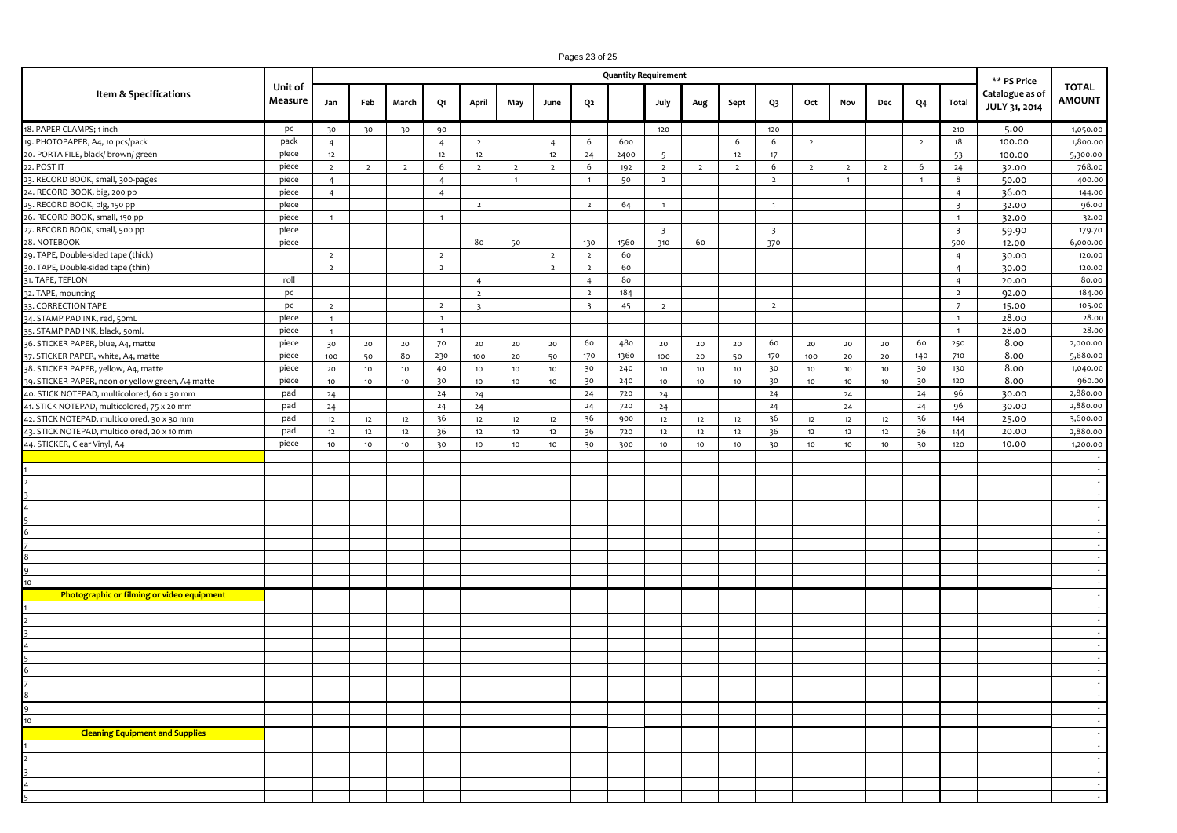# Pages 23 of 25

|                                                   |                    | <b>Quantity Requirement</b> |                 |                 |                |                         |                 |                  |                |      |                         |                 |                  |                         |                | ** PS Price    |                |                |                         |                                  |                               |
|---------------------------------------------------|--------------------|-----------------------------|-----------------|-----------------|----------------|-------------------------|-----------------|------------------|----------------|------|-------------------------|-----------------|------------------|-------------------------|----------------|----------------|----------------|----------------|-------------------------|----------------------------------|-------------------------------|
| Item & Specifications                             | Unit of<br>Measure | Jan                         | Feb             | March           | Q1             | April                   | May             | June             | Q <sub>2</sub> |      | July                    | Aug             | Sept             | $Q_3$                   | Oct            | Nov            | Dec            | Q <sub>4</sub> | Total                   | Catalogue as of<br>JULY 31, 2014 | <b>TOTAL</b><br><b>AMOUNT</b> |
| 18. PAPER CLAMPS; 1 inch                          | pc                 | 30                          | 30              | 30              | 90             |                         |                 |                  |                |      | 120                     |                 |                  | 120                     |                |                |                |                | 210                     | 5.00                             | 1,050.00                      |
| 19. PHOTOPAPER, A4, 10 pcs/pack                   | pack               | $\overline{4}$              |                 |                 | $\overline{4}$ | $\overline{2}$          |                 | $\overline{4}$   | 6              | 600  |                         |                 | 6                | 6                       | $\overline{2}$ |                |                | $\overline{2}$ | 18                      | 100.00                           | 1,800.00                      |
| 20. PORTA FILE, black/ brown/ green               | piece              | 12                          |                 |                 | 12             | 12                      |                 | 12               | 24             | 2400 | $\overline{5}$          |                 | 12               | 17                      |                |                |                |                | 53                      | 100.00                           | 5,300.00                      |
| 22. POST IT                                       | piece              | $\overline{2}$              | $\overline{2}$  | $\overline{2}$  | 6              | $\overline{2}$          | $\overline{2}$  | $\overline{2}$   | 6              | 192  | $\overline{2}$          | $\overline{2}$  | $\overline{2}$   | 6                       | $\overline{2}$ | $\overline{2}$ | $\overline{2}$ | 6              | 24                      | 32.00                            | 768.00                        |
| 23. RECORD BOOK, small, 300-pages                 | piece              | $\overline{4}$              |                 |                 | $\overline{4}$ |                         | $\mathbf{1}$    |                  | $\overline{1}$ | 50   | $\overline{2}$          |                 |                  | $\overline{2}$          |                | $\overline{1}$ |                | $\mathbf{1}$   | 8                       | 50.00                            | 400.00                        |
| 24. RECORD BOOK, big, 200 pp                      | piece              | $\overline{4}$              |                 |                 | $\overline{4}$ |                         |                 |                  |                |      |                         |                 |                  |                         |                |                |                |                | $\overline{4}$          | 36.00                            | 144.00                        |
| 25. RECORD BOOK, big, 150 pp                      | piece              |                             |                 |                 |                | $\overline{2}$          |                 |                  | $\overline{2}$ | 64   | $\mathbf{1}$            |                 |                  | $\overline{1}$          |                |                |                |                | $\overline{3}$          | 32.00                            | 96.00                         |
| 26. RECORD BOOK, small, 150 pp                    | piece              | $\mathbf{1}$                |                 |                 | $\overline{1}$ |                         |                 |                  |                |      |                         |                 |                  |                         |                |                |                |                | $\mathbf{1}$            | 32.00                            | 32.00                         |
| 27. RECORD BOOK, small, 500 pp                    | piece              |                             |                 |                 |                |                         |                 |                  |                |      | $\overline{\mathbf{3}}$ |                 |                  | $\overline{\mathbf{3}}$ |                |                |                |                | $\overline{\mathbf{3}}$ | 59.90                            | 179.70                        |
| 28. NOTEBOOK                                      | piece              |                             |                 |                 |                | 80                      | 50              |                  | 130            | 1560 | 310                     | 60              |                  | 370                     |                |                |                |                | 500                     | 12.00                            | 6,000.00                      |
| 29. TAPE, Double-sided tape (thick)               |                    | $\overline{2}$              |                 |                 | $\overline{2}$ |                         |                 | $\overline{2}$   | $\overline{2}$ | 60   |                         |                 |                  |                         |                |                |                |                | $\overline{4}$          | 30.00                            | 120.00                        |
| 30. TAPE, Double-sided tape (thin)                |                    | $\overline{2}$              |                 |                 | $\overline{2}$ |                         |                 | $\overline{2}$   | $\overline{2}$ | 60   |                         |                 |                  |                         |                |                |                |                | $\overline{4}$          | 30.00                            | 120.00                        |
| 31. TAPE, TEFLON                                  | roll               |                             |                 |                 |                | $\overline{4}$          |                 |                  | $\overline{4}$ | 80   |                         |                 |                  |                         |                |                |                |                | $\overline{4}$          | 20.00                            | 80.00                         |
| 32. TAPE, mounting                                | pc                 |                             |                 |                 |                | $\overline{2}$          |                 |                  | $\overline{2}$ | 184  |                         |                 |                  |                         |                |                |                |                | $\overline{2}$          | 92.00                            | 184.00                        |
| 33. CORRECTION TAPE                               | pc                 | $\overline{2}$              |                 |                 | $\overline{2}$ | $\overline{\mathbf{3}}$ |                 |                  | $\overline{3}$ | 45   | $\overline{2}$          |                 |                  | $\overline{2}$          |                |                |                |                | $\overline{7}$          | 15.00                            | 105.00                        |
| 34. STAMP PAD INK, red, 50mL                      | piece              | $\overline{1}$              |                 |                 | $\overline{1}$ |                         |                 |                  |                |      |                         |                 |                  |                         |                |                |                |                | $\overline{1}$          | 28.00                            | 28.00                         |
| 35. STAMP PAD INK, black, 50ml.                   | piece              | $\mathbf{1}$                |                 |                 | $\overline{1}$ |                         |                 |                  |                |      |                         |                 |                  |                         |                |                |                |                | $\mathbf{1}$            | 28.00                            | 28.00                         |
| 36. STICKER PAPER, blue, A4, matte                | piece              | 30                          | 20              | $20$            | 70             | $20\,$                  | 20              | 20               | 60             | 480  | $20$                    | 20              | 20               | 60                      | $20$           | 20             | $20$           | 60             | 250                     | 8.00                             | 2,000.00                      |
| 37. STICKER PAPER, white, A4, matte               | piece              | 100                         | 50              | 80              | 230            | 100                     | 20              | 50               | 170            | 1360 | 100                     | 20              | 50               | 170                     | 100            | 20             | $20\,$         | 140            | 710                     | 8.00                             | 5,680.00                      |
| 38. STICKER PAPER, yellow, A4, matte              | piece              | 20                          | 10              | 10              | 40             | 10                      | 10              | 10               | 30             | 240  | 10                      | 10              | 10               | 30                      | 10             | 10             | 10             | 30             | 130                     | 8.00                             | 1,040.00                      |
| 39. STICKER PAPER, neon or yellow green, A4 matte | piece              | 10 <sub>10</sub>            | 10 <sub>1</sub> | 10 <sub>1</sub> | 30             | 10                      | 10 <sub>1</sub> | 10               | 30             | 240  | $10$                    | $10$            | 10 <sub>10</sub> | 30                      | $10$           | $10$           | $1010$         | 30             | 120                     | 8.00                             | 960.00                        |
| 40. STICK NOTEPAD, multicolored, 60 x 30 mm       | pad                | 24                          |                 |                 | 24             | 24                      |                 |                  | 24             | 720  | 24                      |                 |                  | 24                      |                | 24             |                | 24             | 96                      | 30.00                            | 2,880.00                      |
| 41. STICK NOTEPAD, multicolored, 75 x 20 mm       | pad                | 24                          |                 |                 | 24             | 24                      |                 |                  | 24             | 720  | 24                      |                 |                  | 24                      |                | 24             |                | 24             | 96                      | 30.00                            | 2,880.00                      |
| 42. STICK NOTEPAD, multicolored, 30 x 30 mm       | pad                | 12                          | 12              | 12              | 36             | 12                      | $12\,$          | 12               | 36             | 900  | 12                      | 12              | 12               | 36                      | 12             | 12             | 12             | 36             | 144                     | 25.00                            | 3,600.00                      |
| 43. STICK NOTEPAD, multicolored, 20 x 10 mm       | pad                | 12                          | $12\,$          | $12$            | 36             | 12                      | $12\,$          | 12               | 36             | 720  | 12                      | 12              | 12               | 36                      | 12             | 12             | 12             | 36             | 144                     | 20.00                            | 2,880.00                      |
| 44. STICKER, Clear Vinyl, A4                      | piece              | 10                          | 10              | 10              | 30             | 10                      | 10              | 10 <sub>10</sub> | 30             | 300  | 10                      | 10 <sub>o</sub> | 10 <sub>10</sub> | 30                      | 10             | 10             | 10             | 30             | 120                     | 10.00                            | 1,200.00                      |
|                                                   |                    |                             |                 |                 |                |                         |                 |                  |                |      |                         |                 |                  |                         |                |                |                |                |                         |                                  |                               |
|                                                   |                    |                             |                 |                 |                |                         |                 |                  |                |      |                         |                 |                  |                         |                |                |                |                |                         |                                  |                               |
|                                                   |                    |                             |                 |                 |                |                         |                 |                  |                |      |                         |                 |                  |                         |                |                |                |                |                         |                                  |                               |
|                                                   |                    |                             |                 |                 |                |                         |                 |                  |                |      |                         |                 |                  |                         |                |                |                |                |                         |                                  |                               |
|                                                   |                    |                             |                 |                 |                |                         |                 |                  |                |      |                         |                 |                  |                         |                |                |                |                |                         |                                  |                               |
|                                                   |                    |                             |                 |                 |                |                         |                 |                  |                |      |                         |                 |                  |                         |                |                |                |                |                         |                                  |                               |
|                                                   |                    |                             |                 |                 |                |                         |                 |                  |                |      |                         |                 |                  |                         |                |                |                |                |                         |                                  |                               |
|                                                   |                    |                             |                 |                 |                |                         |                 |                  |                |      |                         |                 |                  |                         |                |                |                |                |                         |                                  |                               |
|                                                   |                    |                             |                 |                 |                |                         |                 |                  |                |      |                         |                 |                  |                         |                |                |                |                |                         |                                  |                               |
| 10                                                |                    |                             |                 |                 |                |                         |                 |                  |                |      |                         |                 |                  |                         |                |                |                |                |                         |                                  |                               |
| Photographic or filming or video equipment        |                    |                             |                 |                 |                |                         |                 |                  |                |      |                         |                 |                  |                         |                |                |                |                |                         |                                  |                               |
|                                                   |                    |                             |                 |                 |                |                         |                 |                  |                |      |                         |                 |                  |                         |                |                |                |                |                         |                                  |                               |
|                                                   |                    |                             |                 |                 |                |                         |                 |                  |                |      |                         |                 |                  |                         |                |                |                |                |                         |                                  |                               |
|                                                   |                    |                             |                 |                 |                |                         |                 |                  |                |      |                         |                 |                  |                         |                |                |                |                |                         |                                  |                               |
|                                                   |                    |                             |                 |                 |                |                         |                 |                  |                |      |                         |                 |                  |                         |                |                |                |                |                         |                                  |                               |
|                                                   |                    |                             |                 |                 |                |                         |                 |                  |                |      |                         |                 |                  |                         |                |                |                |                |                         |                                  |                               |
|                                                   |                    |                             |                 |                 |                |                         |                 |                  |                |      |                         |                 |                  |                         |                |                |                |                |                         |                                  |                               |
|                                                   |                    |                             |                 |                 |                |                         |                 |                  |                |      |                         |                 |                  |                         |                |                |                |                |                         |                                  |                               |
|                                                   |                    |                             |                 |                 |                |                         |                 |                  |                |      |                         |                 |                  |                         |                |                |                |                |                         |                                  |                               |
| $\alpha$                                          |                    |                             |                 |                 |                |                         |                 |                  |                |      |                         |                 |                  |                         |                |                |                |                |                         |                                  |                               |
| 10 <sub>10</sub>                                  |                    |                             |                 |                 |                |                         |                 |                  |                |      |                         |                 |                  |                         |                |                |                |                |                         |                                  |                               |
| <b>Cleaning Equipment and Supplies</b>            |                    |                             |                 |                 |                |                         |                 |                  |                |      |                         |                 |                  |                         |                |                |                |                |                         |                                  |                               |
|                                                   |                    |                             |                 |                 |                |                         |                 |                  |                |      |                         |                 |                  |                         |                |                |                |                |                         |                                  |                               |
|                                                   |                    |                             |                 |                 |                |                         |                 |                  |                |      |                         |                 |                  |                         |                |                |                |                |                         |                                  |                               |
|                                                   |                    |                             |                 |                 |                |                         |                 |                  |                |      |                         |                 |                  |                         |                |                |                |                |                         |                                  |                               |
|                                                   |                    |                             |                 |                 |                |                         |                 |                  |                |      |                         |                 |                  |                         |                |                |                |                |                         |                                  |                               |
|                                                   |                    |                             |                 |                 |                |                         |                 |                  |                |      |                         |                 |                  |                         |                |                |                |                |                         |                                  |                               |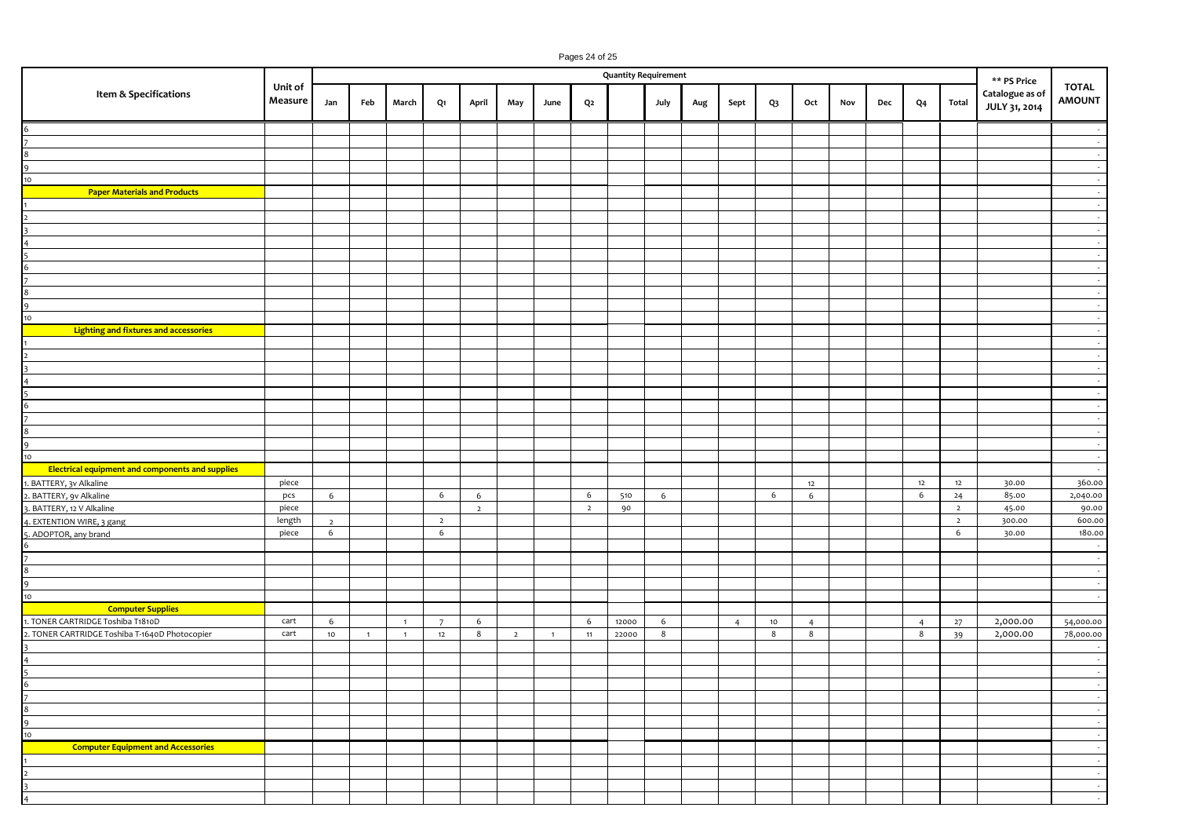|                                                         | Pages 24 of 25<br><b>Quantity Requirement</b> |                     |                |                |                     |                |                |                |                |       |      |     |                |                 |                |     |     |                |                     |                                  |                               |
|---------------------------------------------------------|-----------------------------------------------|---------------------|----------------|----------------|---------------------|----------------|----------------|----------------|----------------|-------|------|-----|----------------|-----------------|----------------|-----|-----|----------------|---------------------|----------------------------------|-------------------------------|
|                                                         |                                               |                     |                |                |                     |                |                |                |                |       |      |     |                |                 |                |     |     |                |                     | ** PS Price                      |                               |
| Item & Specifications                                   | Unit of<br>Measure                            | Jan                 | Feb            | March          | Q1                  | April          | May            | June           | Q <sub>2</sub> |       | July | Aug | Sept           | $Q_3$           | Oct            | Nov | Dec | Q <sub>4</sub> | Total               | Catalogue as of<br>JULY 31, 2014 | <b>TOTAL</b><br><b>AMOUNT</b> |
|                                                         |                                               |                     |                |                |                     |                |                |                |                |       |      |     |                |                 |                |     |     |                |                     |                                  | $\sim$                        |
|                                                         |                                               |                     |                |                |                     |                |                |                |                |       |      |     |                |                 |                |     |     |                |                     |                                  | $\sim$                        |
|                                                         |                                               |                     |                |                |                     |                |                |                |                |       |      |     |                |                 |                |     |     |                |                     |                                  | $\sim$                        |
|                                                         |                                               |                     |                |                |                     |                |                |                |                |       |      |     |                |                 |                |     |     |                |                     |                                  | $\sim$                        |
| 10 <sub>10</sub>                                        |                                               |                     |                |                |                     |                |                |                |                |       |      |     |                |                 |                |     |     |                |                     |                                  | $\sim$                        |
| <b>Paper Materials and Products</b>                     |                                               |                     |                |                |                     |                |                |                |                |       |      |     |                |                 |                |     |     |                |                     |                                  | $\sim$                        |
|                                                         |                                               |                     |                |                |                     |                |                |                |                |       |      |     |                |                 |                |     |     |                |                     |                                  | $\sim$                        |
|                                                         |                                               |                     |                |                |                     |                |                |                |                |       |      |     |                |                 |                |     |     |                |                     |                                  | $\sim$<br>$\sim$              |
|                                                         |                                               |                     |                |                |                     |                |                |                |                |       |      |     |                |                 |                |     |     |                |                     |                                  | $\sim$                        |
|                                                         |                                               |                     |                |                |                     |                |                |                |                |       |      |     |                |                 |                |     |     |                |                     |                                  | $\sim$                        |
|                                                         |                                               |                     |                |                |                     |                |                |                |                |       |      |     |                |                 |                |     |     |                |                     |                                  | $\sim$                        |
|                                                         |                                               |                     |                |                |                     |                |                |                |                |       |      |     |                |                 |                |     |     |                |                     |                                  | $\sim$                        |
|                                                         |                                               |                     |                |                |                     |                |                |                |                |       |      |     |                |                 |                |     |     |                |                     |                                  | $\sim$                        |
|                                                         |                                               |                     |                |                |                     |                |                |                |                |       |      |     |                |                 |                |     |     |                |                     |                                  | $\sim$                        |
| 10 <sub>10</sub>                                        |                                               |                     |                |                |                     |                |                |                |                |       |      |     |                |                 |                |     |     |                |                     |                                  | $\sim$                        |
| Lighting and fixtures and accessories                   |                                               |                     |                |                |                     |                |                |                |                |       |      |     |                |                 |                |     |     |                |                     |                                  | $\sim$                        |
|                                                         |                                               |                     |                |                |                     |                |                |                |                |       |      |     |                |                 |                |     |     |                |                     |                                  | $\sim$                        |
|                                                         |                                               |                     |                |                |                     |                |                |                |                |       |      |     |                |                 |                |     |     |                |                     |                                  | $\sim$<br>$\sim$              |
|                                                         |                                               |                     |                |                |                     |                |                |                |                |       |      |     |                |                 |                |     |     |                |                     |                                  | $\sim$                        |
|                                                         |                                               |                     |                |                |                     |                |                |                |                |       |      |     |                |                 |                |     |     |                |                     |                                  | $\sim$                        |
|                                                         |                                               |                     |                |                |                     |                |                |                |                |       |      |     |                |                 |                |     |     |                |                     |                                  | $\sim$                        |
|                                                         |                                               |                     |                |                |                     |                |                |                |                |       |      |     |                |                 |                |     |     |                |                     |                                  | $\sim$                        |
|                                                         |                                               |                     |                |                |                     |                |                |                |                |       |      |     |                |                 |                |     |     |                |                     |                                  | $\sim$                        |
| 9                                                       |                                               |                     |                |                |                     |                |                |                |                |       |      |     |                |                 |                |     |     |                |                     |                                  | $\sim$                        |
| $\frac{10}{10}$                                         |                                               |                     |                |                |                     |                |                |                |                |       |      |     |                |                 |                |     |     |                |                     |                                  | $\sim$                        |
| <b>Electrical equipment and components and supplies</b> |                                               |                     |                |                |                     |                |                |                |                |       |      |     |                |                 |                |     |     |                |                     |                                  | $\sim$                        |
| BATTERY, 3v Alkaline                                    | piece                                         |                     |                |                |                     |                |                |                |                |       |      |     |                |                 | 12             |     |     | 12             | 12                  | 30.00                            | 360.00                        |
| . BATTERY, 9v Alkaline                                  | pcs                                           | 6                   |                |                | 6                   | 6              |                |                | 6              | 510   | 6    |     |                | 6               | 6              |     |     | 6              | 24                  | 85.00                            | 2,040.00                      |
| . BATTERY, 12 V Alkaline                                | piece                                         |                     |                |                |                     | $\overline{2}$ |                |                | $\overline{2}$ | 90    |      |     |                |                 |                |     |     |                | $\overline{2}$      | 45.00                            | 90.00                         |
| . EXTENTION WIRE, 3 gang                                | length                                        | $\overline{2}$<br>6 |                |                | $\overline{2}$<br>6 |                |                |                |                |       |      |     |                |                 |                |     |     |                | $\overline{2}$<br>6 | 300.00                           | 600.00<br>180.00              |
| 5. ADOPTOR, any brand<br>6                              | piece                                         |                     |                |                |                     |                |                |                |                |       |      |     |                |                 |                |     |     |                |                     | 30.00                            | $\sim$                        |
|                                                         |                                               |                     |                |                |                     |                |                |                |                |       |      |     |                |                 |                |     |     |                |                     |                                  | $\sim$                        |
| $\bf8$                                                  |                                               |                     |                |                |                     |                |                |                |                |       |      |     |                |                 |                |     |     |                |                     |                                  | $\sim$                        |
| 9                                                       |                                               |                     |                |                |                     |                |                |                |                |       |      |     |                |                 |                |     |     |                |                     |                                  | $\sim$                        |
| $\frac{10}{10}$                                         |                                               |                     |                |                |                     |                |                |                |                |       |      |     |                |                 |                |     |     |                |                     |                                  | $\sim$                        |
| <b>Computer Supplies</b>                                |                                               |                     |                |                |                     |                |                |                |                |       |      |     |                |                 |                |     |     |                |                     |                                  |                               |
| 1. TONER CARTRIDGE Toshiba T1810D                       | cart                                          | 6                   |                | $\overline{1}$ | $7^{\circ}$         | 6              |                |                | 6              | 12000 | 6    |     | $\overline{4}$ | 10 <sub>1</sub> | $\overline{4}$ |     |     | $\overline{4}$ | 27                  | 2,000.00                         | 54,000.00                     |
| 2. TONER CARTRIDGE Toshiba T-1640D Photocopier          | cart                                          | 10                  | $\overline{1}$ | $\overline{1}$ | 12                  | 8              | $\overline{2}$ | $\overline{1}$ | 11             | 22000 | 8    |     |                | 8               | 8              |     |     | 8              | 39                  | 2,000.00                         | 78,000.00                     |
|                                                         |                                               |                     |                |                |                     |                |                |                |                |       |      |     |                |                 |                |     |     |                |                     |                                  | $\overline{\phantom{a}}$      |
| $\overline{a}$<br>$\overline{5}$                        |                                               |                     |                |                |                     |                |                |                |                |       |      |     |                |                 |                |     |     |                |                     |                                  | $\sim$<br>$\sim$              |
|                                                         |                                               |                     |                |                |                     |                |                |                |                |       |      |     |                |                 |                |     |     |                |                     |                                  | $\sim$                        |
| $\frac{6}{7}$                                           |                                               |                     |                |                |                     |                |                |                |                |       |      |     |                |                 |                |     |     |                |                     |                                  | $\sim$                        |
| 8                                                       |                                               |                     |                |                |                     |                |                |                |                |       |      |     |                |                 |                |     |     |                |                     |                                  | $\sim$                        |
| 9                                                       |                                               |                     |                |                |                     |                |                |                |                |       |      |     |                |                 |                |     |     |                |                     |                                  | - 19                          |
| $\frac{10}{10}$                                         |                                               |                     |                |                |                     |                |                |                |                |       |      |     |                |                 |                |     |     |                |                     |                                  | $\sim$                        |
| <b>Computer Equipment and Accessories</b>               |                                               |                     |                |                |                     |                |                |                |                |       |      |     |                |                 |                |     |     |                |                     |                                  | $\sim$                        |
|                                                         |                                               |                     |                |                |                     |                |                |                |                |       |      |     |                |                 |                |     |     |                |                     |                                  | $\sim$                        |
|                                                         |                                               |                     |                |                |                     |                |                |                |                |       |      |     |                |                 |                |     |     |                |                     |                                  | $\sim$                        |
|                                                         |                                               |                     |                |                |                     |                |                |                |                |       |      |     |                |                 |                |     |     |                |                     |                                  | $\sim$                        |
| $\overline{4}$                                          |                                               |                     |                |                |                     |                |                |                |                |       |      |     |                |                 |                |     |     |                |                     |                                  | $\sim$                        |